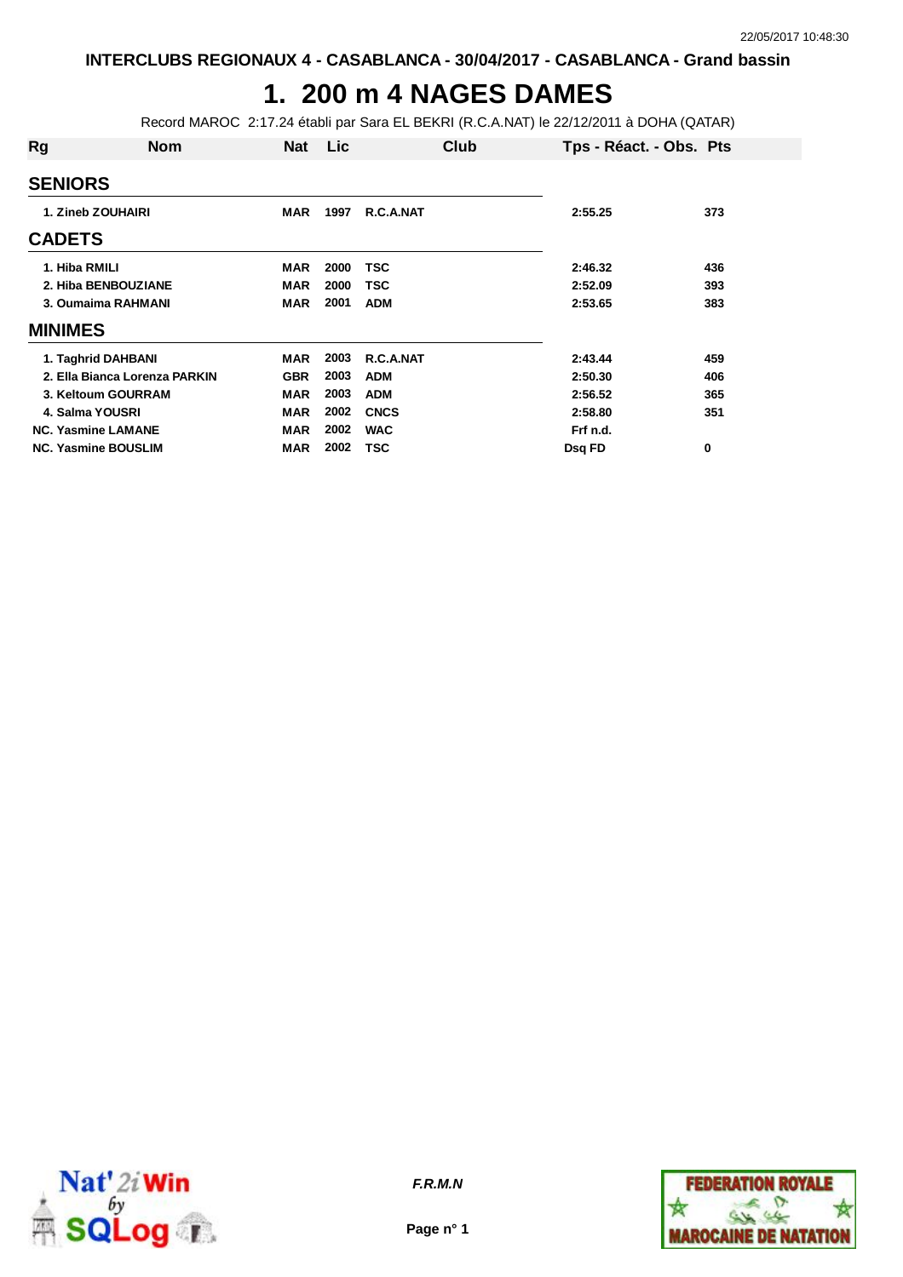# **1. 200 m 4 NAGES DAMES**

Record MAROC 2:17.24 établi par Sara EL BEKRI (R.C.A.NAT) le 22/12/2011 à DOHA (QATAR)

| Rg                 | <b>Nom</b>                    | <b>Nat</b> | Lic  | Club        | Tps - Réact. - Obs. Pts |     |
|--------------------|-------------------------------|------------|------|-------------|-------------------------|-----|
| <b>SENIORS</b>     |                               |            |      |             |                         |     |
|                    | 1. Zineb ZOUHAIRI             | <b>MAR</b> | 1997 | R.C.A.NAT   | 2:55.25                 | 373 |
| <b>CADETS</b>      |                               |            |      |             |                         |     |
| 1. Hiba RMILI      |                               | <b>MAR</b> | 2000 | TSC         | 2:46.32                 | 436 |
|                    | 2. Hiba BENBOUZIANE           | <b>MAR</b> | 2000 | TSC         | 2:52.09                 | 393 |
| 3. Oumaima RAHMANI |                               | MAR        | 2001 | <b>ADM</b>  | 2:53.65                 | 383 |
| <b>MINIMES</b>     |                               |            |      |             |                         |     |
|                    | 1. Taghrid DAHBANI            | <b>MAR</b> | 2003 | R.C.A.NAT   | 2:43.44                 | 459 |
|                    | 2. Ella Bianca Lorenza PARKIN | <b>GBR</b> | 2003 | <b>ADM</b>  | 2:50.30                 | 406 |
|                    | 3. Keltoum GOURRAM            | <b>MAR</b> | 2003 | <b>ADM</b>  | 2:56.52                 | 365 |
|                    | 4. Salma YOUSRI               | <b>MAR</b> | 2002 | <b>CNCS</b> | 2:58.80                 | 351 |
|                    | <b>NC. Yasmine LAMANE</b>     | <b>MAR</b> | 2002 | <b>WAC</b>  | Frf n.d.                |     |
|                    | <b>NC. Yasmine BOUSLIM</b>    | <b>MAR</b> | 2002 | TSC         | Dsg FD                  | 0   |



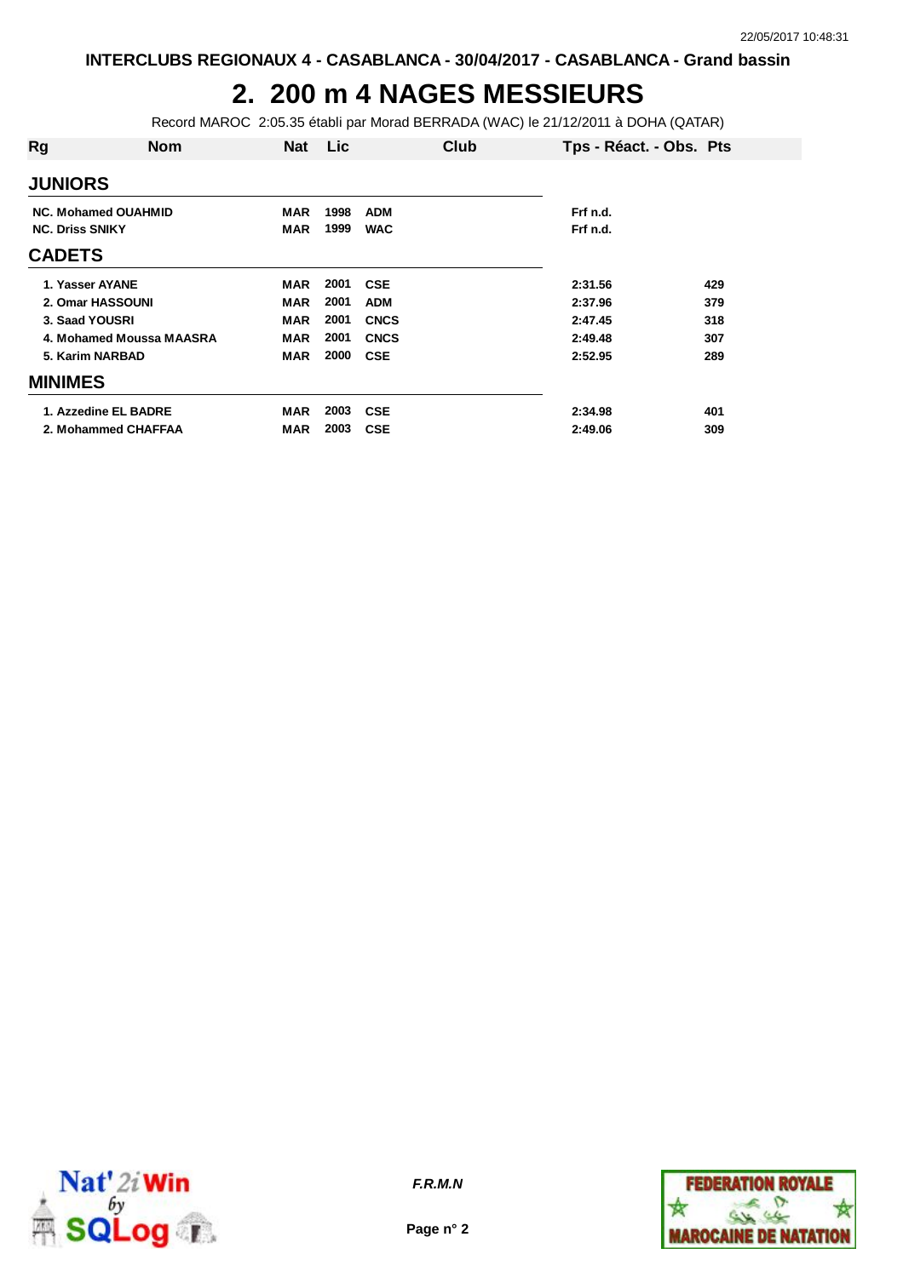## **2. 200 m 4 NAGES MESSIEURS**

Record MAROC 2:05.35 établi par Morad BERRADA (WAC) le 21/12/2011 à DOHA (QATAR)

| Rg                     | <b>Nom</b>                 | <b>Nat</b> | Lic  | Club        | Tps - Réact. - Obs. Pts |     |
|------------------------|----------------------------|------------|------|-------------|-------------------------|-----|
| <b>JUNIORS</b>         |                            |            |      |             |                         |     |
|                        | <b>NC. Mohamed OUAHMID</b> | <b>MAR</b> | 1998 | <b>ADM</b>  | Frf n.d.                |     |
| <b>NC. Driss SNIKY</b> |                            | MAR        | 1999 | <b>WAC</b>  | Frf n.d.                |     |
| <b>CADETS</b>          |                            |            |      |             |                         |     |
| 1. Yasser AYANE        |                            | <b>MAR</b> | 2001 | <b>CSE</b>  | 2:31.56                 | 429 |
|                        | 2. Omar HASSOUNI           | MAR        | 2001 | <b>ADM</b>  | 2:37.96                 | 379 |
| 3. Saad YOUSRI         |                            | <b>MAR</b> | 2001 | <b>CNCS</b> | 2:47.45                 | 318 |
|                        | 4. Mohamed Moussa MAASRA   | <b>MAR</b> | 2001 | <b>CNCS</b> | 2:49.48                 | 307 |
| 5. Karim NARBAD        |                            | MAR        | 2000 | <b>CSE</b>  | 2:52.95                 | 289 |
| <b>MINIMES</b>         |                            |            |      |             |                         |     |
|                        | 1. Azzedine EL BADRE       | <b>MAR</b> | 2003 | <b>CSE</b>  | 2:34.98                 | 401 |
|                        | 2. Mohammed CHAFFAA        | MAR        | 2003 | <b>CSE</b>  | 2:49.06                 | 309 |



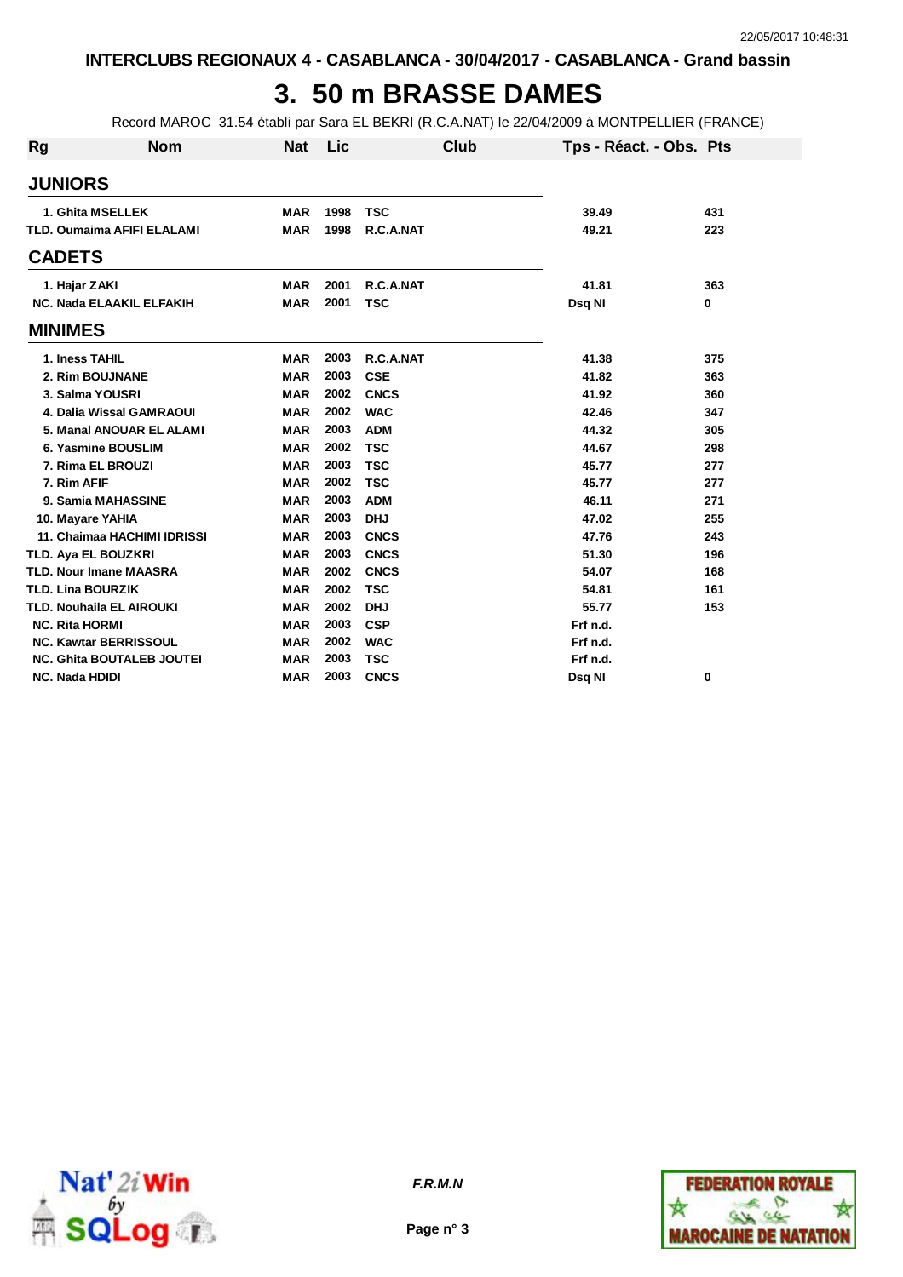## **3. 50 m BRASSE DAMES**

Record MAROC 31.54 établi par Sara EL BEKRI (R.C.A.NAT) le 22/04/2009 à MONTPELLIER (FRANCE)

| <b>Rg</b>             | <b>Nom</b>                        | <b>Nat</b> | Lic  | Club        | Tps - Réact. - Obs. Pts |     |
|-----------------------|-----------------------------------|------------|------|-------------|-------------------------|-----|
| <b>JUNIORS</b>        |                                   |            |      |             |                         |     |
|                       | 1. Ghita MSELLEK                  | <b>MAR</b> | 1998 | <b>TSC</b>  | 39.49                   | 431 |
|                       | <b>TLD. Oumaima AFIFI ELALAMI</b> | <b>MAR</b> | 1998 | R.C.A.NAT   | 49.21                   | 223 |
| <b>CADETS</b>         |                                   |            |      |             |                         |     |
|                       | 1. Hajar ZAKI                     | <b>MAR</b> | 2001 | R.C.A.NAT   | 41.81                   | 363 |
|                       | NC. Nada ELAAKIL ELFAKIH          | <b>MAR</b> | 2001 | <b>TSC</b>  | Dsq NI                  | 0   |
| <b>MINIMES</b>        |                                   |            |      |             |                         |     |
|                       | 1. Iness TAHIL                    | <b>MAR</b> | 2003 | R.C.A.NAT   | 41.38                   | 375 |
|                       | 2. Rim BOUJNANE                   | <b>MAR</b> | 2003 | <b>CSE</b>  | 41.82                   | 363 |
|                       | 3. Salma YOUSRI                   | <b>MAR</b> | 2002 | <b>CNCS</b> | 41.92                   | 360 |
|                       | 4. Dalia Wissal GAMRAOUI          | <b>MAR</b> | 2002 | <b>WAC</b>  | 42.46                   | 347 |
|                       | 5. Manal ANOUAR EL ALAMI          | <b>MAR</b> | 2003 | <b>ADM</b>  | 44.32                   | 305 |
|                       | 6. Yasmine BOUSLIM                | <b>MAR</b> | 2002 | <b>TSC</b>  | 44.67                   | 298 |
|                       | 7. Rima EL BROUZI                 | <b>MAR</b> | 2003 | <b>TSC</b>  | 45.77                   | 277 |
| 7. Rim AFIF           |                                   | <b>MAR</b> | 2002 | <b>TSC</b>  | 45.77                   | 277 |
|                       | 9. Samia MAHASSINE                | <b>MAR</b> | 2003 | <b>ADM</b>  | 46.11                   | 271 |
|                       | 10. Mayare YAHIA                  | <b>MAR</b> | 2003 | <b>DHJ</b>  | 47.02                   | 255 |
|                       | 11. Chaimaa HACHIMI IDRISSI       | <b>MAR</b> | 2003 | <b>CNCS</b> | 47.76                   | 243 |
|                       | <b>TLD. Aya EL BOUZKRI</b>        | <b>MAR</b> | 2003 | <b>CNCS</b> | 51.30                   | 196 |
|                       | <b>TLD. Nour Imane MAASRA</b>     | <b>MAR</b> | 2002 | <b>CNCS</b> | 54.07                   | 168 |
|                       | <b>TLD. Lina BOURZIK</b>          | <b>MAR</b> | 2002 | <b>TSC</b>  | 54.81                   | 161 |
|                       | <b>TLD. Nouhaila EL AIROUKI</b>   | <b>MAR</b> | 2002 | <b>DHJ</b>  | 55.77                   | 153 |
| <b>NC. Rita HORMI</b> |                                   | <b>MAR</b> | 2003 | <b>CSP</b>  | Frf n.d.                |     |
|                       | <b>NC. Kawtar BERRISSOUL</b>      | <b>MAR</b> | 2002 | <b>WAC</b>  | Frf n.d.                |     |
|                       | <b>NC. Ghita BOUTALEB JOUTEI</b>  | <b>MAR</b> | 2003 | <b>TSC</b>  | Frf n.d.                |     |
| <b>NC. Nada HDIDI</b> |                                   | <b>MAR</b> | 2003 | <b>CNCS</b> | Dsg NI                  | 0   |



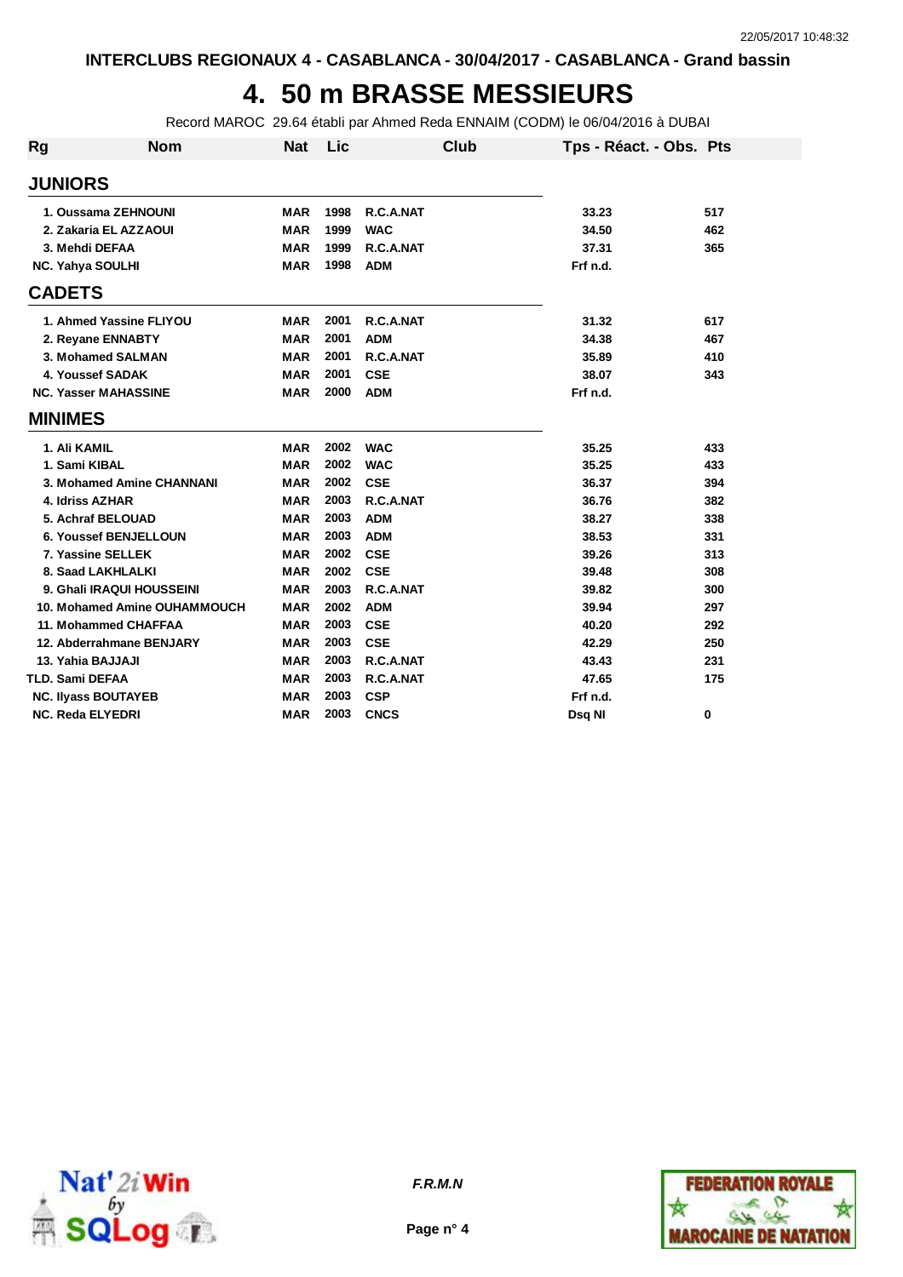# **4. 50 m BRASSE MESSIEURS**

Record MAROC 29.64 établi par Ahmed Reda ENNAIM (CODM) le 06/04/2016 à DUBAI

| <b>Rg</b> | <b>Nom</b>                   | <b>Nat</b> | Lic  | Club        | Tps - Réact. - Obs. Pts |     |
|-----------|------------------------------|------------|------|-------------|-------------------------|-----|
|           | <b>JUNIORS</b>               |            |      |             |                         |     |
|           | 1. Oussama ZEHNOUNI          | <b>MAR</b> | 1998 | R.C.A.NAT   | 33.23                   | 517 |
|           | 2. Zakaria EL AZZAOUI        | MAR        | 1999 | <b>WAC</b>  | 34.50                   | 462 |
|           | 3. Mehdi DEFAA               | <b>MAR</b> | 1999 | R.C.A.NAT   | 37.31                   | 365 |
|           | <b>NC. Yahya SOULHI</b>      | <b>MAR</b> | 1998 | <b>ADM</b>  | Frf n.d.                |     |
|           | <b>CADETS</b>                |            |      |             |                         |     |
|           | 1. Ahmed Yassine FLIYOU      | <b>MAR</b> | 2001 | R.C.A.NAT   | 31.32                   | 617 |
|           | 2. Reyane ENNABTY            | <b>MAR</b> | 2001 | <b>ADM</b>  | 34.38                   | 467 |
|           | 3. Mohamed SALMAN            | <b>MAR</b> | 2001 | R.C.A.NAT   | 35.89                   | 410 |
|           | 4. Youssef SADAK             | <b>MAR</b> | 2001 | <b>CSE</b>  | 38.07                   | 343 |
|           | <b>NC. Yasser MAHASSINE</b>  | <b>MAR</b> | 2000 | <b>ADM</b>  | Frf n.d.                |     |
|           | <b>MINIMES</b>               |            |      |             |                         |     |
|           | 1. Ali KAMIL                 | <b>MAR</b> | 2002 | <b>WAC</b>  | 35.25                   | 433 |
|           | 1. Sami KIBAL                | <b>MAR</b> | 2002 | <b>WAC</b>  | 35.25                   | 433 |
|           | 3. Mohamed Amine CHANNANI    | <b>MAR</b> | 2002 | <b>CSE</b>  | 36.37                   | 394 |
|           | 4. Idriss AZHAR              | <b>MAR</b> | 2003 | R.C.A.NAT   | 36.76                   | 382 |
|           | 5. Achraf BELOUAD            | <b>MAR</b> | 2003 | <b>ADM</b>  | 38.27                   | 338 |
|           | <b>6. Youssef BENJELLOUN</b> | <b>MAR</b> | 2003 | <b>ADM</b>  | 38.53                   | 331 |
|           | 7. Yassine SELLEK            | <b>MAR</b> | 2002 | <b>CSE</b>  | 39.26                   | 313 |
|           | 8. Saad LAKHLALKI            | <b>MAR</b> | 2002 | <b>CSE</b>  | 39.48                   | 308 |
|           | 9. Ghali IRAQUI HOUSSEINI    | <b>MAR</b> | 2003 | R.C.A.NAT   | 39.82                   | 300 |
|           | 10. Mohamed Amine OUHAMMOUCH | <b>MAR</b> | 2002 | <b>ADM</b>  | 39.94                   | 297 |
|           | 11. Mohammed CHAFFAA         | <b>MAR</b> | 2003 | <b>CSE</b>  | 40.20                   | 292 |
|           | 12. Abderrahmane BENJARY     | <b>MAR</b> | 2003 | <b>CSE</b>  | 42.29                   | 250 |
|           | 13. Yahia BAJJAJI            | <b>MAR</b> | 2003 | R.C.A.NAT   | 43.43                   | 231 |
|           | <b>TLD. Sami DEFAA</b>       | <b>MAR</b> | 2003 | R.C.A.NAT   | 47.65                   | 175 |
|           | <b>NC. Ilyass BOUTAYEB</b>   | <b>MAR</b> | 2003 | <b>CSP</b>  | Frf n.d.                |     |
|           | <b>NC. Reda ELYEDRI</b>      | <b>MAR</b> | 2003 | <b>CNCS</b> | Dsg NI                  | 0   |





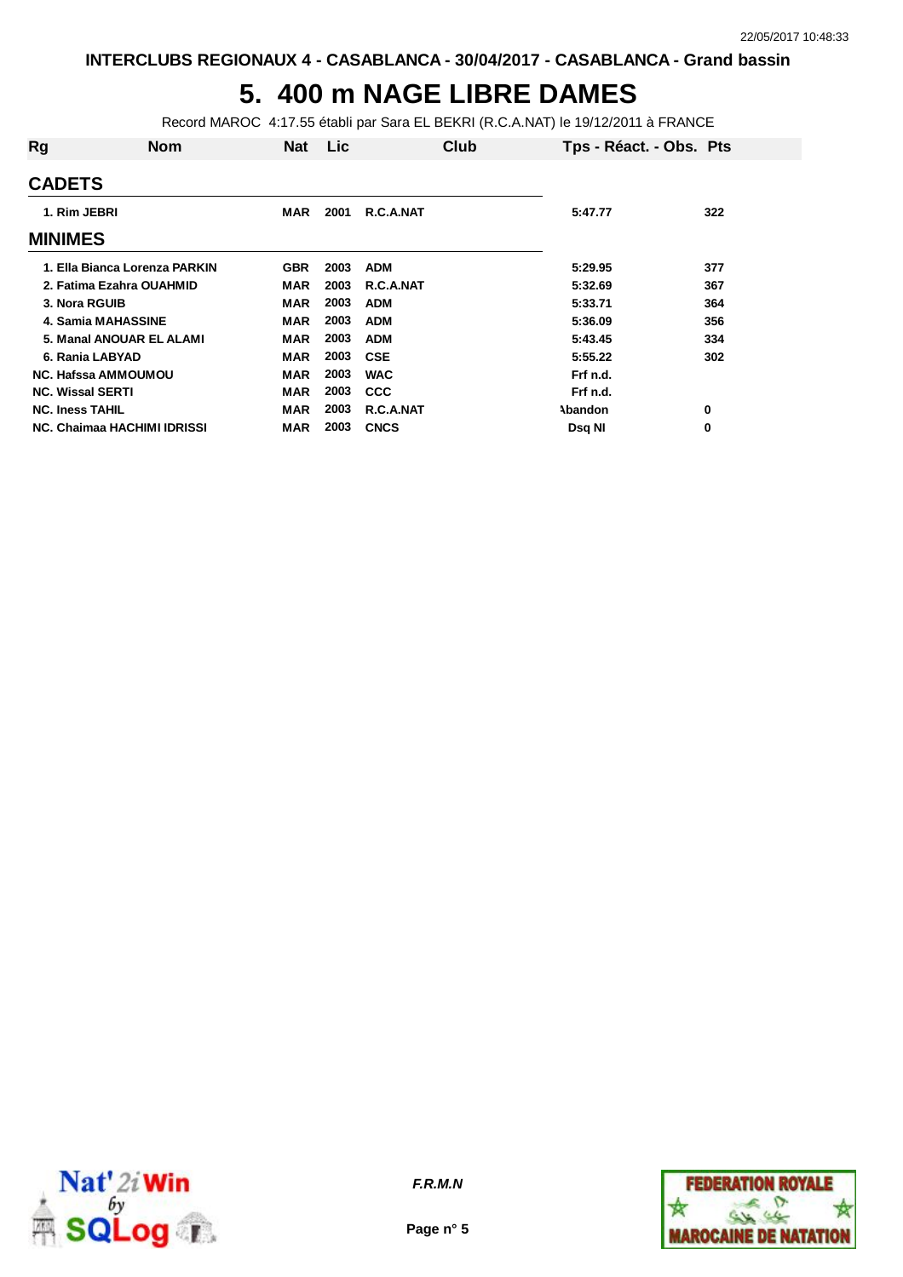## **5. 400 m NAGE LIBRE DAMES**

Record MAROC 4:17.55 établi par Sara EL BEKRI (R.C.A.NAT) le 19/12/2011 à FRANCE

| Rg                      | <b>Nom</b>                         | <b>Nat</b> | Lic  |             | Club | Tps - Réact. - Obs. Pts |     |
|-------------------------|------------------------------------|------------|------|-------------|------|-------------------------|-----|
| <b>CADETS</b>           |                                    |            |      |             |      |                         |     |
| 1. Rim JEBRI            |                                    | MAR        | 2001 | R.C.A.NAT   |      | 5:47.77                 | 322 |
| <b>MINIMES</b>          |                                    |            |      |             |      |                         |     |
|                         | 1. Ella Bianca Lorenza PARKIN      | <b>GBR</b> | 2003 | <b>ADM</b>  |      | 5:29.95                 | 377 |
|                         | 2. Fatima Ezahra OUAHMID           | MAR        | 2003 | R.C.A.NAT   |      | 5:32.69                 | 367 |
| 3. Nora RGUIB           |                                    | <b>MAR</b> | 2003 | <b>ADM</b>  |      | 5:33.71                 | 364 |
|                         | <b>4. Samia MAHASSINE</b>          | MAR        | 2003 | <b>ADM</b>  |      | 5:36.09                 | 356 |
|                         | 5. Manal ANOUAR EL ALAMI           | <b>MAR</b> | 2003 | <b>ADM</b>  |      | 5:43.45                 | 334 |
| 6. Rania LABYAD         |                                    | MAR        | 2003 | <b>CSE</b>  |      | 5:55.22                 | 302 |
|                         | <b>NC. Hafssa AMMOUMOU</b>         | <b>MAR</b> | 2003 | <b>WAC</b>  |      | Frf n.d.                |     |
| <b>NC. Wissal SERTI</b> |                                    | <b>MAR</b> | 2003 | <b>CCC</b>  |      | Frf n.d.                |     |
| <b>NC. Iness TAHIL</b>  |                                    | <b>MAR</b> | 2003 | R.C.A.NAT   |      | Abandon                 | 0   |
|                         | <b>NC. Chaimaa HACHIMI IDRISSI</b> | MAR        | 2003 | <b>CNCS</b> |      | Dsq NI                  | 0   |



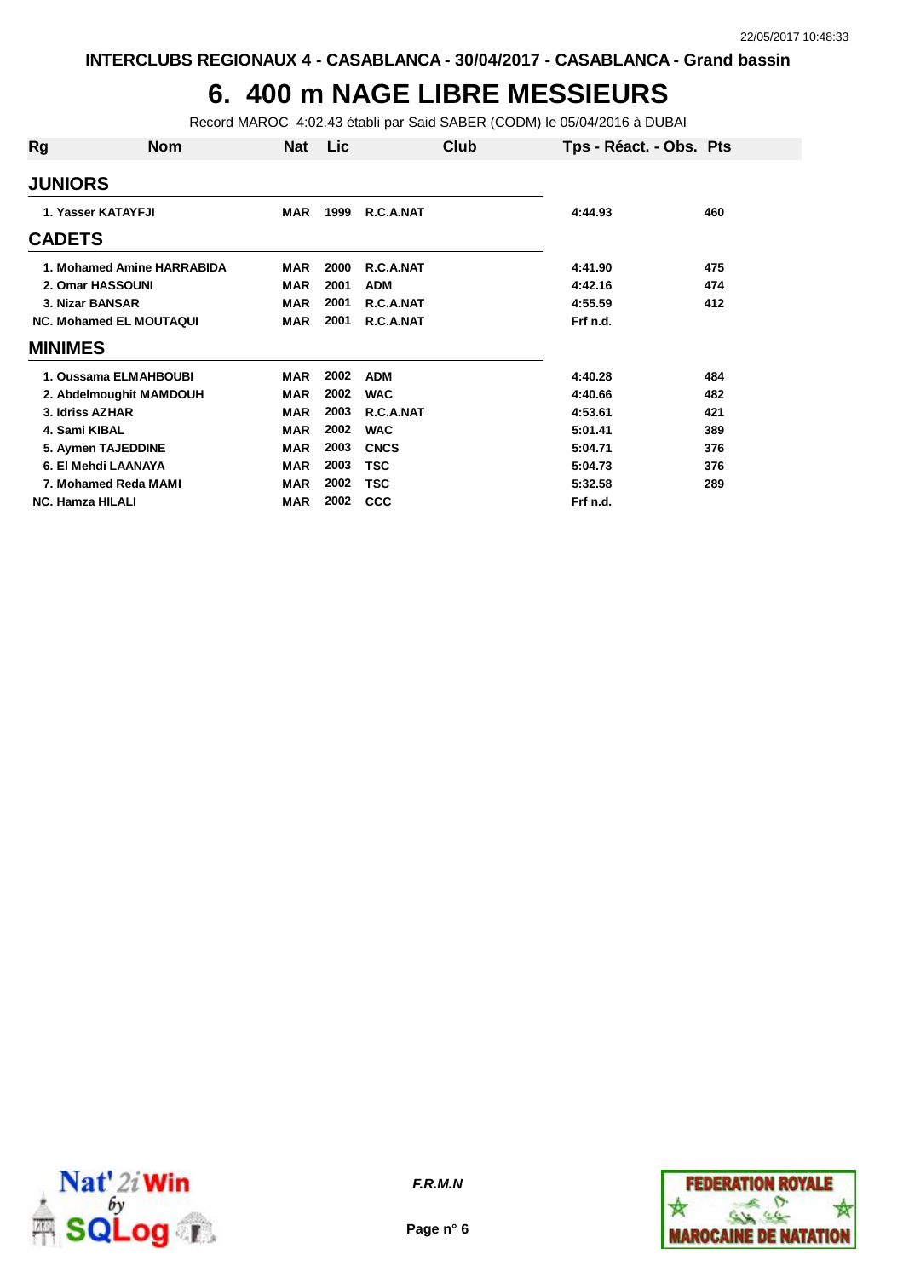#### **6. 400 m NAGE LIBRE MESSIEURS**

Record MAROC 4:02.43 établi par Said SABER (CODM) le 05/04/2016 à DUBAI

| Rg             | <b>Nom</b>                     | Nat        | Lic  | Club        | Tps - Réact. - Obs. Pts |     |
|----------------|--------------------------------|------------|------|-------------|-------------------------|-----|
|                | <b>JUNIORS</b>                 |            |      |             |                         |     |
|                | 1. Yasser KATAYFJI             | <b>MAR</b> | 1999 | R.C.A.NAT   | 4:44.93                 | 460 |
| <b>CADETS</b>  |                                |            |      |             |                         |     |
|                | 1. Mohamed Amine HARRABIDA     | <b>MAR</b> | 2000 | R.C.A.NAT   | 4:41.90                 | 475 |
|                | 2. Omar HASSOUNI               | <b>MAR</b> | 2001 | <b>ADM</b>  | 4:42.16                 | 474 |
|                | 3. Nizar BANSAR                | <b>MAR</b> | 2001 | R.C.A.NAT   | 4:55.59                 | 412 |
|                | <b>NC. Mohamed EL MOUTAQUI</b> | <b>MAR</b> | 2001 | R.C.A.NAT   | Frf n.d.                |     |
| <b>MINIMES</b> |                                |            |      |             |                         |     |
|                | 1. Oussama ELMAHBOUBI          | <b>MAR</b> | 2002 | <b>ADM</b>  | 4:40.28                 | 484 |
|                | 2. Abdelmoughit MAMDOUH        | <b>MAR</b> | 2002 | <b>WAC</b>  | 4:40.66                 | 482 |
|                | 3. Idriss AZHAR                | <b>MAR</b> | 2003 | R.C.A.NAT   | 4:53.61                 | 421 |
|                | 4. Sami KIBAL                  | <b>MAR</b> | 2002 | <b>WAC</b>  | 5:01.41                 | 389 |
|                | 5. Aymen TAJEDDINE             | <b>MAR</b> | 2003 | <b>CNCS</b> | 5:04.71                 | 376 |
|                | 6. El Mehdi LAANAYA            | <b>MAR</b> | 2003 | <b>TSC</b>  | 5:04.73                 | 376 |
|                | 7. Mohamed Reda MAMI           | <b>MAR</b> | 2002 | <b>TSC</b>  | 5:32.58                 | 289 |
|                | <b>NC. Hamza HILALI</b>        | <b>MAR</b> | 2002 | <b>CCC</b>  | Frf n.d.                |     |



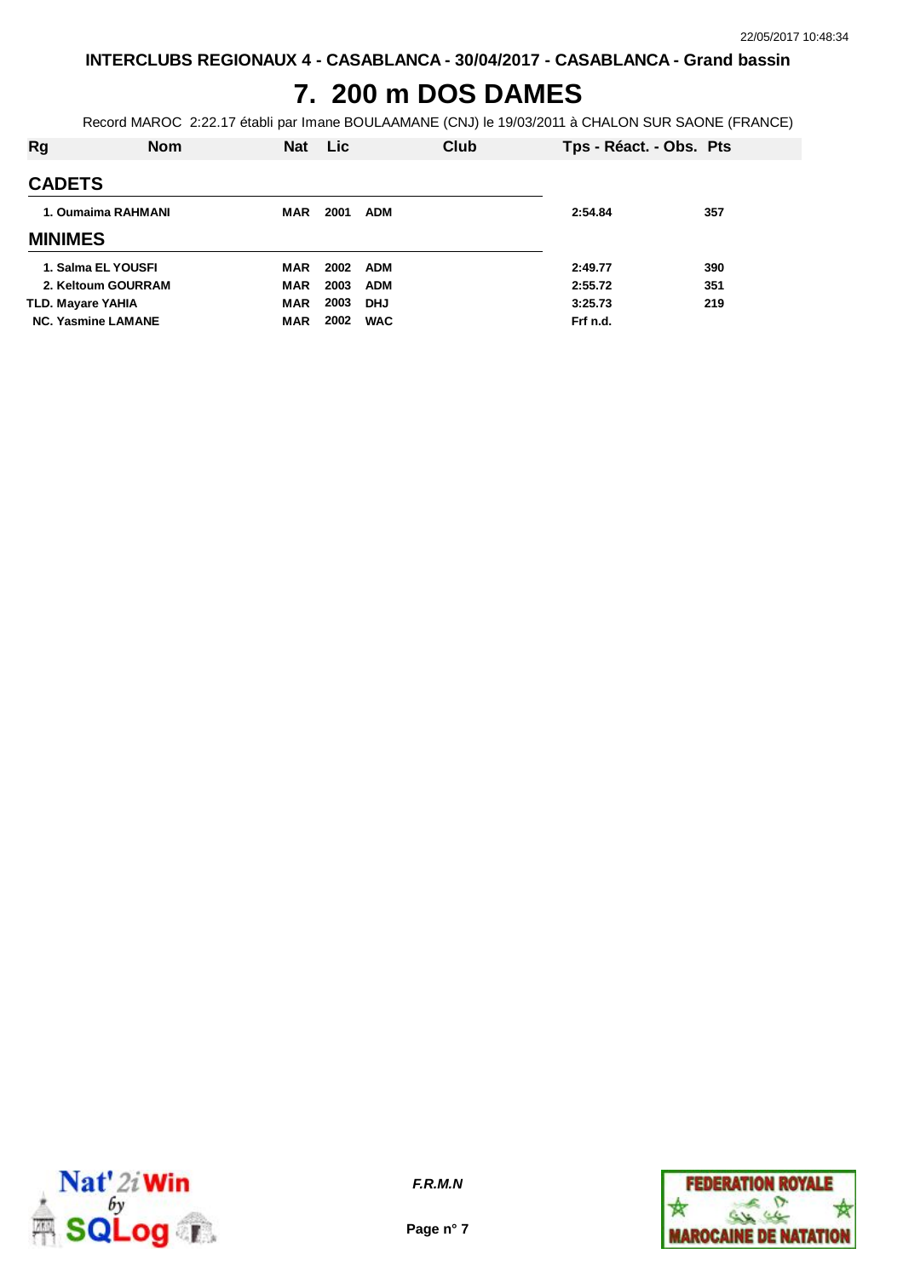## **7. 200 m DOS DAMES**

Record MAROC 2:22.17 établi par Imane BOULAAMANE (CNJ) le 19/03/2011 à CHALON SUR SAONE (FRANCE)

| Rg                        | <b>Nom</b> | Nat Lic    |      | Club       | Tps - Réact. - Obs. Pts |     |
|---------------------------|------------|------------|------|------------|-------------------------|-----|
| <b>CADETS</b>             |            |            |      |            |                         |     |
| 1. Oumaima RAHMANI        |            | <b>MAR</b> | 2001 | <b>ADM</b> | 2:54.84                 | 357 |
| <b>MINIMES</b>            |            |            |      |            |                         |     |
| 1. Salma EL YOUSFI        |            | MAR        |      | 2002 ADM   | 2:49.77                 | 390 |
| 2. Keltoum GOURRAM        |            | <b>MAR</b> | 2003 | <b>ADM</b> | 2:55.72                 | 351 |
| <b>TLD. Mayare YAHIA</b>  |            | <b>MAR</b> | 2003 | <b>DHJ</b> | 3:25.73                 | 219 |
| <b>NC. Yasmine LAMANE</b> |            | <b>MAR</b> | 2002 | <b>WAC</b> | Frf n.d.                |     |



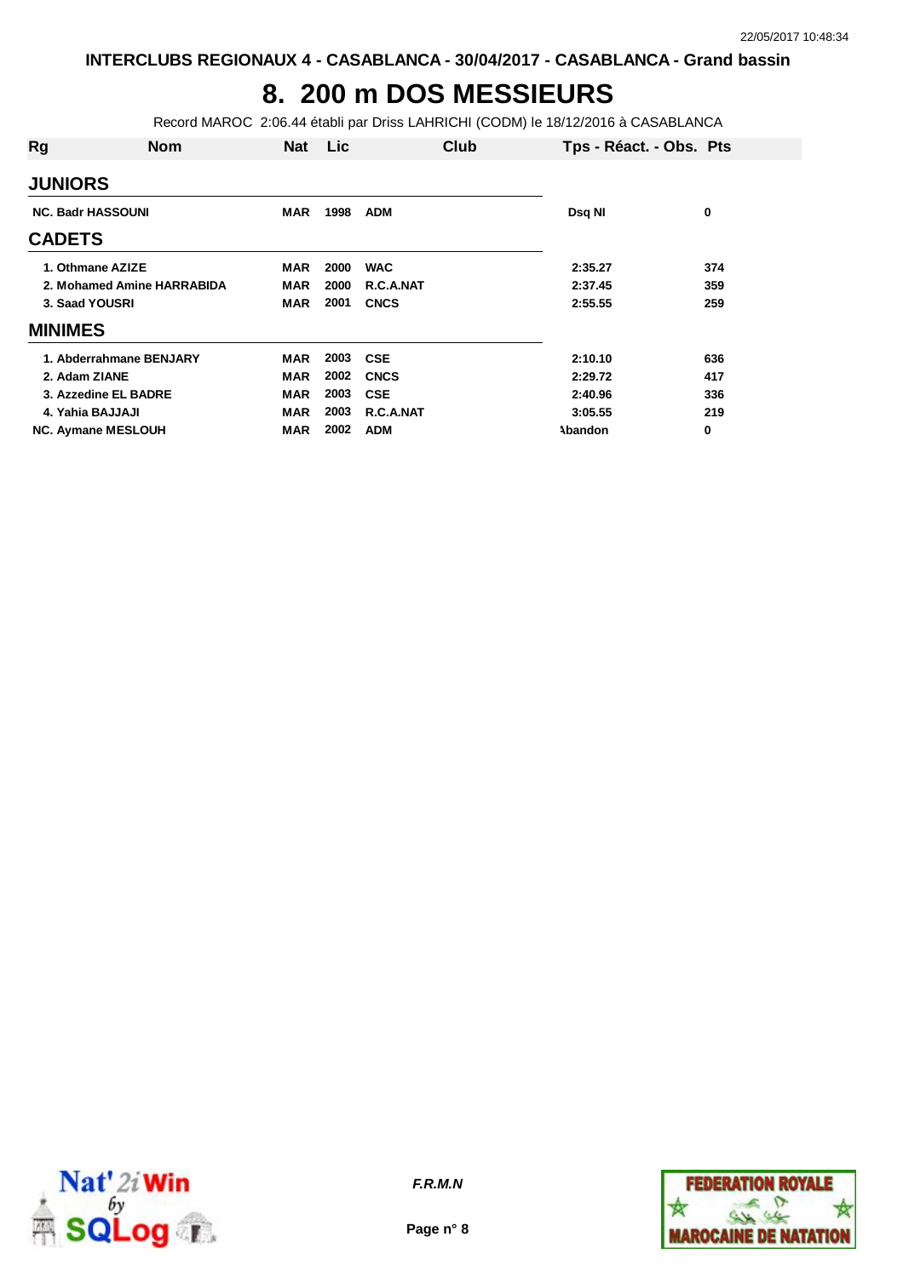## **8. 200 m DOS MESSIEURS**

Record MAROC 2:06.44 établi par Driss LAHRICHI (CODM) le 18/12/2016 à CASABLANCA

| Rg                       | <b>Nom</b>                 | <b>Nat</b> | Lic  | Club        | Tps - Réact. - Obs. Pts |     |
|--------------------------|----------------------------|------------|------|-------------|-------------------------|-----|
| <b>JUNIORS</b>           |                            |            |      |             |                         |     |
| <b>NC. Badr HASSOUNI</b> |                            | <b>MAR</b> | 1998 | <b>ADM</b>  | Dsq NI                  | 0   |
| <b>CADETS</b>            |                            |            |      |             |                         |     |
|                          | 1. Othmane AZIZE           | <b>MAR</b> | 2000 | <b>WAC</b>  | 2:35.27                 | 374 |
|                          | 2. Mohamed Amine HARRABIDA | MAR        | 2000 | R.C.A.NAT   | 2:37.45                 | 359 |
| 3. Saad YOUSRI           |                            | <b>MAR</b> | 2001 | <b>CNCS</b> | 2:55.55                 | 259 |
| <b>MINIMES</b>           |                            |            |      |             |                         |     |
|                          | 1. Abderrahmane BENJARY    | MAR        | 2003 | <b>CSE</b>  | 2:10.10                 | 636 |
| 2. Adam ZIANE            |                            | <b>MAR</b> | 2002 | <b>CNCS</b> | 2:29.72                 | 417 |
|                          | 3. Azzedine EL BADRE       | <b>MAR</b> | 2003 | <b>CSE</b>  | 2:40.96                 | 336 |
| 4. Yahia BAJJAJI         |                            | <b>MAR</b> | 2003 | R.C.A.NAT   | 3:05.55                 | 219 |
|                          | <b>NC. Aymane MESLOUH</b>  | <b>MAR</b> | 2002 | <b>ADM</b>  | <b>Abandon</b>          | 0   |



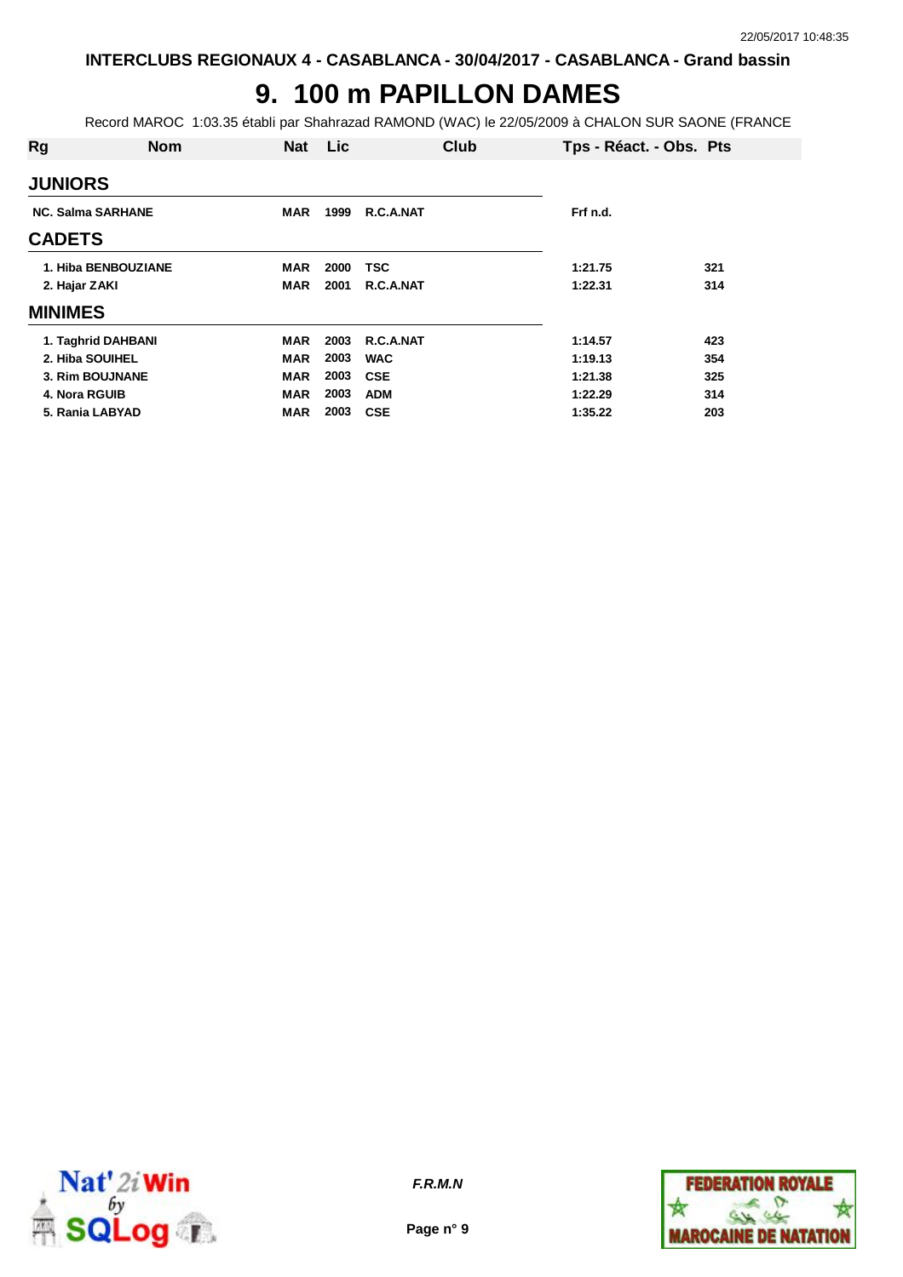# **9. 100 m PAPILLON DAMES**

Record MAROC 1:03.35 établi par Shahrazad RAMOND (WAC) le 22/05/2009 à CHALON SUR SAONE (FRANCE

| Rg              | <b>Nom</b>               | <b>Nat</b> | <b>Lic</b> | Club       | Tps - Réact. - Obs. Pts |     |
|-----------------|--------------------------|------------|------------|------------|-------------------------|-----|
| <b>JUNIORS</b>  |                          |            |            |            |                         |     |
|                 | <b>NC. Salma SARHANE</b> | <b>MAR</b> | 1999       | R.C.A.NAT  | Frf n.d.                |     |
| <b>CADETS</b>   |                          |            |            |            |                         |     |
|                 | 1. Hiba BENBOUZIANE      | <b>MAR</b> | 2000       | <b>TSC</b> | 1:21.75                 | 321 |
| 2. Hajar ZAKI   |                          | <b>MAR</b> | 2001       | R.C.A.NAT  | 1:22.31                 | 314 |
| <b>MINIMES</b>  |                          |            |            |            |                         |     |
|                 | 1. Taghrid DAHBANI       | <b>MAR</b> | 2003       | R.C.A.NAT  | 1:14.57                 | 423 |
| 2. Hiba SOUIHEL |                          | <b>MAR</b> | 2003       | <b>WAC</b> | 1:19.13                 | 354 |
|                 | 3. Rim BOUJNANE          | <b>MAR</b> | 2003       | <b>CSE</b> | 1:21.38                 | 325 |
| 4. Nora RGUIB   |                          | <b>MAR</b> | 2003       | <b>ADM</b> | 1:22.29                 | 314 |
| 5. Rania LABYAD |                          | MAR        | 2003       | <b>CSE</b> | 1:35.22                 | 203 |



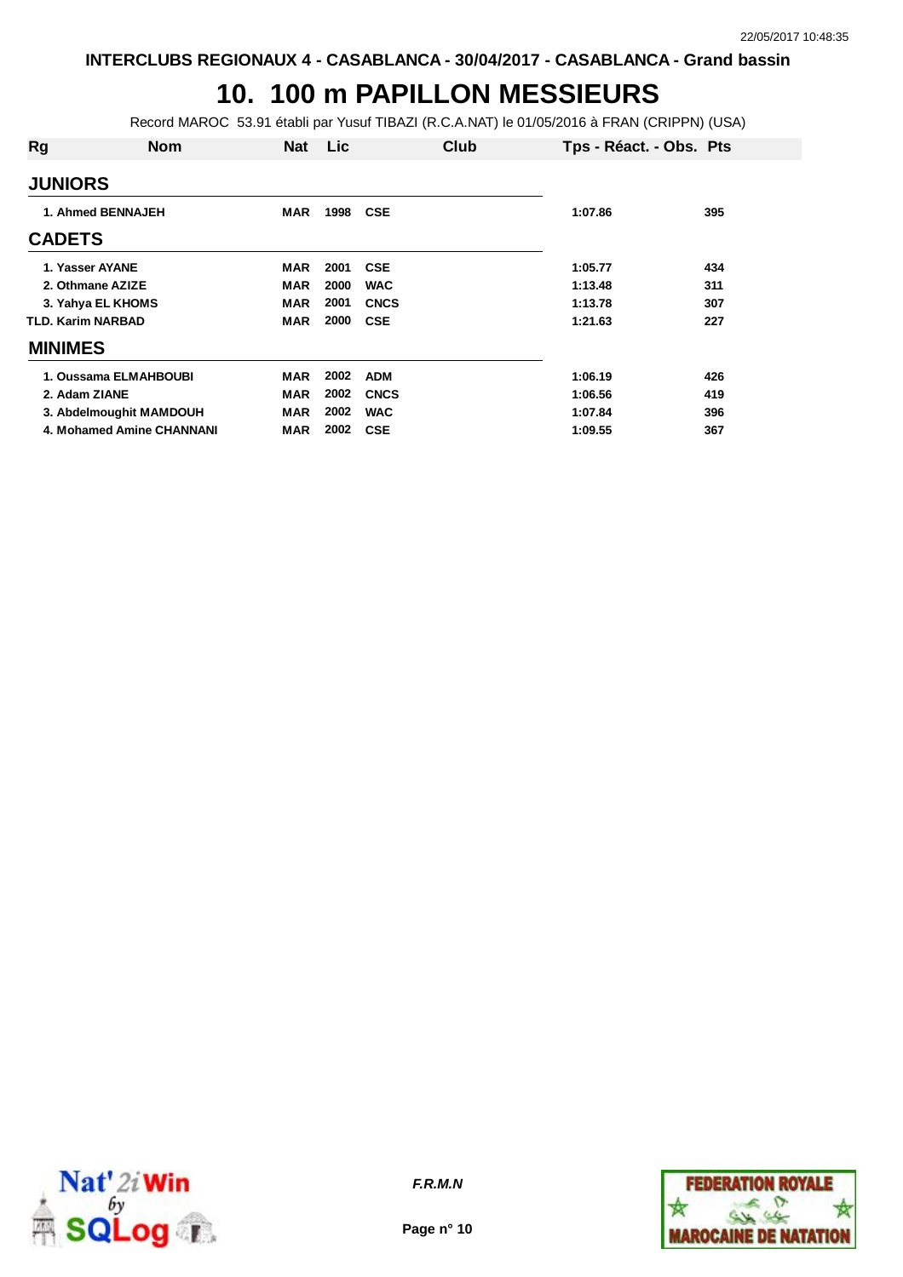### **10. 100 m PAPILLON MESSIEURS**

Record MAROC 53.91 établi par Yusuf TIBAZI (R.C.A.NAT) le 01/05/2016 à FRAN (CRIPPN) (USA)

| Rg                | <b>Nom</b>                | <b>Nat</b> | <b>Lic</b> | Club        | Tps - Réact. - Obs. Pts |     |
|-------------------|---------------------------|------------|------------|-------------|-------------------------|-----|
| <b>JUNIORS</b>    |                           |            |            |             |                         |     |
|                   | 1. Ahmed BENNAJEH         | <b>MAR</b> | 1998       | <b>CSE</b>  | 1:07.86                 | 395 |
| <b>CADETS</b>     |                           |            |            |             |                         |     |
| 1. Yasser AYANE   |                           | MAR        | 2001       | <b>CSE</b>  | 1:05.77                 | 434 |
| 2. Othmane AZIZE  |                           | MAR        | 2000       | <b>WAC</b>  | 1:13.48                 | 311 |
|                   | 3. Yahya EL KHOMS         | <b>MAR</b> | 2001       | <b>CNCS</b> | 1:13.78                 | 307 |
| TLD. Karim NARBAD |                           | <b>MAR</b> | 2000       | <b>CSE</b>  | 1:21.63                 | 227 |
| <b>MINIMES</b>    |                           |            |            |             |                         |     |
|                   | 1. Oussama ELMAHBOUBI     | <b>MAR</b> | 2002       | <b>ADM</b>  | 1:06.19                 | 426 |
| 2. Adam ZIANE     |                           | <b>MAR</b> | 2002       | <b>CNCS</b> | 1:06.56                 | 419 |
|                   | 3. Abdelmoughit MAMDOUH   | <b>MAR</b> | 2002       | <b>WAC</b>  | 1:07.84                 | 396 |
|                   | 4. Mohamed Amine CHANNANI | <b>MAR</b> | 2002       | <b>CSE</b>  | 1:09.55                 | 367 |



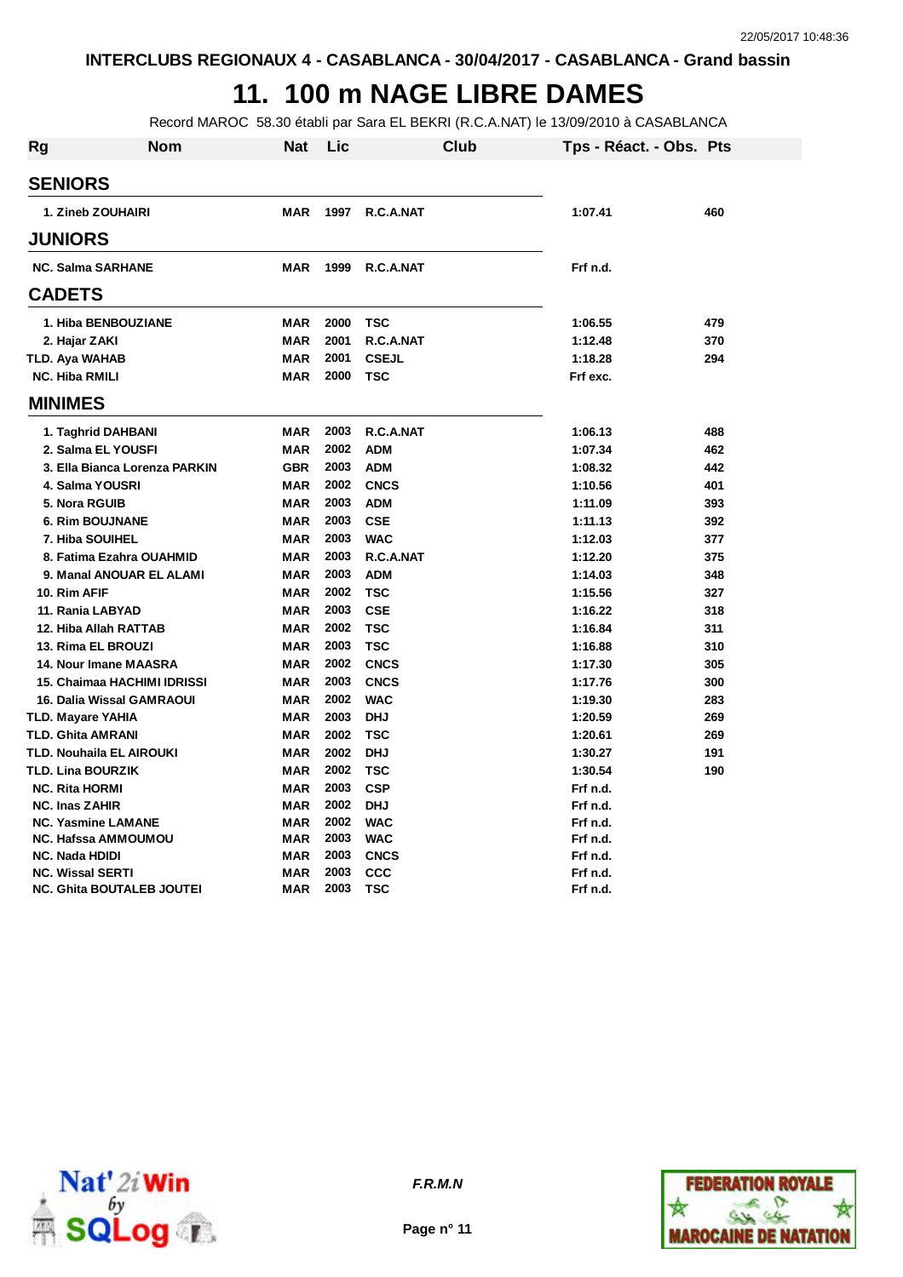# **11. 100 m NAGE LIBRE DAMES**

Record MAROC 58.30 établi par Sara EL BEKRI (R.C.A.NAT) le 13/09/2010 à CASABLANCA

| <b>Rg</b> | <b>Nom</b>                       | Nat        | Lic  | Club         | Tps - Réact. - Obs. Pts |     |
|-----------|----------------------------------|------------|------|--------------|-------------------------|-----|
|           | <b>SENIORS</b>                   |            |      |              |                         |     |
|           | 1. Zineb ZOUHAIRI                | <b>MAR</b> | 1997 | R.C.A.NAT    | 1:07.41                 | 460 |
|           | <b>JUNIORS</b>                   |            |      |              |                         |     |
|           |                                  |            |      |              |                         |     |
|           | <b>NC. Salma SARHANE</b>         | <b>MAR</b> | 1999 | R.C.A.NAT    | Frf n.d.                |     |
|           | <b>CADETS</b>                    |            |      |              |                         |     |
|           | 1. Hiba BENBOUZIANE              | <b>MAR</b> | 2000 | <b>TSC</b>   | 1:06.55                 | 479 |
|           | 2. Hajar ZAKI                    | <b>MAR</b> | 2001 | R.C.A.NAT    | 1:12.48                 | 370 |
|           | TLD. Aya WAHAB                   | <b>MAR</b> | 2001 | <b>CSEJL</b> | 1:18.28                 | 294 |
|           | <b>NC. Hiba RMILI</b>            | <b>MAR</b> | 2000 | TSC          | Frf exc.                |     |
|           | <b>MINIMES</b>                   |            |      |              |                         |     |
|           | 1. Taghrid DAHBANI               | <b>MAR</b> | 2003 | R.C.A.NAT    | 1:06.13                 | 488 |
|           | 2. Salma EL YOUSFI               | <b>MAR</b> | 2002 | <b>ADM</b>   | 1:07.34                 | 462 |
|           | 3. Ella Bianca Lorenza PARKIN    | <b>GBR</b> | 2003 | <b>ADM</b>   | 1:08.32                 | 442 |
|           | 4. Salma YOUSRI                  | <b>MAR</b> | 2002 | <b>CNCS</b>  | 1:10.56                 | 401 |
|           | 5. Nora RGUIB                    | <b>MAR</b> | 2003 | <b>ADM</b>   | 1:11.09                 | 393 |
|           | <b>6. Rim BOUJNANE</b>           | <b>MAR</b> | 2003 | <b>CSE</b>   | 1:11.13                 | 392 |
|           | 7. Hiba SOUIHEL                  | <b>MAR</b> | 2003 | <b>WAC</b>   | 1:12.03                 | 377 |
|           | 8. Fatima Ezahra OUAHMID         | <b>MAR</b> | 2003 | R.C.A.NAT    | 1:12.20                 | 375 |
|           | 9. Manal ANOUAR EL ALAMI         | <b>MAR</b> | 2003 | <b>ADM</b>   | 1:14.03                 | 348 |
|           | 10. Rim AFIF                     | MAR        | 2002 | <b>TSC</b>   | 1:15.56                 | 327 |
|           | 11. Rania LABYAD                 | <b>MAR</b> | 2003 | <b>CSE</b>   | 1:16.22                 | 318 |
|           | 12. Hiba Allah RATTAB            | <b>MAR</b> | 2002 | <b>TSC</b>   | 1:16.84                 | 311 |
|           | 13. Rima EL BROUZI               | <b>MAR</b> | 2003 | <b>TSC</b>   | 1:16.88                 | 310 |
|           | 14. Nour Imane MAASRA            | <b>MAR</b> | 2002 | <b>CNCS</b>  | 1:17.30                 | 305 |
|           | 15. Chaimaa HACHIMI IDRISSI      | <b>MAR</b> | 2003 | <b>CNCS</b>  | 1:17.76                 | 300 |
|           | 16. Dalia Wissal GAMRAOUI        | <b>MAR</b> | 2002 | <b>WAC</b>   | 1:19.30                 | 283 |
|           | TLD. Mayare YAHIA                | <b>MAR</b> | 2003 | <b>DHJ</b>   | 1:20.59                 | 269 |
|           | TLD. Ghita AMRANI                | <b>MAR</b> | 2002 | <b>TSC</b>   | 1:20.61                 | 269 |
|           | <b>TLD. Nouhaila EL AIROUKI</b>  | <b>MAR</b> | 2002 | <b>DHJ</b>   | 1:30.27                 | 191 |
|           | TLD. Lina BOURZIK                | <b>MAR</b> | 2002 | <b>TSC</b>   | 1:30.54                 | 190 |
|           | <b>NC. Rita HORMI</b>            | <b>MAR</b> | 2003 | <b>CSP</b>   | Frf n.d.                |     |
|           | <b>NC. Inas ZAHIR</b>            | <b>MAR</b> | 2002 | <b>DHJ</b>   | Frf n.d.                |     |
|           | <b>NC. Yasmine LAMANE</b>        | <b>MAR</b> | 2002 | <b>WAC</b>   | Frf n.d.                |     |
|           | <b>NC. Hafssa AMMOUMOU</b>       | <b>MAR</b> | 2003 | <b>WAC</b>   | Frf n.d.                |     |
|           | <b>NC. Nada HDIDI</b>            | <b>MAR</b> | 2003 | <b>CNCS</b>  | Frf n.d.                |     |
|           | <b>NC. Wissal SERTI</b>          | <b>MAR</b> | 2003 | <b>CCC</b>   | Frf n.d.                |     |
|           | <b>NC. Ghita BOUTALEB JOUTEI</b> | <b>MAR</b> | 2003 | <b>TSC</b>   | Frf n.d.                |     |



**Page n° 11**

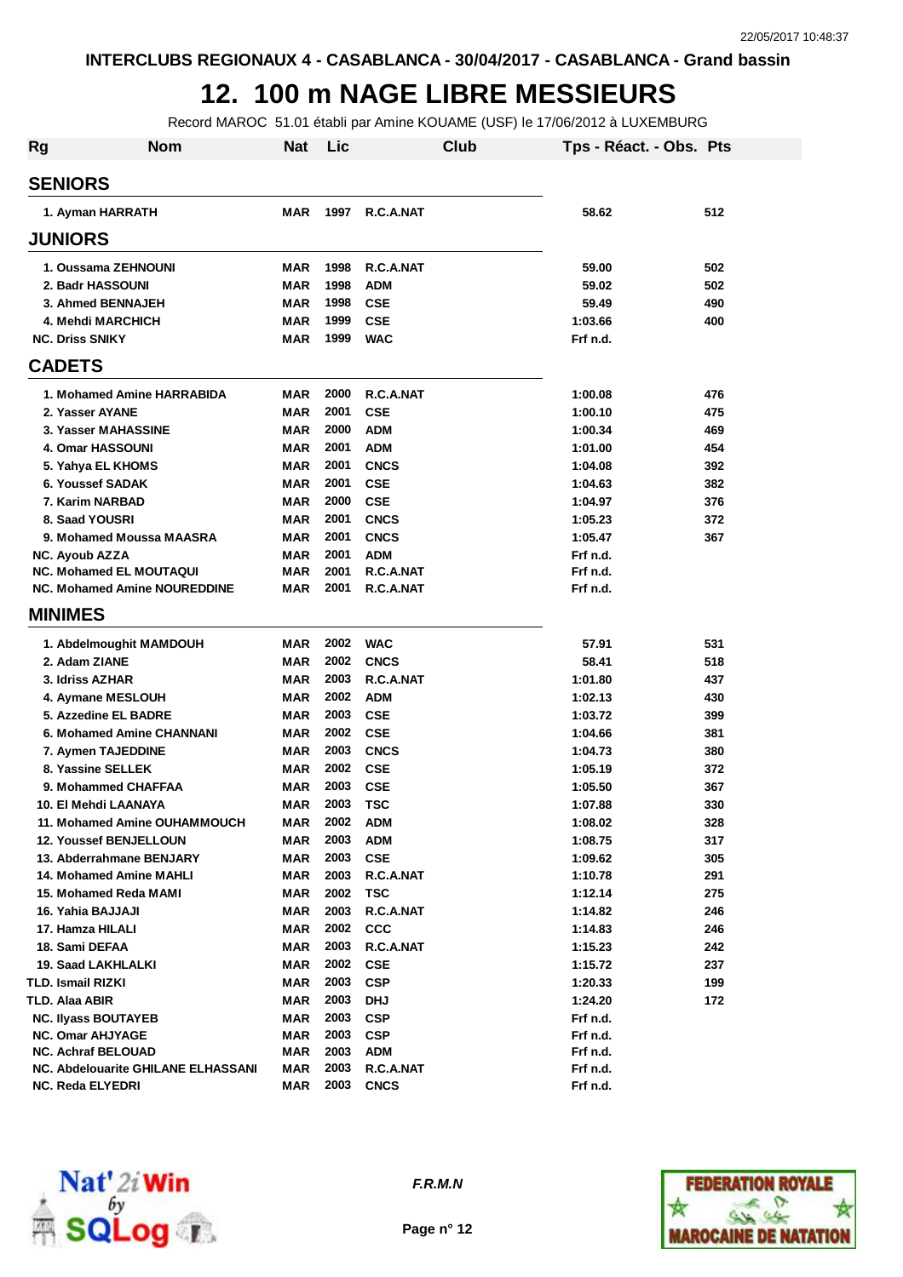#### **12. 100 m NAGE LIBRE MESSIEURS**

Record MAROC 51.01 établi par Amine KOUAME (USF) le 17/06/2012 à LUXEMBURG

| Rg | <b>Nom</b>                                   | <b>Nat</b>               | Lic          | Club                     | Tps - Réact. - Obs. Pts |            |
|----|----------------------------------------------|--------------------------|--------------|--------------------------|-------------------------|------------|
|    | <b>SENIORS</b>                               |                          |              |                          |                         |            |
|    | 1. Ayman HARRATH                             | <b>MAR</b>               | 1997         | R.C.A.NAT                | 58.62                   | 512        |
|    | <b>JUNIORS</b>                               |                          |              |                          |                         |            |
|    | 1. Oussama ZEHNOUNI                          | MAR                      | 1998         | R.C.A.NAT                | 59.00                   | 502        |
|    | 2. Badr HASSOUNI                             | <b>MAR</b>               | 1998         | <b>ADM</b>               | 59.02                   | 502        |
|    | 3. Ahmed BENNAJEH                            | <b>MAR</b>               | 1998         | <b>CSE</b>               | 59.49                   | 490        |
|    | 4. Mehdi MARCHICH                            | <b>MAR</b>               | 1999         | <b>CSE</b>               | 1:03.66                 | 400        |
|    | <b>NC. Driss SNIKY</b>                       | <b>MAR</b>               | 1999         | <b>WAC</b>               | Frf n.d.                |            |
|    | <b>CADETS</b>                                |                          |              |                          |                         |            |
|    | 1. Mohamed Amine HARRABIDA                   | <b>MAR</b>               | 2000         | R.C.A.NAT                | 1:00.08                 | 476        |
|    | 2. Yasser AYANE                              | <b>MAR</b>               | 2001         | <b>CSE</b>               | 1:00.10                 | 475        |
|    | 3. Yasser MAHASSINE                          | <b>MAR</b>               | 2000         | <b>ADM</b>               | 1:00.34                 | 469        |
|    | 4. Omar HASSOUNI                             | <b>MAR</b>               | 2001         | <b>ADM</b>               | 1:01.00                 | 454        |
|    | 5. Yahya EL KHOMS                            | <b>MAR</b>               | 2001         | <b>CNCS</b>              | 1:04.08                 | 392        |
|    | 6. Youssef SADAK                             | <b>MAR</b>               | 2001         | <b>CSE</b>               | 1:04.63                 | 382        |
|    | 7. Karim NARBAD                              | <b>MAR</b>               | 2000         | <b>CSE</b>               | 1:04.97                 | 376        |
|    | 8. Saad YOUSRI                               | <b>MAR</b>               | 2001         | <b>CNCS</b>              | 1:05.23                 | 372        |
|    | 9. Mohamed Moussa MAASRA                     | <b>MAR</b>               | 2001         | <b>CNCS</b>              | 1:05.47                 | 367        |
|    | NC. Ayoub AZZA                               | <b>MAR</b>               | 2001         | <b>ADM</b>               | Frf n.d.                |            |
|    | <b>NC. Mohamed EL MOUTAQUI</b>               | <b>MAR</b>               | 2001         | R.C.A.NAT                | Frf n.d.                |            |
|    | <b>NC. Mohamed Amine NOUREDDINE</b>          | <b>MAR</b>               | 2001         | R.C.A.NAT                | Frf n.d.                |            |
|    | <b>MINIMES</b>                               |                          |              |                          |                         |            |
|    | 1. Abdelmoughit MAMDOUH                      | <b>MAR</b>               | 2002         | <b>WAC</b>               | 57.91                   | 531        |
|    | 2. Adam ZIANE                                | <b>MAR</b>               | 2002         | <b>CNCS</b>              | 58.41                   | 518        |
|    | 3. Idriss AZHAR                              | <b>MAR</b>               | 2003         | R.C.A.NAT                | 1:01.80                 | 437        |
|    | 4. Aymane MESLOUH                            | <b>MAR</b>               | 2002         | <b>ADM</b>               | 1:02.13                 | 430        |
|    | 5. Azzedine EL BADRE                         | <b>MAR</b>               | 2003         | <b>CSE</b>               | 1:03.72                 | 399        |
|    | 6. Mohamed Amine CHANNANI                    | <b>MAR</b>               | 2002         | <b>CSE</b>               | 1:04.66                 | 381        |
|    | 7. Aymen TAJEDDINE                           | <b>MAR</b>               | 2003         | <b>CNCS</b>              | 1:04.73                 | 380        |
|    | 8. Yassine SELLEK                            | <b>MAR</b>               | 2002         | <b>CSE</b>               | 1:05.19                 | 372        |
|    | 9. Mohammed CHAFFAA                          | <b>MAR</b>               | 2003         | <b>CSE</b>               | 1:05.50                 | 367        |
|    | 10. El Mehdi LAANAYA                         | <b>MAR</b>               | 2003         | <b>TSC</b>               | 1:07.88                 | 330        |
|    | 11. Mohamed Amine OUHAMMOUCH                 | <b>MAR</b>               |              | 2002 ADM                 | 1:08.02                 | 328        |
|    | 12. Youssef BENJELLOUN                       | MAR                      | 2003         | <b>ADM</b>               | 1:08.75                 | 317        |
|    | 13. Abderrahmane BENJARY                     | <b>MAR</b>               | 2003         | <b>CSE</b>               | 1:09.62                 | 305        |
|    | 14. Mohamed Amine MAHLI                      | <b>MAR</b>               | 2003         | R.C.A.NAT                | 1:10.78                 | 291        |
|    | 15. Mohamed Reda MAMI                        | <b>MAR</b>               | 2002         | <b>TSC</b>               | 1:12.14                 | 275        |
|    | 16. Yahia BAJJAJI                            | <b>MAR</b>               | 2003         | R.C.A.NAT                | 1:14.82                 | 246        |
|    | 17. Hamza HILALI                             | <b>MAR</b>               | 2002         | ccc                      | 1:14.83                 | 246        |
|    | 18. Sami DEFAA<br>19. Saad LAKHLALKI         | <b>MAR</b>               | 2003         | R.C.A.NAT                | 1:15.23                 | 242        |
|    |                                              | <b>MAR</b><br><b>MAR</b> | 2002<br>2003 | <b>CSE</b><br><b>CSP</b> | 1:15.72                 | 237<br>199 |
|    | <b>TLD. Ismail RIZKI</b>                     |                          |              |                          | 1:20.33                 |            |
|    | TLD. Alaa ABIR<br><b>NC. Ilyass BOUTAYEB</b> | <b>MAR</b><br><b>MAR</b> | 2003<br>2003 | <b>DHJ</b><br><b>CSP</b> | 1:24.20                 | 172        |
|    | <b>NC. Omar AHJYAGE</b>                      | <b>MAR</b>               | 2003         | <b>CSP</b>               | Frf n.d.<br>Frf n.d.    |            |
|    | NC. Achraf BELOUAD                           | <b>MAR</b>               | 2003         | <b>ADM</b>               | Frf n.d.                |            |
|    | NC. Abdelouarite GHILANE ELHASSANI           | <b>MAR</b>               | 2003         | R.C.A.NAT                | Frf n.d.                |            |
|    | NC. Reda ELYEDRI                             | <b>MAR</b>               | 2003         | <b>CNCS</b>              | Frf n.d.                |            |



*F.R.M.N*

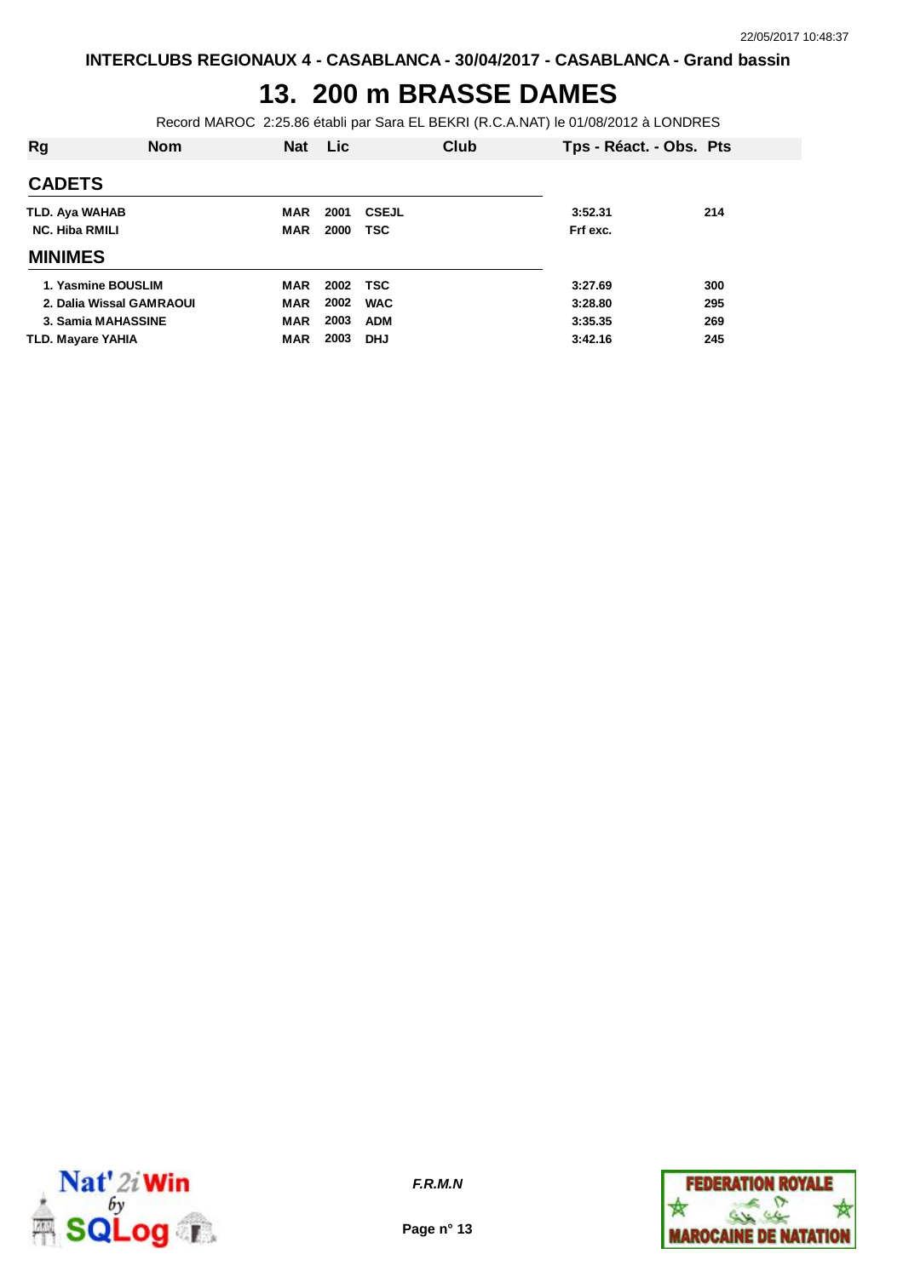## **13. 200 m BRASSE DAMES**

Record MAROC 2:25.86 établi par Sara EL BEKRI (R.C.A.NAT) le 01/08/2012 à LONDRES

| Rg                       | <b>Nom</b> | <b>Nat</b> | Lic  | Club         | Tps - Réact. - Obs. Pts |     |
|--------------------------|------------|------------|------|--------------|-------------------------|-----|
| <b>CADETS</b>            |            |            |      |              |                         |     |
| TLD. Aya WAHAB           |            | <b>MAR</b> | 2001 | <b>CSEJL</b> | 3:52.31                 | 214 |
| <b>NC. Hiba RMILI</b>    |            | <b>MAR</b> | 2000 | TSC          | Frf exc.                |     |
| <b>MINIMES</b>           |            |            |      |              |                         |     |
| 1. Yasmine BOUSLIM       |            | <b>MAR</b> | 2002 | TSC          | 3:27.69                 | 300 |
| 2. Dalia Wissal GAMRAOUI |            | <b>MAR</b> | 2002 | <b>WAC</b>   | 3:28.80                 | 295 |
| 3. Samia MAHASSINE       |            | <b>MAR</b> | 2003 | <b>ADM</b>   | 3:35.35                 | 269 |
| TLD. Mayare YAHIA        |            | <b>MAR</b> | 2003 | <b>DHJ</b>   | 3:42.16                 | 245 |



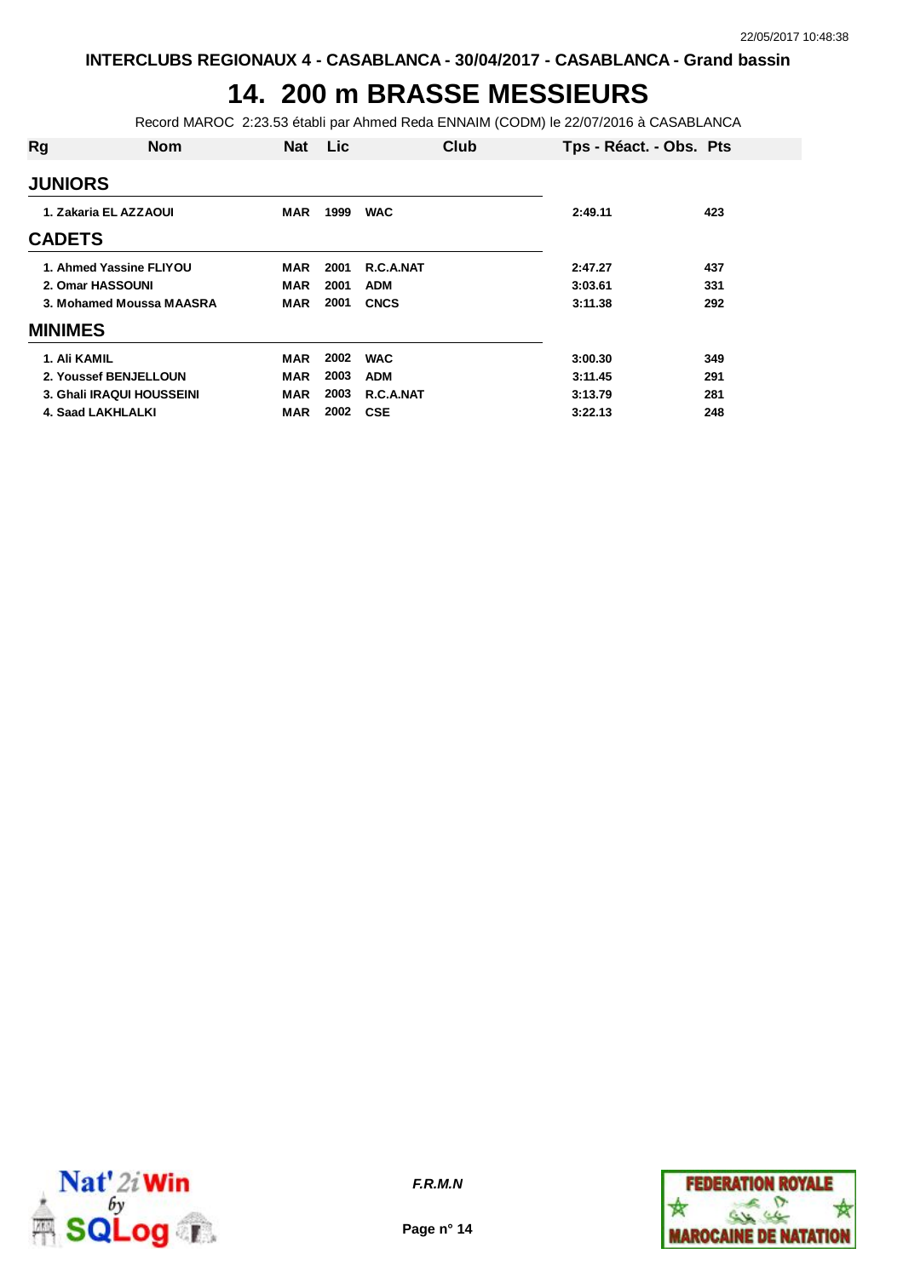## **14. 200 m BRASSE MESSIEURS**

Record MAROC 2:23.53 établi par Ahmed Reda ENNAIM (CODM) le 22/07/2016 à CASABLANCA

| Rg                    | <b>Nom</b>                | <b>Nat</b> | <b>Lic</b> | Club        | Tps - Réact. - Obs. Pts |     |
|-----------------------|---------------------------|------------|------------|-------------|-------------------------|-----|
| <b>JUNIORS</b>        |                           |            |            |             |                         |     |
| 1. Zakaria EL AZZAOUI |                           | MAR        | 1999       | <b>WAC</b>  | 2:49.11                 | 423 |
| <b>CADETS</b>         |                           |            |            |             |                         |     |
|                       | 1. Ahmed Yassine FLIYOU   | <b>MAR</b> | 2001       | R.C.A.NAT   | 2:47.27                 | 437 |
|                       | 2. Omar HASSOUNI          | MAR        | 2001       | <b>ADM</b>  | 3:03.61                 | 331 |
|                       | 3. Mohamed Moussa MAASRA  | <b>MAR</b> | 2001       | <b>CNCS</b> | 3:11.38                 | 292 |
| <b>MINIMES</b>        |                           |            |            |             |                         |     |
| 1. Ali KAMIL          |                           | <b>MAR</b> | 2002       | <b>WAC</b>  | 3:00.30                 | 349 |
|                       | 2. Youssef BENJELLOUN     | <b>MAR</b> | 2003       | <b>ADM</b>  | 3:11.45                 | 291 |
|                       | 3. Ghali IRAQUI HOUSSEINI | <b>MAR</b> | 2003       | R.C.A.NAT   | 3:13.79                 | 281 |
|                       | 4. Saad LAKHLALKI         | MAR        | 2002       | <b>CSE</b>  | 3:22.13                 | 248 |



**Page n° 14**

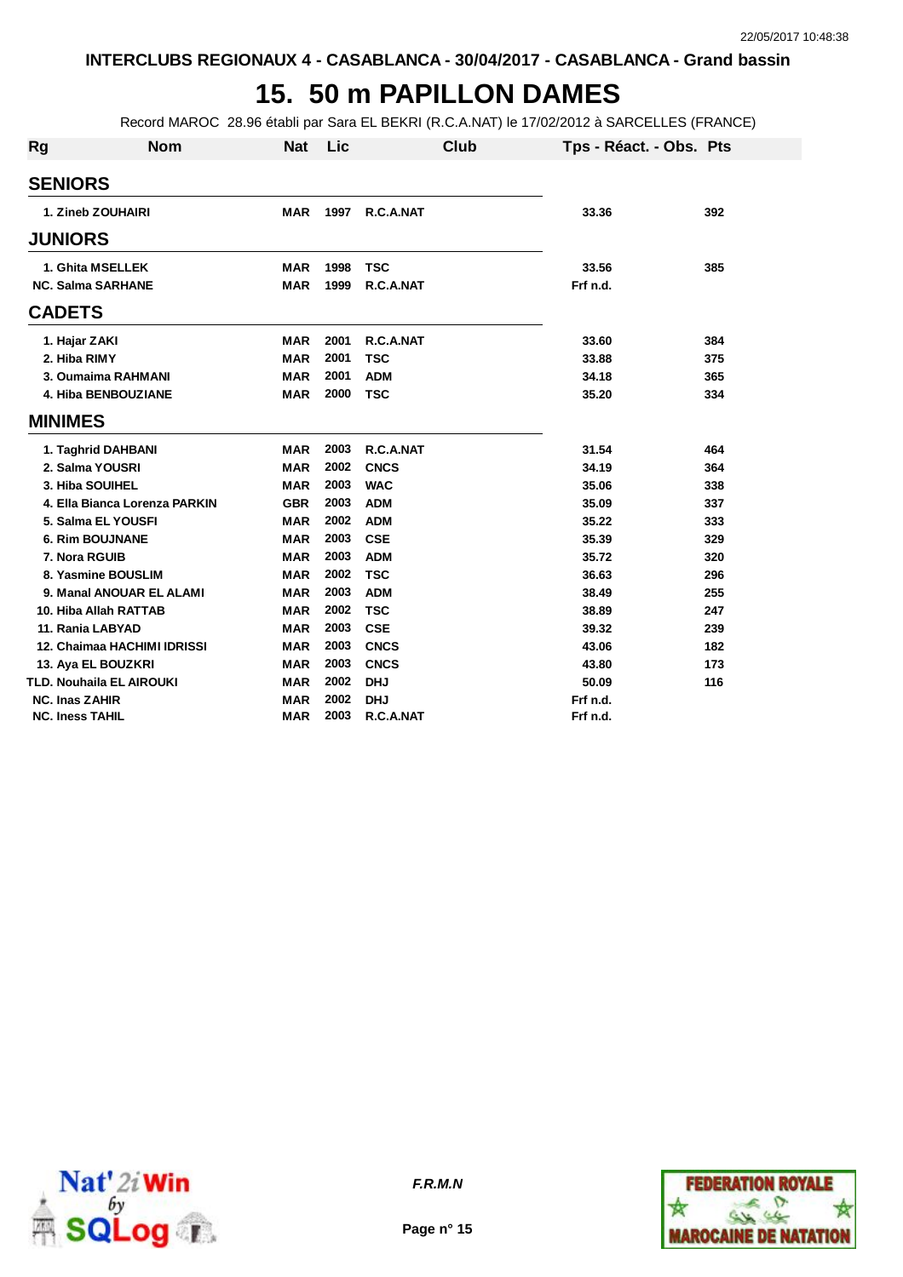## **15. 50 m PAPILLON DAMES**

Record MAROC 28.96 établi par Sara EL BEKRI (R.C.A.NAT) le 17/02/2012 à SARCELLES (FRANCE)

| Rg | <b>Nom</b>                    | <b>Nat</b> | Lic  | <b>Club</b> | Tps - Réact. - Obs. Pts |     |
|----|-------------------------------|------------|------|-------------|-------------------------|-----|
|    | <b>SENIORS</b>                |            |      |             |                         |     |
|    | 1. Zineb ZOUHAIRI             | <b>MAR</b> | 1997 | R.C.A.NAT   | 33.36                   | 392 |
|    | <b>JUNIORS</b>                |            |      |             |                         |     |
|    | 1. Ghita MSELLEK              | MAR        | 1998 | <b>TSC</b>  | 33.56                   | 385 |
|    | <b>NC. Salma SARHANE</b>      | <b>MAR</b> | 1999 | R.C.A.NAT   | Frf n.d.                |     |
|    | <b>CADETS</b>                 |            |      |             |                         |     |
|    | 1. Hajar ZAKI                 | MAR        | 2001 | R.C.A.NAT   | 33.60                   | 384 |
|    | 2. Hiba RIMY                  | <b>MAR</b> | 2001 | <b>TSC</b>  | 33.88                   | 375 |
|    | 3. Oumaima RAHMANI            | <b>MAR</b> | 2001 | <b>ADM</b>  | 34.18                   | 365 |
|    | 4. Hiba BENBOUZIANE           | <b>MAR</b> | 2000 | <b>TSC</b>  | 35.20                   | 334 |
|    | <b>MINIMES</b>                |            |      |             |                         |     |
|    | 1. Taghrid DAHBANI            | <b>MAR</b> | 2003 | R.C.A.NAT   | 31.54                   | 464 |
|    | 2. Salma YOUSRI               | <b>MAR</b> | 2002 | <b>CNCS</b> | 34.19                   | 364 |
|    | 3. Hiba SOUIHEL               | <b>MAR</b> | 2003 | <b>WAC</b>  | 35.06                   | 338 |
|    | 4. Ella Bianca Lorenza PARKIN | <b>GBR</b> | 2003 | <b>ADM</b>  | 35.09                   | 337 |
|    | 5. Salma EL YOUSFI            | <b>MAR</b> | 2002 | <b>ADM</b>  | 35.22                   | 333 |
|    | <b>6. Rim BOUJNANE</b>        | <b>MAR</b> | 2003 | <b>CSE</b>  | 35.39                   | 329 |
|    | 7. Nora RGUIB                 | <b>MAR</b> | 2003 | <b>ADM</b>  | 35.72                   | 320 |
|    | 8. Yasmine BOUSLIM            | <b>MAR</b> | 2002 | <b>TSC</b>  | 36.63                   | 296 |
|    | 9. Manal ANOUAR EL ALAMI      | <b>MAR</b> | 2003 | <b>ADM</b>  | 38.49                   | 255 |
|    | 10. Hiba Allah RATTAB         | <b>MAR</b> | 2002 | <b>TSC</b>  | 38.89                   | 247 |
|    | 11. Rania LABYAD              | <b>MAR</b> | 2003 | <b>CSE</b>  | 39.32                   | 239 |
|    | 12. Chaimaa HACHIMI IDRISSI   | <b>MAR</b> | 2003 | <b>CNCS</b> | 43.06                   | 182 |
|    | 13. Aya EL BOUZKRI            | <b>MAR</b> | 2003 | <b>CNCS</b> | 43.80                   | 173 |
|    | TLD. Nouhaila EL AIROUKI      | <b>MAR</b> | 2002 | <b>DHJ</b>  | 50.09                   | 116 |
|    | <b>NC. Inas ZAHIR</b>         | <b>MAR</b> | 2002 | <b>DHJ</b>  | Frf n.d.                |     |
|    | <b>NC. Iness TAHIL</b>        | <b>MAR</b> | 2003 | R.C.A.NAT   | Frf n.d.                |     |



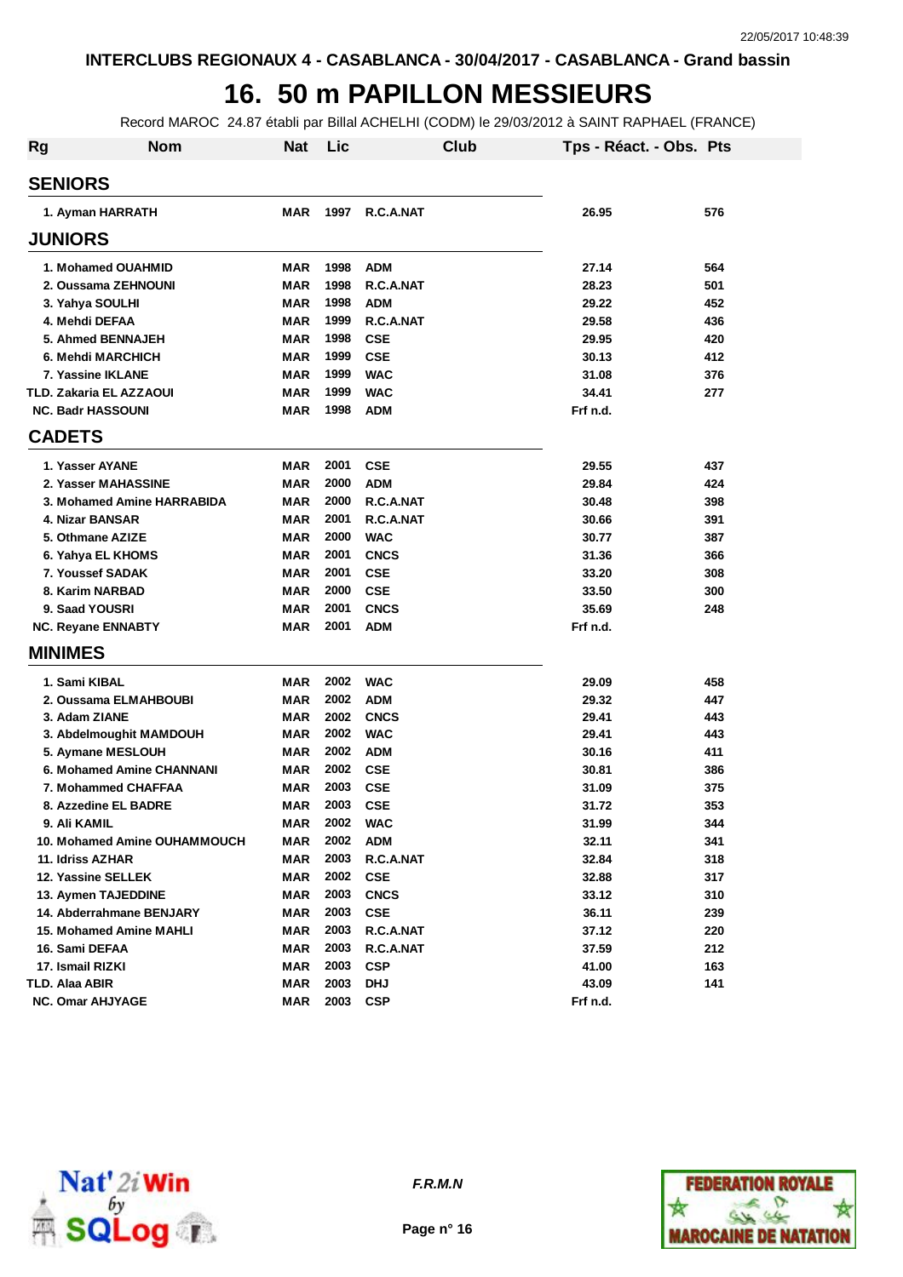#### **16. 50 m PAPILLON MESSIEURS**

Record MAROC 24.87 établi par Billal ACHELHI (CODM) le 29/03/2012 à SAINT RAPHAEL (FRANCE)

| Rg | <b>Nom</b>                     | <b>Nat</b> | Lic  | Club        |          | Tps - Réact. - Obs. Pts |
|----|--------------------------------|------------|------|-------------|----------|-------------------------|
|    | <b>SENIORS</b>                 |            |      |             |          |                         |
|    | 1. Ayman HARRATH               | <b>MAR</b> | 1997 | R.C.A.NAT   | 26.95    | 576                     |
|    | <b>JUNIORS</b>                 |            |      |             |          |                         |
|    | 1. Mohamed OUAHMID             | <b>MAR</b> | 1998 | <b>ADM</b>  | 27.14    | 564                     |
|    | 2. Oussama ZEHNOUNI            | <b>MAR</b> | 1998 | R.C.A.NAT   | 28.23    | 501                     |
|    | 3. Yahya SOULHI                | <b>MAR</b> | 1998 | <b>ADM</b>  | 29.22    | 452                     |
|    | 4. Mehdi DEFAA                 | <b>MAR</b> | 1999 | R.C.A.NAT   | 29.58    | 436                     |
|    | 5. Ahmed BENNAJEH              | <b>MAR</b> | 1998 | <b>CSE</b>  | 29.95    | 420                     |
|    | 6. Mehdi MARCHICH              | <b>MAR</b> | 1999 | <b>CSE</b>  | 30.13    | 412                     |
|    | 7. Yassine IKLANE              | <b>MAR</b> | 1999 | <b>WAC</b>  | 31.08    | 376                     |
|    | <b>TLD. Zakaria EL AZZAOUI</b> | <b>MAR</b> | 1999 | <b>WAC</b>  | 34.41    | 277                     |
|    | <b>NC. Badr HASSOUNI</b>       | <b>MAR</b> | 1998 | <b>ADM</b>  | Frf n.d. |                         |
|    | <b>CADETS</b>                  |            |      |             |          |                         |
|    | 1. Yasser AYANE                | MAR        | 2001 | <b>CSE</b>  | 29.55    | 437                     |
|    | 2. Yasser MAHASSINE            | <b>MAR</b> | 2000 | <b>ADM</b>  | 29.84    | 424                     |
|    | 3. Mohamed Amine HARRABIDA     | <b>MAR</b> | 2000 | R.C.A.NAT   | 30.48    | 398                     |
|    | 4. Nizar BANSAR                | MAR        | 2001 | R.C.A.NAT   | 30.66    | 391                     |
|    | 5. Othmane AZIZE               | <b>MAR</b> | 2000 | <b>WAC</b>  | 30.77    | 387                     |
|    | 6. Yahya EL KHOMS              | MAR        | 2001 | <b>CNCS</b> | 31.36    | 366                     |
|    | 7. Youssef SADAK               | <b>MAR</b> | 2001 | <b>CSE</b>  | 33.20    | 308                     |
|    | 8. Karim NARBAD                | <b>MAR</b> | 2000 | <b>CSE</b>  | 33.50    | 300                     |
|    | 9. Saad YOUSRI                 | MAR        | 2001 | <b>CNCS</b> | 35.69    | 248                     |
|    | <b>NC. Reyane ENNABTY</b>      | <b>MAR</b> | 2001 | <b>ADM</b>  | Frf n.d. |                         |
|    | <b>MINIMES</b>                 |            |      |             |          |                         |
|    | 1. Sami KIBAL                  | <b>MAR</b> | 2002 | <b>WAC</b>  | 29.09    | 458                     |
|    | 2. Oussama ELMAHBOUBI          | MAR        | 2002 | <b>ADM</b>  | 29.32    | 447                     |
|    | 3. Adam ZIANE                  | <b>MAR</b> | 2002 | <b>CNCS</b> | 29.41    | 443                     |
|    | 3. Abdelmoughit MAMDOUH        | <b>MAR</b> | 2002 | <b>WAC</b>  | 29.41    | 443                     |
|    | 5. Aymane MESLOUH              | <b>MAR</b> | 2002 | <b>ADM</b>  | 30.16    | 411                     |
|    | 6. Mohamed Amine CHANNANI      | <b>MAR</b> | 2002 | <b>CSE</b>  | 30.81    | 386                     |
|    | 7. Mohammed CHAFFAA            | <b>MAR</b> | 2003 | <b>CSE</b>  | 31.09    | 375                     |
|    | 8. Azzedine EL BADRE           | <b>MAR</b> | 2003 | <b>CSE</b>  | 31.72    | 353                     |
|    | 9. Ali KAMIL                   | MAR        | 2002 | <b>WAC</b>  | 31.99    | 344                     |
|    | 10. Mohamed Amine OUHAMMOUCH   | MAR        | 2002 | ADM         | 32.11    | 341                     |
|    | 11. Idriss AZHAR               | MAR        | 2003 | R.C.A.NAT   | 32.84    | 318                     |
|    | 12. Yassine SELLEK             | <b>MAR</b> | 2002 | <b>CSE</b>  | 32.88    | 317                     |
|    | 13. Aymen TAJEDDINE            | MAR        | 2003 | <b>CNCS</b> | 33.12    | 310                     |
|    | 14. Abderrahmane BENJARY       | MAR        | 2003 | <b>CSE</b>  | 36.11    | 239                     |
|    | 15. Mohamed Amine MAHLI        | MAR        | 2003 | R.C.A.NAT   | 37.12    | 220                     |
|    | 16. Sami DEFAA                 | <b>MAR</b> | 2003 | R.C.A.NAT   | 37.59    | 212                     |
|    | 17. Ismail RIZKI               | <b>MAR</b> | 2003 | <b>CSP</b>  | 41.00    | 163                     |
|    | <b>TLD. Alaa ABIR</b>          | <b>MAR</b> | 2003 | <b>DHJ</b>  | 43.09    | 141                     |
|    | <b>NC. Omar AHJYAGE</b>        | MAR        | 2003 | <b>CSP</b>  | Frf n.d. |                         |



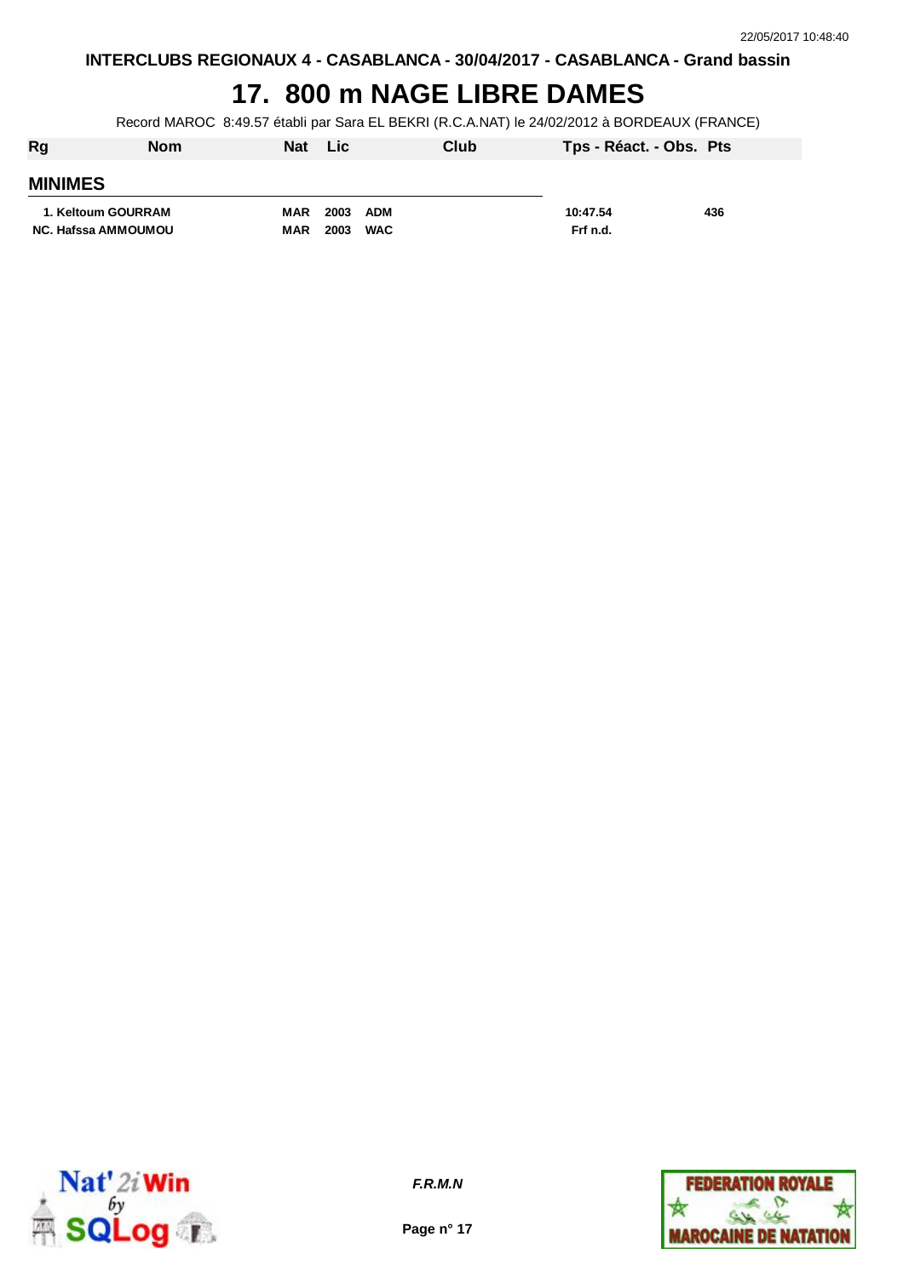## **17. 800 m NAGE LIBRE DAMES**

Record MAROC 8:49.57 établi par Sara EL BEKRI (R.C.A.NAT) le 24/02/2012 à BORDEAUX (FRANCE)

| Rg             | <b>Nom</b>                 | <b>Nat</b> | <b>Lic</b>         | Club | Tps - Réact. - Obs. Pts |     |
|----------------|----------------------------|------------|--------------------|------|-------------------------|-----|
| <b>MINIMES</b> |                            |            |                    |      |                         |     |
|                | 1. Keltoum GOURRAM         | <b>MAR</b> | 2003 ADM           |      | 10:47.54                | 436 |
|                | <b>NC. Hafssa AMMOUMOU</b> | <b>MAR</b> | 2003<br><b>WAC</b> |      | Frf n.d.                |     |
|                |                            |            |                    |      |                         |     |



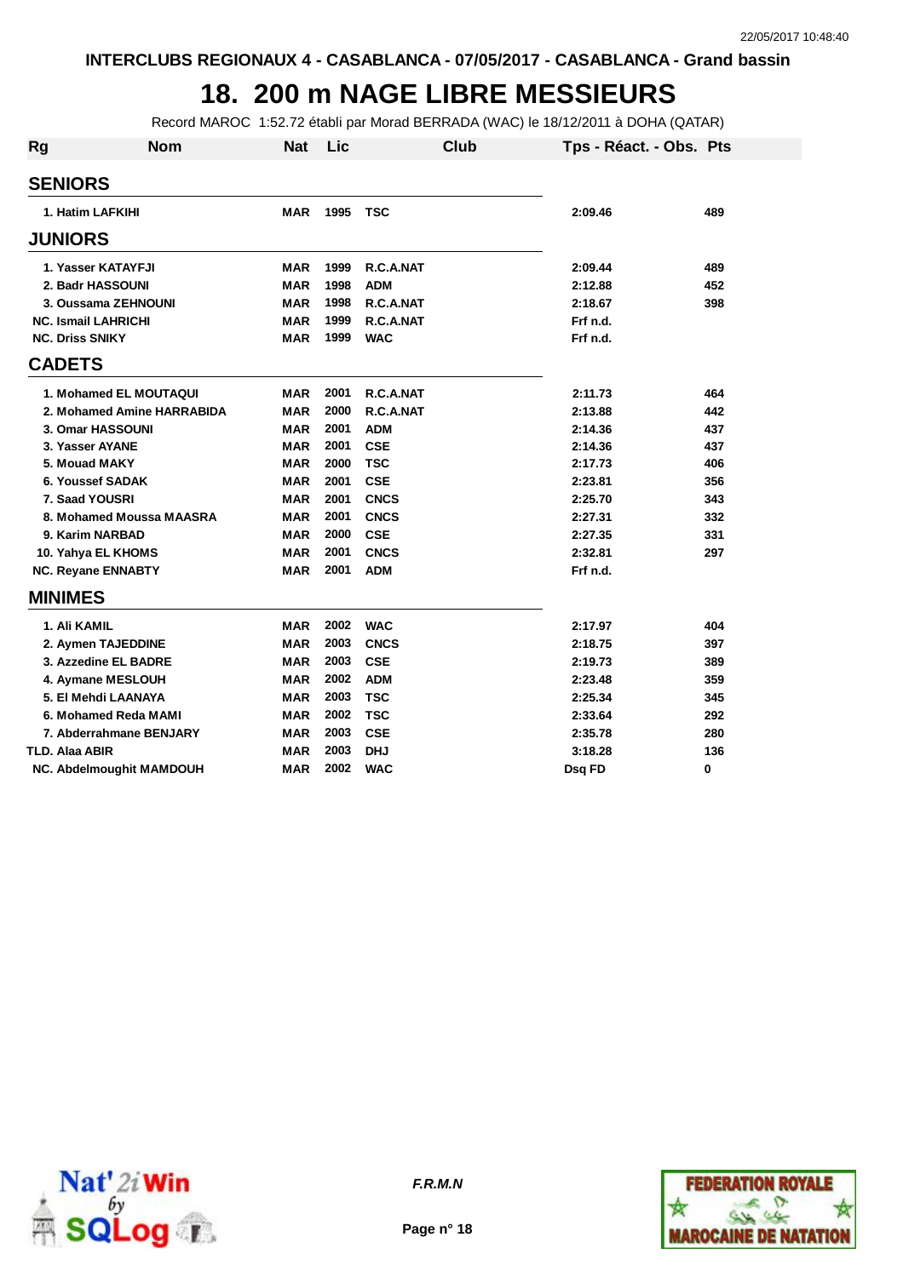#### **18. 200 m NAGE LIBRE MESSIEURS**

Record MAROC 1:52.72 établi par Morad BERRADA (WAC) le 18/12/2011 à DOHA (QATAR)

| <b>Rg</b>                  | <b>Nom</b>                      | <b>Nat</b> | Lic  | Club        | Tps - Réact. - Obs. Pts |     |
|----------------------------|---------------------------------|------------|------|-------------|-------------------------|-----|
| <b>SENIORS</b>             |                                 |            |      |             |                         |     |
| 1. Hatim LAFKIHI           |                                 | <b>MAR</b> | 1995 | <b>TSC</b>  | 2:09.46                 | 489 |
| <b>JUNIORS</b>             |                                 |            |      |             |                         |     |
|                            | 1. Yasser KATAYFJI              | MAR        | 1999 | R.C.A.NAT   | 2:09.44                 | 489 |
| 2. Badr HASSOUNI           |                                 | <b>MAR</b> | 1998 | <b>ADM</b>  | 2:12.88                 | 452 |
|                            | 3. Oussama ZEHNOUNI             | <b>MAR</b> | 1998 | R.C.A.NAT   | 2:18.67                 | 398 |
| <b>NC. Ismail LAHRICHI</b> |                                 | <b>MAR</b> | 1999 | R.C.A.NAT   | Frf n.d.                |     |
| <b>NC. Driss SNIKY</b>     |                                 | <b>MAR</b> | 1999 | <b>WAC</b>  | Frf n.d.                |     |
| <b>CADETS</b>              |                                 |            |      |             |                         |     |
|                            | 1. Mohamed EL MOUTAQUI          | <b>MAR</b> | 2001 | R.C.A.NAT   | 2:11.73                 | 464 |
|                            | 2. Mohamed Amine HARRABIDA      | <b>MAR</b> | 2000 | R.C.A.NAT   | 2:13.88                 | 442 |
| 3. Omar HASSOUNI           |                                 | <b>MAR</b> | 2001 | <b>ADM</b>  | 2:14.36                 | 437 |
| 3. Yasser AYANE            |                                 | MAR        | 2001 | <b>CSE</b>  | 2:14.36                 | 437 |
| 5. Mouad MAKY              |                                 | <b>MAR</b> | 2000 | <b>TSC</b>  | 2:17.73                 | 406 |
| 6. Youssef SADAK           |                                 | <b>MAR</b> | 2001 | <b>CSE</b>  | 2:23.81                 | 356 |
| 7. Saad YOUSRI             |                                 | <b>MAR</b> | 2001 | <b>CNCS</b> | 2:25.70                 | 343 |
|                            | 8. Mohamed Moussa MAASRA        | <b>MAR</b> | 2001 | <b>CNCS</b> | 2:27.31                 | 332 |
| 9. Karim NARBAD            |                                 | <b>MAR</b> | 2000 | <b>CSE</b>  | 2:27.35                 | 331 |
| 10. Yahya EL KHOMS         |                                 | <b>MAR</b> | 2001 | <b>CNCS</b> | 2:32.81                 | 297 |
| <b>NC. Reyane ENNABTY</b>  |                                 | <b>MAR</b> | 2001 | <b>ADM</b>  | Frf n.d.                |     |
| <b>MINIMES</b>             |                                 |            |      |             |                         |     |
| 1. Ali KAMIL               |                                 | <b>MAR</b> | 2002 | <b>WAC</b>  | 2:17.97                 | 404 |
|                            | 2. Aymen TAJEDDINE              | <b>MAR</b> | 2003 | <b>CNCS</b> | 2:18.75                 | 397 |
|                            | 3. Azzedine EL BADRE            | <b>MAR</b> | 2003 | <b>CSE</b>  | 2:19.73                 | 389 |
|                            | 4. Aymane MESLOUH               | <b>MAR</b> | 2002 | <b>ADM</b>  | 2:23.48                 | 359 |
|                            | 5. El Mehdi LAANAYA             | <b>MAR</b> | 2003 | <b>TSC</b>  | 2:25.34                 | 345 |
|                            | 6. Mohamed Reda MAMI            | <b>MAR</b> | 2002 | <b>TSC</b>  | 2:33.64                 | 292 |
|                            | 7. Abderrahmane BENJARY         | <b>MAR</b> | 2003 | <b>CSE</b>  | 2:35.78                 | 280 |
| TLD. Alaa ABIR             |                                 | <b>MAR</b> | 2003 | <b>DHJ</b>  | 3:18.28                 | 136 |
|                            | <b>NC. Abdelmoughit MAMDOUH</b> | <b>MAR</b> | 2002 | <b>WAC</b>  | Dsq FD                  | 0   |





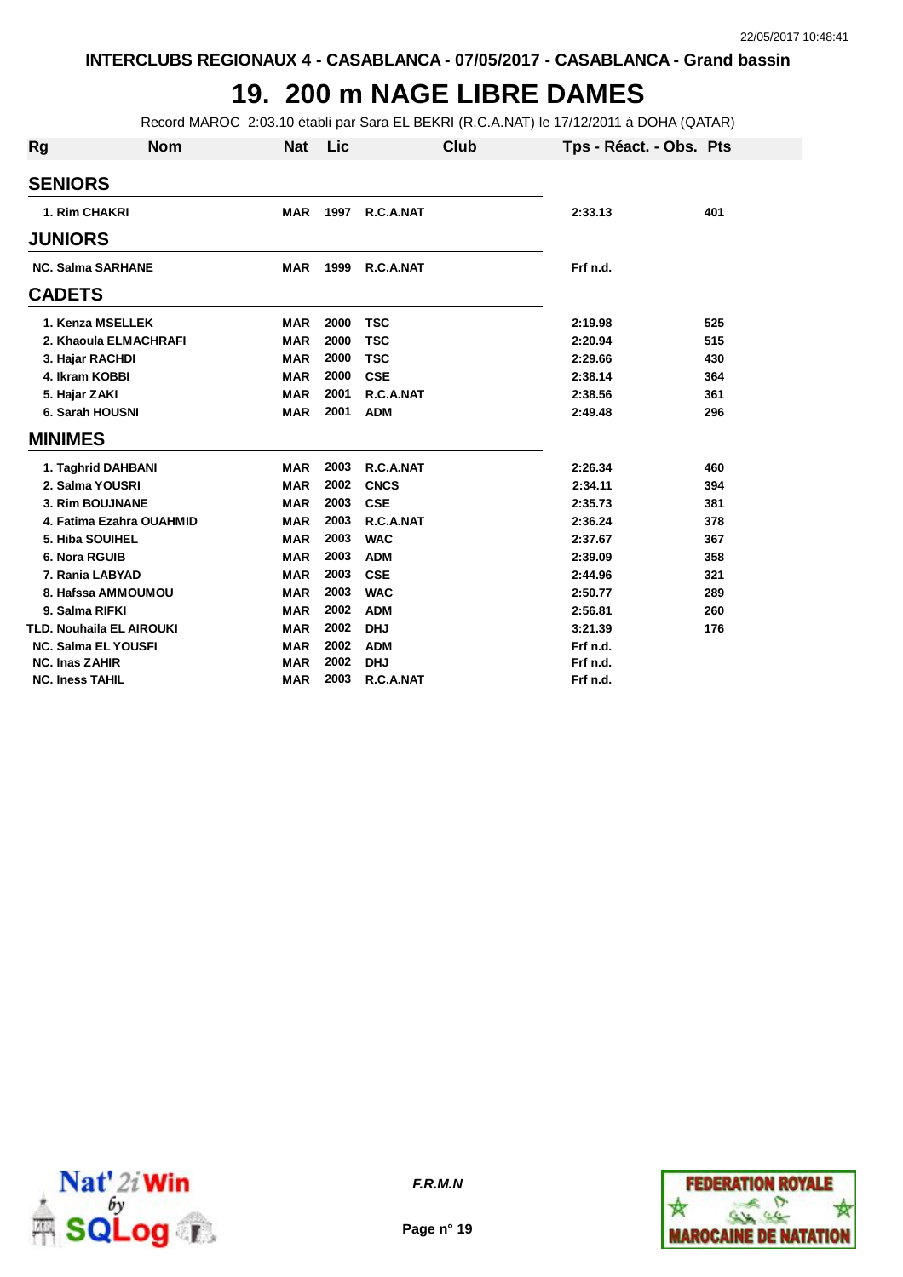# **19. 200 m NAGE LIBRE DAMES**

Record MAROC 2:03.10 établi par Sara EL BEKRI (R.C.A.NAT) le 17/12/2011 à DOHA (QATAR)

| Rg                     | <b>Nom</b>                 | <b>Nat</b> | Lic  | Club        | Tps - Réact. - Obs. Pts |     |
|------------------------|----------------------------|------------|------|-------------|-------------------------|-----|
| <b>SENIORS</b>         |                            |            |      |             |                         |     |
| 1. Rim CHAKRI          |                            | <b>MAR</b> | 1997 | R.C.A.NAT   | 2:33.13                 | 401 |
| <b>JUNIORS</b>         |                            |            |      |             |                         |     |
|                        | <b>NC. Salma SARHANE</b>   | <b>MAR</b> | 1999 | R.C.A.NAT   | Frf n.d.                |     |
| <b>CADETS</b>          |                            |            |      |             |                         |     |
|                        | 1. Kenza MSELLEK           | <b>MAR</b> | 2000 | <b>TSC</b>  | 2:19.98                 | 525 |
|                        | 2. Khaoula ELMACHRAFI      | <b>MAR</b> | 2000 | <b>TSC</b>  | 2:20.94                 | 515 |
| 3. Hajar RACHDI        |                            | <b>MAR</b> | 2000 | <b>TSC</b>  | 2:29.66                 | 430 |
| 4. Ikram KOBBI         |                            | <b>MAR</b> | 2000 | <b>CSE</b>  | 2:38.14                 | 364 |
| 5. Hajar ZAKI          |                            | <b>MAR</b> | 2001 | R.C.A.NAT   | 2:38.56                 | 361 |
|                        | 6. Sarah HOUSNI            | <b>MAR</b> | 2001 | <b>ADM</b>  | 2:49.48                 | 296 |
| <b>MINIMES</b>         |                            |            |      |             |                         |     |
|                        | 1. Taghrid DAHBANI         | <b>MAR</b> | 2003 | R.C.A.NAT   | 2:26.34                 | 460 |
|                        | 2. Salma YOUSRI            | <b>MAR</b> | 2002 | <b>CNCS</b> | 2:34.11                 | 394 |
|                        | 3. Rim BOUJNANE            | <b>MAR</b> | 2003 | <b>CSE</b>  | 2:35.73                 | 381 |
|                        | 4. Fatima Ezahra OUAHMID   | <b>MAR</b> | 2003 | R.C.A.NAT   | 2:36.24                 | 378 |
|                        | 5. Hiba SOUIHEL            | <b>MAR</b> | 2003 | <b>WAC</b>  | 2:37.67                 | 367 |
| 6. Nora RGUIB          |                            | <b>MAR</b> | 2003 | <b>ADM</b>  | 2:39.09                 | 358 |
|                        | 7. Rania LABYAD            | <b>MAR</b> | 2003 | <b>CSE</b>  | 2:44.96                 | 321 |
|                        | 8. Hafssa AMMOUMOU         | <b>MAR</b> | 2003 | <b>WAC</b>  | 2:50.77                 | 289 |
| 9. Salma RIFKI         |                            | <b>MAR</b> | 2002 | <b>ADM</b>  | 2:56.81                 | 260 |
|                        | TLD. Nouhaila EL AIROUKI   | <b>MAR</b> | 2002 | <b>DHJ</b>  | 3:21.39                 | 176 |
|                        | <b>NC. Salma EL YOUSFI</b> | <b>MAR</b> | 2002 | <b>ADM</b>  | Frf n.d.                |     |
| <b>NC. Inas ZAHIR</b>  |                            | <b>MAR</b> | 2002 | <b>DHJ</b>  | Frf n.d.                |     |
| <b>NC. Iness TAHIL</b> |                            | <b>MAR</b> | 2003 | R.C.A.NAT   | Frf n.d.                |     |



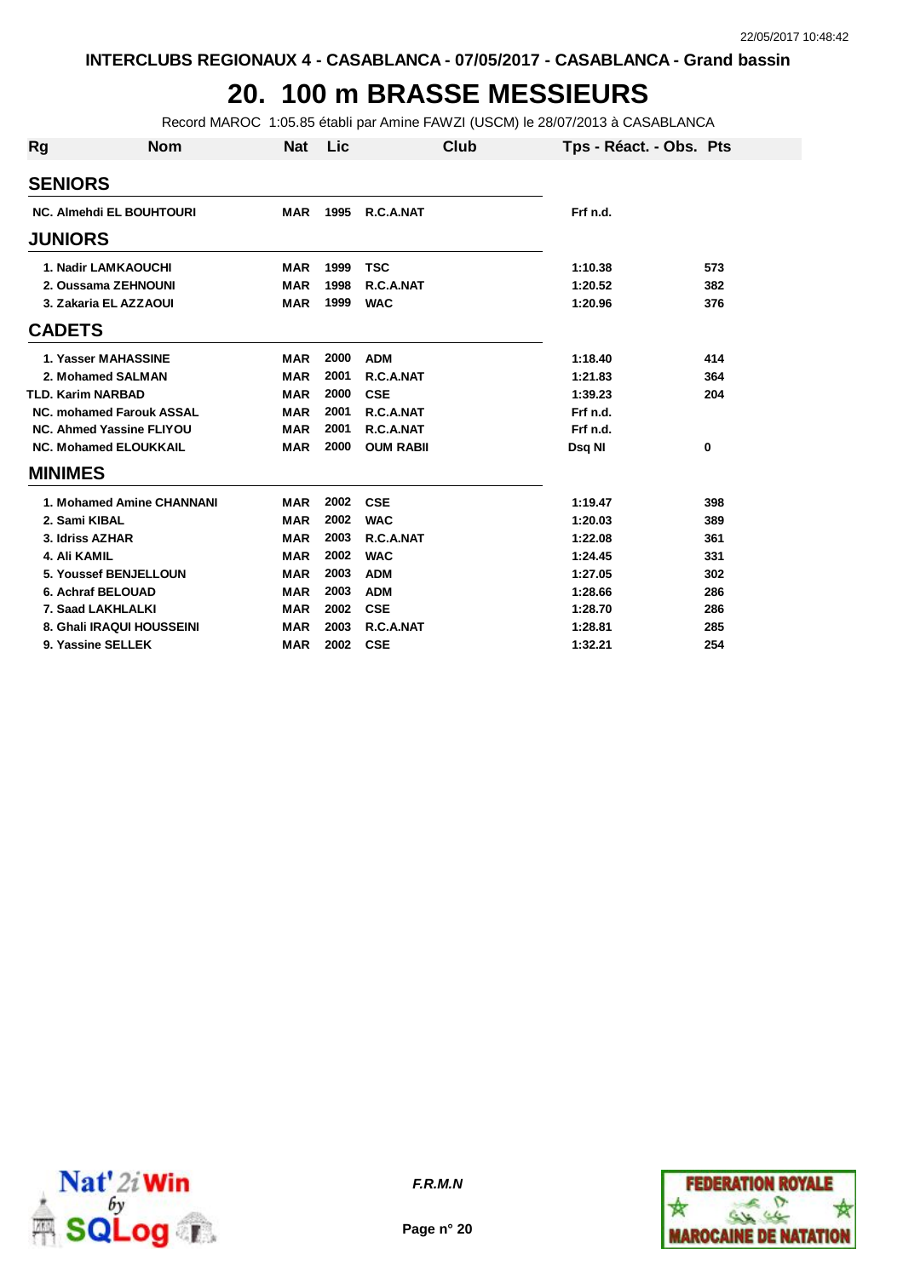# **20. 100 m BRASSE MESSIEURS**

Record MAROC 1:05.85 établi par Amine FAWZI (USCM) le 28/07/2013 à CASABLANCA

| <b>Rg</b>                       | <b>Nom</b>                | <b>Nat</b> | Lic  | Club             |        | Tps - Réact. - Obs. Pts |     |
|---------------------------------|---------------------------|------------|------|------------------|--------|-------------------------|-----|
| <b>SENIORS</b>                  |                           |            |      |                  |        |                         |     |
| <b>NC. Almehdi EL BOUHTOURI</b> |                           | <b>MAR</b> | 1995 | R.C.A.NAT        |        | Frf n.d.                |     |
| <b>JUNIORS</b>                  |                           |            |      |                  |        |                         |     |
| <b>1. Nadir LAMKAOUCHI</b>      |                           | <b>MAR</b> | 1999 | <b>TSC</b>       |        | 1:10.38                 | 573 |
| 2. Oussama ZEHNOUNI             |                           | <b>MAR</b> | 1998 | R.C.A.NAT        |        | 1:20.52                 | 382 |
| 3. Zakaria EL AZZAOUI           |                           | <b>MAR</b> | 1999 | <b>WAC</b>       |        | 1:20.96                 | 376 |
| <b>CADETS</b>                   |                           |            |      |                  |        |                         |     |
| 1. Yasser MAHASSINE             |                           | <b>MAR</b> | 2000 | <b>ADM</b>       |        | 1:18.40                 | 414 |
| 2. Mohamed SALMAN               |                           | <b>MAR</b> | 2001 | R.C.A.NAT        |        | 1:21.83                 | 364 |
| <b>TLD. Karim NARBAD</b>        |                           | <b>MAR</b> | 2000 | <b>CSE</b>       |        | 1:39.23                 | 204 |
| <b>NC. mohamed Farouk ASSAL</b> |                           | <b>MAR</b> | 2001 | R.C.A.NAT        |        | Frf n.d.                |     |
| <b>NC. Ahmed Yassine FLIYOU</b> |                           | <b>MAR</b> | 2001 | R.C.A.NAT        |        | Frf n.d.                |     |
| <b>NC. Mohamed ELOUKKAIL</b>    |                           | <b>MAR</b> | 2000 | <b>OUM RABII</b> | Dsq NI |                         | 0   |
| <b>MINIMES</b>                  |                           |            |      |                  |        |                         |     |
|                                 | 1. Mohamed Amine CHANNANI | <b>MAR</b> | 2002 | <b>CSE</b>       |        | 1:19.47                 | 398 |
| 2. Sami KIBAL                   |                           | <b>MAR</b> | 2002 | <b>WAC</b>       |        | 1:20.03                 | 389 |
| 3. Idriss AZHAR                 |                           | <b>MAR</b> | 2003 | R.C.A.NAT        |        | 1:22.08                 | 361 |
| 4. Ali KAMIL                    |                           | <b>MAR</b> | 2002 | <b>WAC</b>       |        | 1:24.45                 | 331 |
| 5. Youssef BENJELLOUN           |                           | <b>MAR</b> | 2003 | <b>ADM</b>       |        | 1:27.05                 | 302 |
| 6. Achraf BELOUAD               |                           | <b>MAR</b> | 2003 | <b>ADM</b>       |        | 1:28.66                 | 286 |
| 7. Saad LAKHLALKI               |                           | <b>MAR</b> | 2002 | <b>CSE</b>       |        | 1:28.70                 | 286 |
| 8. Ghali IRAQUI HOUSSEINI       |                           | <b>MAR</b> | 2003 | R.C.A.NAT        |        | 1:28.81                 | 285 |
| 9. Yassine SELLEK               |                           | <b>MAR</b> | 2002 | <b>CSE</b>       |        | 1:32.21                 | 254 |



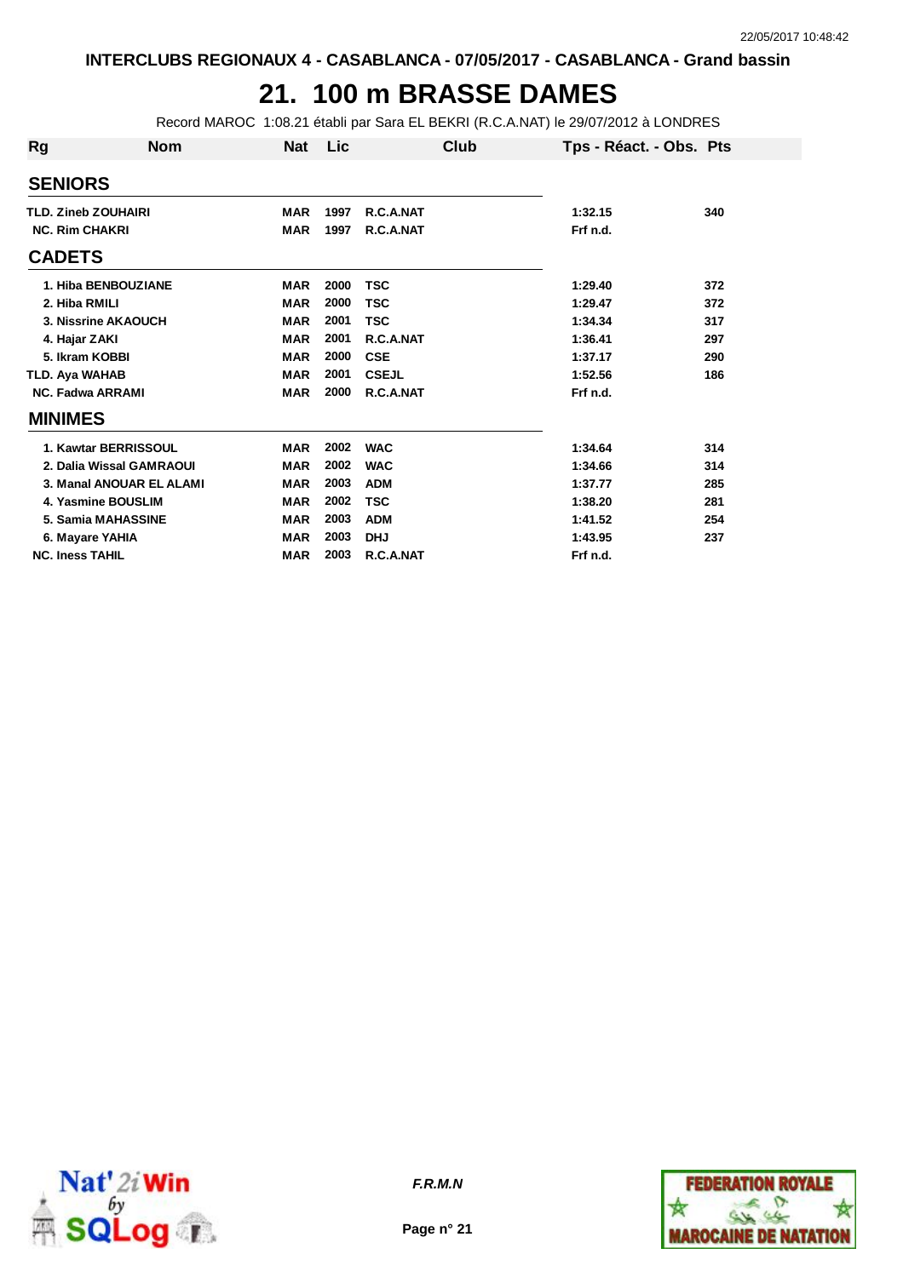## **21. 100 m BRASSE DAMES**

Record MAROC 1:08.21 établi par Sara EL BEKRI (R.C.A.NAT) le 29/07/2012 à LONDRES

| Rg                         | <b>Nom</b>               | <b>Nat</b> | Lic  | Club         | Tps - Réact. - Obs. Pts |     |
|----------------------------|--------------------------|------------|------|--------------|-------------------------|-----|
| <b>SENIORS</b>             |                          |            |      |              |                         |     |
| <b>TLD. Zineb ZOUHAIRI</b> |                          | <b>MAR</b> | 1997 | R.C.A.NAT    | 1:32.15                 | 340 |
| <b>NC. Rim CHAKRI</b>      |                          | <b>MAR</b> | 1997 | R.C.A.NAT    | Frf n.d.                |     |
| <b>CADETS</b>              |                          |            |      |              |                         |     |
|                            | 1. Hiba BENBOUZIANE      | <b>MAR</b> | 2000 | <b>TSC</b>   | 1:29.40                 | 372 |
| 2. Hiba RMILI              |                          | <b>MAR</b> | 2000 | <b>TSC</b>   | 1:29.47                 | 372 |
|                            | 3. Nissrine AKAOUCH      | <b>MAR</b> | 2001 | <b>TSC</b>   | 1:34.34                 | 317 |
| 4. Hajar ZAKI              |                          | <b>MAR</b> | 2001 | R.C.A.NAT    | 1:36.41                 | 297 |
| 5. Ikram KOBBI             |                          | <b>MAR</b> | 2000 | <b>CSE</b>   | 1:37.17                 | 290 |
| <b>TLD. Aya WAHAB</b>      |                          | <b>MAR</b> | 2001 | <b>CSEJL</b> | 1:52.56                 | 186 |
| <b>NC. Fadwa ARRAMI</b>    |                          | <b>MAR</b> | 2000 | R.C.A.NAT    | Frf n.d.                |     |
| <b>MINIMES</b>             |                          |            |      |              |                         |     |
|                            | 1. Kawtar BERRISSOUL     | <b>MAR</b> | 2002 | <b>WAC</b>   | 1:34.64                 | 314 |
|                            | 2. Dalia Wissal GAMRAOUI | <b>MAR</b> | 2002 | <b>WAC</b>   | 1:34.66                 | 314 |
|                            | 3. Manal ANOUAR EL ALAMI | <b>MAR</b> | 2003 | <b>ADM</b>   | 1:37.77                 | 285 |
|                            | 4. Yasmine BOUSLIM       | <b>MAR</b> | 2002 | <b>TSC</b>   | 1:38.20                 | 281 |
|                            | 5. Samia MAHASSINE       | <b>MAR</b> | 2003 | <b>ADM</b>   | 1:41.52                 | 254 |
|                            | 6. Mayare YAHIA          | <b>MAR</b> | 2003 | <b>DHJ</b>   | 1:43.95                 | 237 |
| <b>NC. Iness TAHIL</b>     |                          | <b>MAR</b> | 2003 | R.C.A.NAT    | Frf n.d.                |     |



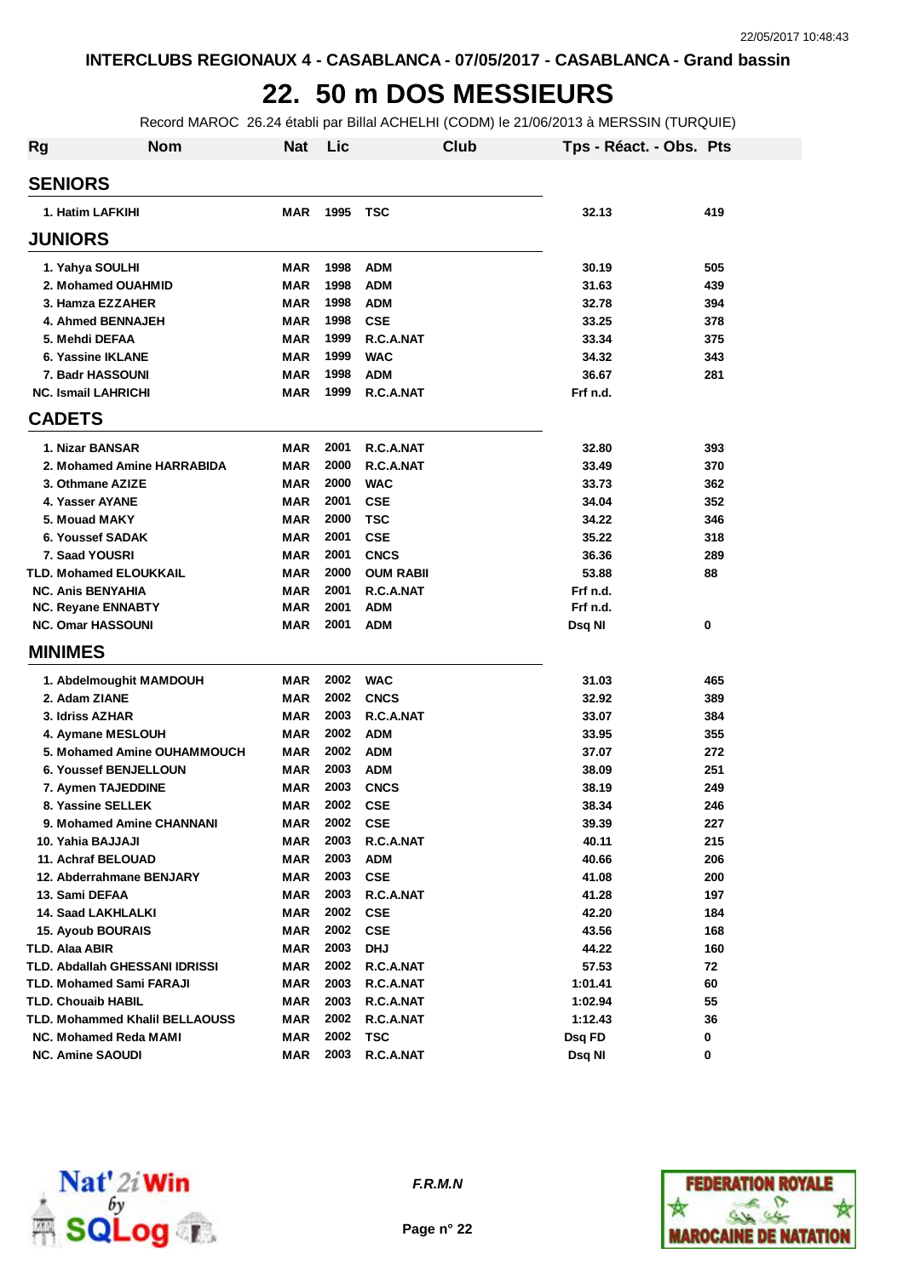### **22. 50 m DOS MESSIEURS**

Record MAROC 26.24 établi par Billal ACHELHI (CODM) le 21/06/2013 à MERSSIN (TURQUIE)

| <b>Rg</b> | <b>Nom</b>                            | <b>Nat</b> | Lic  |                  | Club | Tps - Réact. - Obs. Pts |     |
|-----------|---------------------------------------|------------|------|------------------|------|-------------------------|-----|
|           | <b>SENIORS</b>                        |            |      |                  |      |                         |     |
|           | 1. Hatim LAFKIHI                      | MAR        | 1995 | <b>TSC</b>       |      | 32.13                   | 419 |
|           | <b>JUNIORS</b>                        |            |      |                  |      |                         |     |
|           | 1. Yahya SOULHI                       | <b>MAR</b> | 1998 | <b>ADM</b>       |      | 30.19                   | 505 |
|           | 2. Mohamed OUAHMID                    | <b>MAR</b> | 1998 | <b>ADM</b>       |      | 31.63                   | 439 |
|           | 3. Hamza EZZAHER                      | <b>MAR</b> | 1998 | <b>ADM</b>       |      | 32.78                   | 394 |
|           | 4. Ahmed BENNAJEH                     | <b>MAR</b> | 1998 | <b>CSE</b>       |      | 33.25                   | 378 |
|           | 5. Mehdi DEFAA                        | <b>MAR</b> | 1999 | R.C.A.NAT        |      | 33.34                   | 375 |
|           | 6. Yassine IKLANE                     | <b>MAR</b> | 1999 | <b>WAC</b>       |      | 34.32                   | 343 |
|           | 7. Badr HASSOUNI                      | <b>MAR</b> | 1998 | <b>ADM</b>       |      | 36.67                   | 281 |
|           | <b>NC. Ismail LAHRICHI</b>            | <b>MAR</b> | 1999 | R.C.A.NAT        |      | Frf n.d.                |     |
|           | <b>CADETS</b>                         |            |      |                  |      |                         |     |
|           | 1. Nizar BANSAR                       | <b>MAR</b> | 2001 | R.C.A.NAT        |      | 32.80                   | 393 |
|           | 2. Mohamed Amine HARRABIDA            | <b>MAR</b> | 2000 | R.C.A.NAT        |      | 33.49                   | 370 |
|           | 3. Othmane AZIZE                      | <b>MAR</b> | 2000 | <b>WAC</b>       |      | 33.73                   | 362 |
|           | 4. Yasser AYANE                       | <b>MAR</b> | 2001 | <b>CSE</b>       |      | 34.04                   | 352 |
|           | 5. Mouad MAKY                         | <b>MAR</b> | 2000 | TSC              |      | 34.22                   | 346 |
|           | <b>6. Youssef SADAK</b>               | <b>MAR</b> | 2001 | <b>CSE</b>       |      | 35.22                   | 318 |
|           | 7. Saad YOUSRI                        | <b>MAR</b> | 2001 | <b>CNCS</b>      |      | 36.36                   | 289 |
|           | <b>TLD. Mohamed ELOUKKAIL</b>         | <b>MAR</b> | 2000 | <b>OUM RABII</b> |      | 53.88                   | 88  |
|           | <b>NC. Anis BENYAHIA</b>              | <b>MAR</b> | 2001 | R.C.A.NAT        |      | Frf n.d.                |     |
|           | NC. Reyane ENNABTY                    | MAR        | 2001 | <b>ADM</b>       |      | Frf n.d.                |     |
|           | <b>NC. Omar HASSOUNI</b>              | <b>MAR</b> | 2001 | <b>ADM</b>       |      | Dsq NI                  | 0   |
|           | <b>MINIMES</b>                        |            |      |                  |      |                         |     |
|           | 1. Abdelmoughit MAMDOUH               | <b>MAR</b> | 2002 | <b>WAC</b>       |      | 31.03                   | 465 |
|           | 2. Adam ZIANE                         | MAR        | 2002 | <b>CNCS</b>      |      | 32.92                   | 389 |
|           | 3. Idriss AZHAR                       | MAR        | 2003 | R.C.A.NAT        |      | 33.07                   | 384 |
|           | 4. Aymane MESLOUH                     | <b>MAR</b> | 2002 | <b>ADM</b>       |      | 33.95                   | 355 |
|           | 5. Mohamed Amine OUHAMMOUCH           | <b>MAR</b> | 2002 | <b>ADM</b>       |      | 37.07                   | 272 |
|           | <b>6. Youssef BENJELLOUN</b>          | <b>MAR</b> | 2003 | <b>ADM</b>       |      | 38.09                   | 251 |
|           | 7. Aymen TAJEDDINE                    | MAR        | 2003 | <b>CNCS</b>      |      | 38.19                   | 249 |
|           | 8. Yassine SELLEK                     | MAR        | 2002 | <b>CSE</b>       |      | 38.34                   | 246 |
|           | 9. Mohamed Amine CHANNANI             | MAR        | 2002 | <b>CSE</b>       |      | 39.39                   | 227 |
|           | 10. Yahia BAJJAJI                     | <b>MAR</b> | 2003 | R.C.A.NAT        |      | 40.11                   | 215 |
|           | 11. Achraf BELOUAD                    | <b>MAR</b> | 2003 | <b>ADM</b>       |      | 40.66                   | 206 |
|           | 12. Abderrahmane BENJARY              | MAR        | 2003 | <b>CSE</b>       |      | 41.08                   | 200 |
|           | 13. Sami DEFAA                        | <b>MAR</b> | 2003 | R.C.A.NAT        |      | 41.28                   | 197 |
|           | <b>14. Saad LAKHLALKI</b>             | MAR        | 2002 | <b>CSE</b>       |      | 42.20                   | 184 |
|           | <b>15. Ayoub BOURAIS</b>              | <b>MAR</b> | 2002 | <b>CSE</b>       |      | 43.56                   | 168 |
|           | TLD. Alaa ABIR                        | MAR        | 2003 | <b>DHJ</b>       |      | 44.22                   | 160 |
|           | TLD. Abdallah GHESSANI IDRISSI        | MAR        | 2002 | R.C.A.NAT        |      | 57.53                   | 72  |
|           | <b>TLD. Mohamed Sami FARAJI</b>       | MAR        | 2003 | R.C.A.NAT        |      | 1:01.41                 | 60  |
|           | <b>TLD. Chouaib HABIL</b>             | <b>MAR</b> | 2003 | R.C.A.NAT        |      | 1:02.94                 | 55  |
|           | <b>TLD. Mohammed Khalil BELLAOUSS</b> | MAR        | 2002 | R.C.A.NAT        |      | 1:12.43                 | 36  |
|           | <b>NC. Mohamed Reda MAMI</b>          | MAR        | 2002 | TSC              |      | Dsq FD                  | 0   |
|           | <b>NC. Amine SAOUDI</b>               | MAR        | 2003 | R.C.A.NAT        |      | Dsq NI                  | 0   |



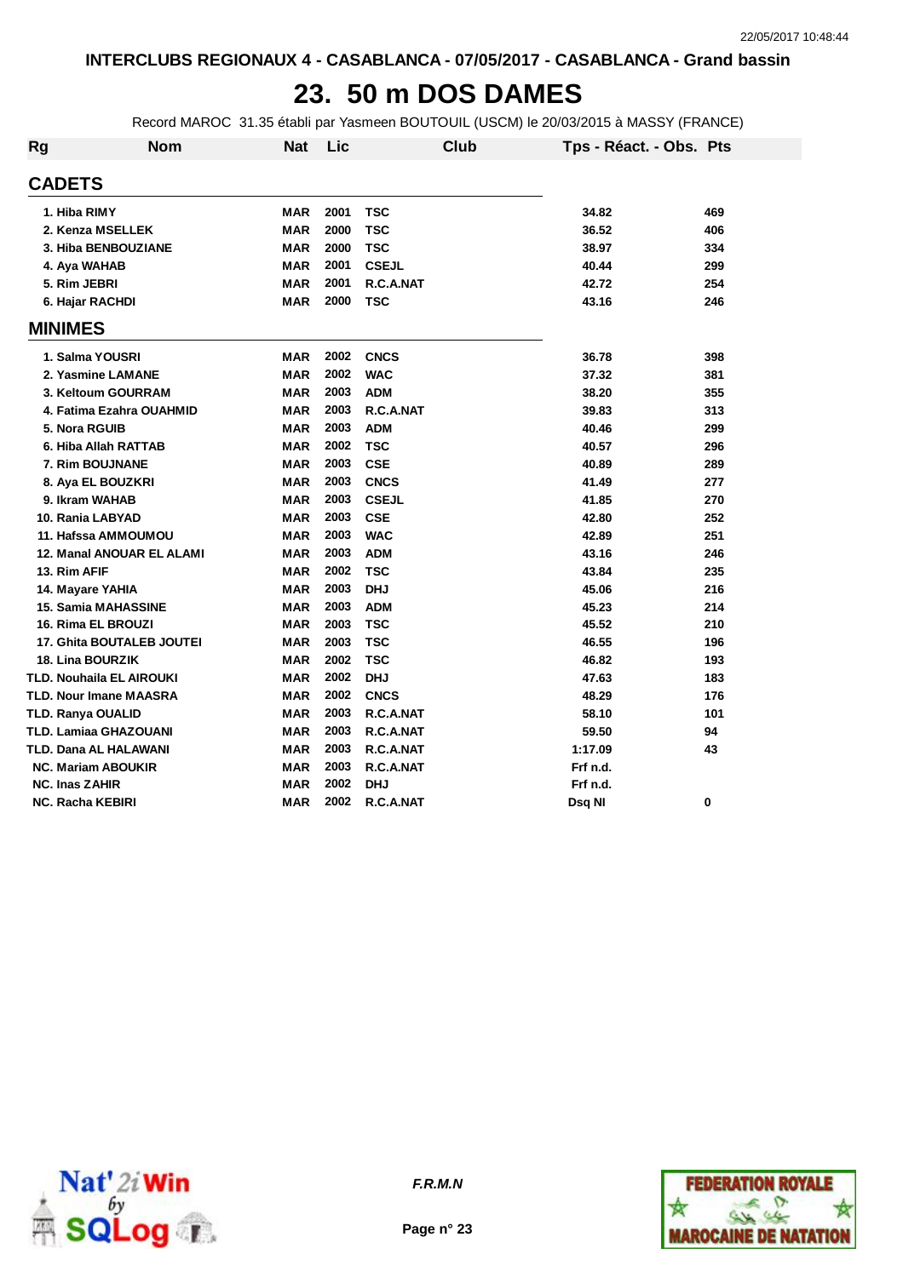#### **23. 50 m DOS DAMES**

Record MAROC 31.35 établi par Yasmeen BOUTOUIL (USCM) le 20/03/2015 à MASSY (FRANCE)

| <b>Rg</b> | <b>Nom</b>                 | <b>Nat</b> | Lic  |              | <b>Club</b> | Tps - Réact. - Obs. Pts |     |
|-----------|----------------------------|------------|------|--------------|-------------|-------------------------|-----|
|           | <b>CADETS</b>              |            |      |              |             |                         |     |
|           | 1. Hiba RIMY               | <b>MAR</b> | 2001 | <b>TSC</b>   |             | 34.82                   | 469 |
|           | 2. Kenza MSELLEK           | <b>MAR</b> | 2000 | <b>TSC</b>   |             | 36.52                   | 406 |
|           | 3. Hiba BENBOUZIANE        | <b>MAR</b> | 2000 | <b>TSC</b>   |             | 38.97                   | 334 |
|           | 4. Aya WAHAB               | <b>MAR</b> | 2001 | <b>CSEJL</b> |             | 40.44                   | 299 |
|           | 5. Rim JEBRI               | <b>MAR</b> | 2001 | R.C.A.NAT    |             | 42.72                   | 254 |
|           | 6. Hajar RACHDI            | <b>MAR</b> | 2000 | TSC          |             | 43.16                   | 246 |
|           | <b>MINIMES</b>             |            |      |              |             |                         |     |
|           | 1. Salma YOUSRI            | <b>MAR</b> | 2002 | <b>CNCS</b>  |             | 36.78                   | 398 |
|           | 2. Yasmine LAMANE          | <b>MAR</b> | 2002 | <b>WAC</b>   |             | 37.32                   | 381 |
|           | 3. Keltoum GOURRAM         | <b>MAR</b> | 2003 | <b>ADM</b>   |             | 38.20                   | 355 |
|           | 4. Fatima Ezahra OUAHMID   | <b>MAR</b> | 2003 | R.C.A.NAT    |             | 39.83                   | 313 |
|           | 5. Nora RGUIB              | <b>MAR</b> | 2003 | <b>ADM</b>   |             | 40.46                   | 299 |
|           | 6. Hiba Allah RATTAB       | <b>MAR</b> | 2002 | <b>TSC</b>   |             | 40.57                   | 296 |
|           | 7. Rim BOUJNANE            | <b>MAR</b> | 2003 | <b>CSE</b>   |             | 40.89                   | 289 |
|           | 8. Aya EL BOUZKRI          | <b>MAR</b> | 2003 | <b>CNCS</b>  |             | 41.49                   | 277 |
|           | 9. Ikram WAHAB             | <b>MAR</b> | 2003 | <b>CSEJL</b> |             | 41.85                   | 270 |
|           | 10. Rania LABYAD           | <b>MAR</b> | 2003 | <b>CSE</b>   |             | 42.80                   | 252 |
|           | 11. Hafssa AMMOUMOU        | <b>MAR</b> | 2003 | <b>WAC</b>   |             | 42.89                   | 251 |
|           | 12. Manal ANOUAR EL ALAMI  | <b>MAR</b> | 2003 | <b>ADM</b>   |             | 43.16                   | 246 |
|           | 13. Rim AFIF               | <b>MAR</b> | 2002 | <b>TSC</b>   |             | 43.84                   | 235 |
|           | 14. Mayare YAHIA           | <b>MAR</b> | 2003 | <b>DHJ</b>   |             | 45.06                   | 216 |
|           | <b>15. Samia MAHASSINE</b> | <b>MAR</b> | 2003 | <b>ADM</b>   |             | 45.23                   | 214 |
|           | 16. Rima EL BROUZI         | <b>MAR</b> | 2003 | <b>TSC</b>   |             | 45.52                   | 210 |
|           | 17. Ghita BOUTALEB JOUTEI  | <b>MAR</b> | 2003 | <b>TSC</b>   |             | 46.55                   | 196 |
|           | 18. Lina BOURZIK           | <b>MAR</b> | 2002 | <b>TSC</b>   |             | 46.82                   | 193 |
|           | TLD. Nouhaila EL AIROUKI   | <b>MAR</b> | 2002 | <b>DHJ</b>   |             | 47.63                   | 183 |
|           | TLD. Nour Imane MAASRA     | <b>MAR</b> | 2002 | <b>CNCS</b>  |             | 48.29                   | 176 |
|           | <b>TLD. Ranya OUALID</b>   | <b>MAR</b> | 2003 | R.C.A.NAT    |             | 58.10                   | 101 |
|           | TLD. Lamiaa GHAZOUANI      | <b>MAR</b> | 2003 | R.C.A.NAT    |             | 59.50                   | 94  |
|           | TLD. Dana AL HALAWANI      | <b>MAR</b> | 2003 | R.C.A.NAT    |             | 1:17.09                 | 43  |
|           | <b>NC. Mariam ABOUKIR</b>  | <b>MAR</b> | 2003 | R.C.A.NAT    |             | Frf n.d.                |     |
|           | <b>NC. Inas ZAHIR</b>      | <b>MAR</b> | 2002 | <b>DHJ</b>   |             | Frf n.d.                |     |
|           | <b>NC. Racha KEBIRI</b>    | <b>MAR</b> | 2002 | R.C.A.NAT    |             | Dsq NI                  | 0   |



**Page n° 23**

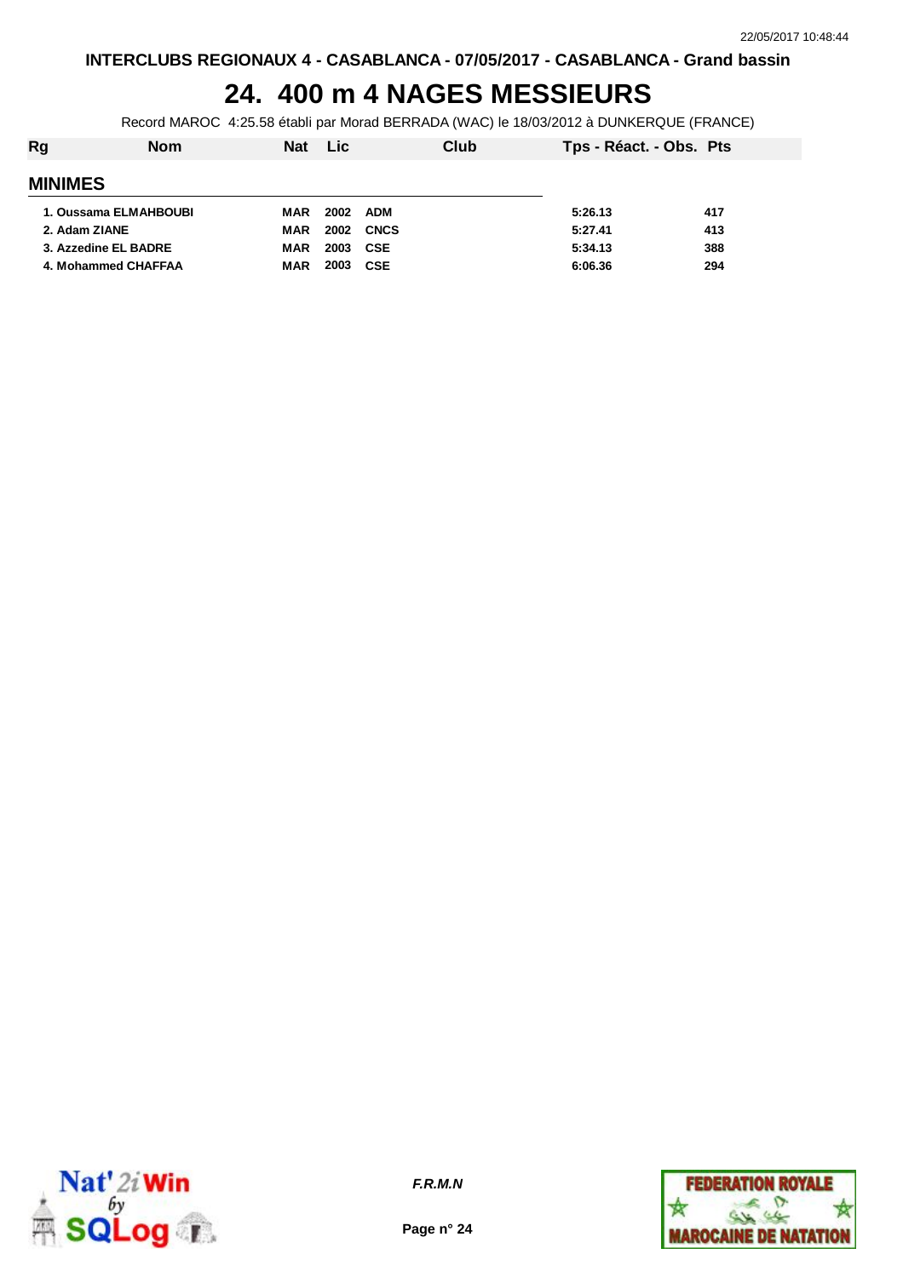## **24. 400 m 4 NAGES MESSIEURS**

Record MAROC 4:25.58 établi par Morad BERRADA (WAC) le 18/03/2012 à DUNKERQUE (FRANCE)

| Rg             | <b>Nom</b>            | <b>Nat</b> | <b>Lic</b> | Club        | Tps - Réact. - Obs. Pts |     |
|----------------|-----------------------|------------|------------|-------------|-------------------------|-----|
| <b>MINIMES</b> |                       |            |            |             |                         |     |
|                | 1. Oussama ELMAHBOUBI | MAR        | 2002       | ADM         | 5:26.13                 | 417 |
| 2. Adam ZIANE  |                       | MAR        | 2002       | <b>CNCS</b> | 5:27.41                 | 413 |
|                | 3. Azzedine EL BADRE  | MAR        | 2003 CSE   |             | 5:34.13                 | 388 |
|                | 4. Mohammed CHAFFAA   | MAR        | 2003       | <b>CSE</b>  | 6:06.36                 | 294 |
|                |                       |            |            |             |                         |     |



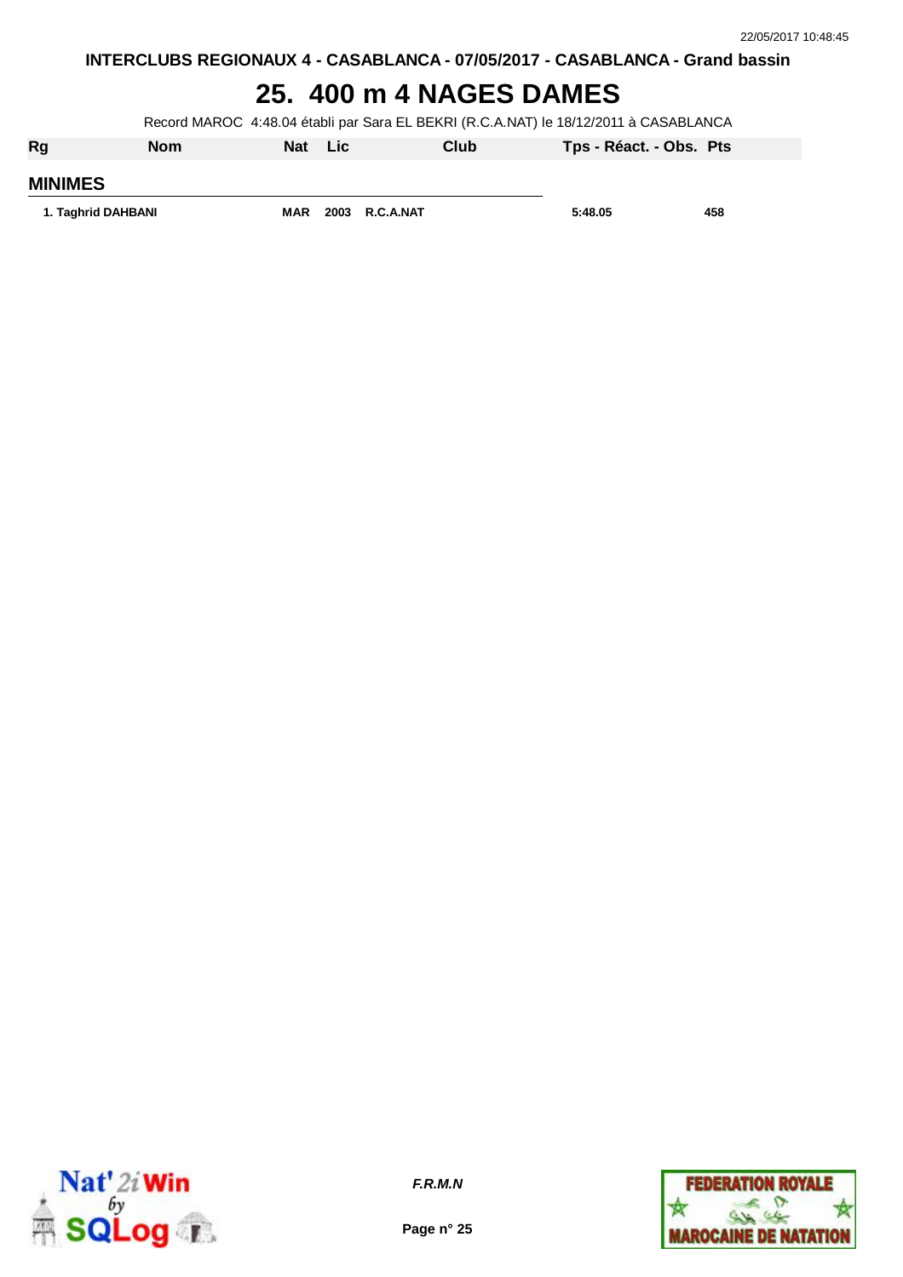#### **25. 400 m 4 NAGES DAMES**

Record MAROC 4:48.04 établi par Sara EL BEKRI (R.C.A.NAT) le 18/12/2011 à CASABLANCA

| Rg                 | <b>Nom</b> | Nat        | Lic |                | Club | Tps - Réact. - Obs. Pts |     |
|--------------------|------------|------------|-----|----------------|------|-------------------------|-----|
| <b>MINIMES</b>     |            |            |     |                |      |                         |     |
| 1. Taghrid DAHBANI |            | <b>MAR</b> |     | 2003 R.C.A.NAT |      | 5:48.05                 | 458 |



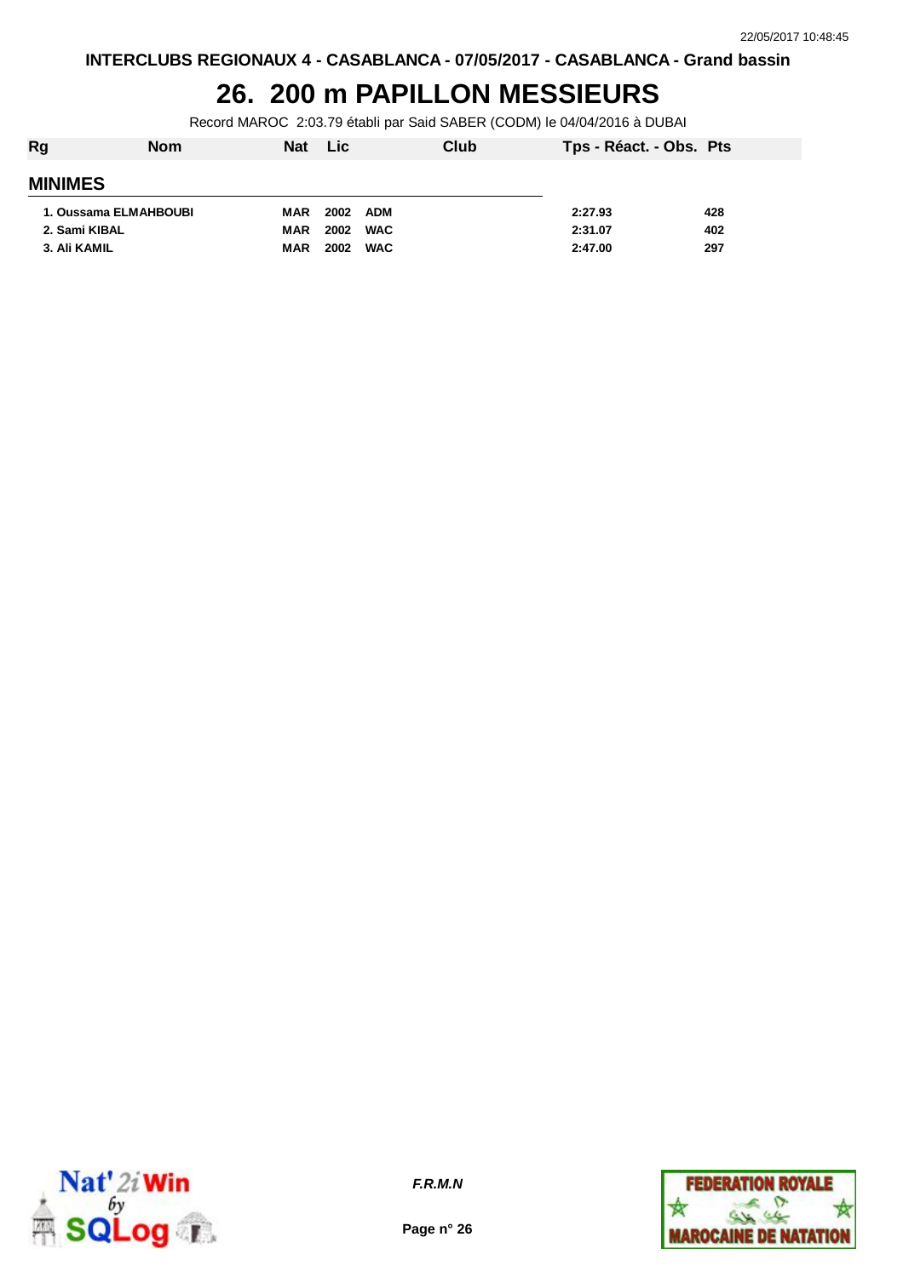#### **26. 200 m PAPILLON MESSIEURS**

Record MAROC 2:03.79 établi par Said SABER (CODM) le 04/04/2016 à DUBAI

| Rg                    | <b>Nom</b> | <b>Nat</b> | <b>Lic</b>         | Club | Tps - Réact. - Obs. Pts |     |
|-----------------------|------------|------------|--------------------|------|-------------------------|-----|
| <b>MINIMES</b>        |            |            |                    |      |                         |     |
| 1. Oussama ELMAHBOUBI |            | <b>MAR</b> | 2002<br><b>ADM</b> |      | 2:27.93                 | 428 |
| 2. Sami KIBAL         |            | <b>MAR</b> | 2002<br><b>WAC</b> |      | 2:31.07                 | 402 |
| 3. Ali KAMIL          |            | <b>MAR</b> | 2002<br><b>WAC</b> |      | 2:47.00                 | 297 |



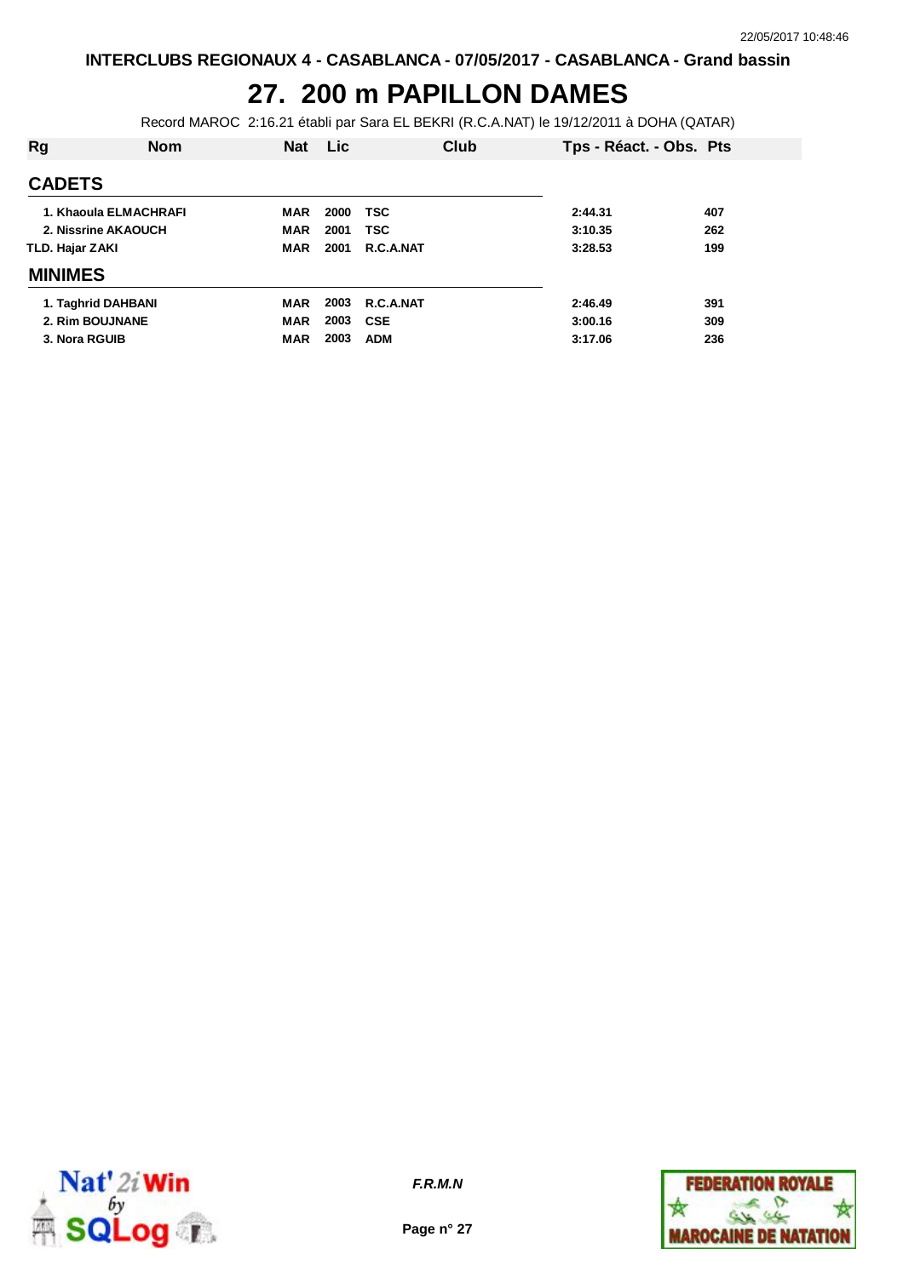# **27. 200 m PAPILLON DAMES**

Record MAROC 2:16.21 établi par Sara EL BEKRI (R.C.A.NAT) le 19/12/2011 à DOHA (QATAR)

| Rg              | <b>Nom</b>            | <b>Nat</b> | <b>Lic</b> | Club       | Tps - Réact. - Obs. Pts |     |
|-----------------|-----------------------|------------|------------|------------|-------------------------|-----|
| <b>CADETS</b>   |                       |            |            |            |                         |     |
|                 | 1. Khaoula ELMACHRAFI | <b>MAR</b> | 2000       | <b>TSC</b> | 2:44.31                 | 407 |
|                 | 2. Nissrine AKAOUCH   | <b>MAR</b> | 2001       | <b>TSC</b> | 3:10.35                 | 262 |
| TLD. Hajar ZAKI |                       | <b>MAR</b> | 2001       | R.C.A.NAT  | 3:28.53                 | 199 |
| <b>MINIMES</b>  |                       |            |            |            |                         |     |
|                 | 1. Taghrid DAHBANI    | MAR        | 2003       | R.C.A.NAT  | 2:46.49                 | 391 |
| 2. Rim BOUJNANE |                       | <b>MAR</b> | 2003       | CSE        | 3:00.16                 | 309 |
| 3. Nora RGUIB   |                       | <b>MAR</b> | 2003       | <b>ADM</b> | 3:17.06                 | 236 |



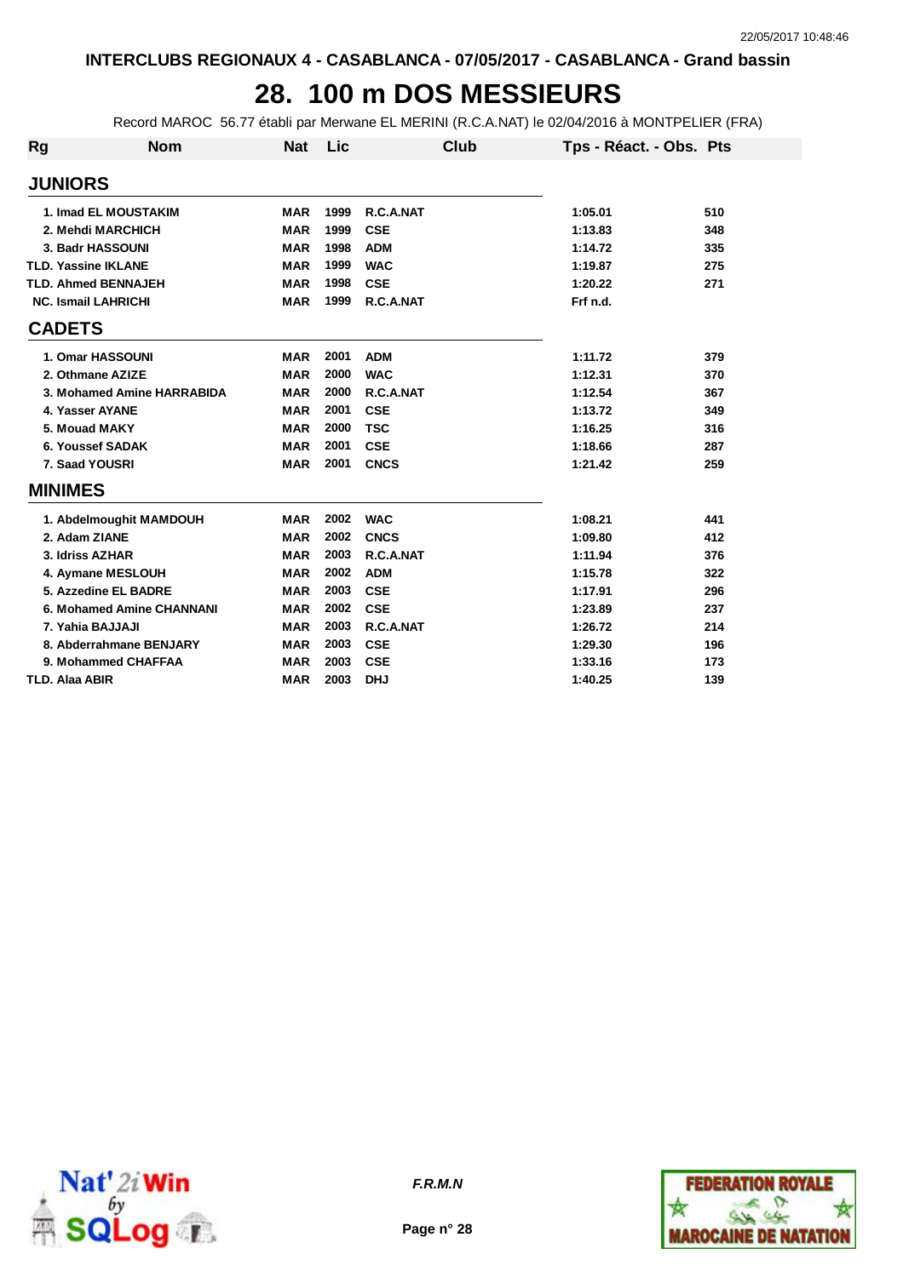## **28. 100 m DOS MESSIEURS**

Record MAROC 56.77 établi par Merwane EL MERINI (R.C.A.NAT) le 02/04/2016 à MONTPELIER (FRA)

| <b>Rg</b>             | <b>Nom</b>                 | <b>Nat</b> | Lic  | Club        | Tps - Réact. - Obs. Pts |     |
|-----------------------|----------------------------|------------|------|-------------|-------------------------|-----|
| <b>JUNIORS</b>        |                            |            |      |             |                         |     |
|                       | 1. Imad EL MOUSTAKIM       | <b>MAR</b> | 1999 | R.C.A.NAT   | 1:05.01                 | 510 |
|                       | 2. Mehdi MARCHICH          | <b>MAR</b> | 1999 | <b>CSE</b>  | 1:13.83                 | 348 |
|                       | 3. Badr HASSOUNI           | <b>MAR</b> | 1998 | <b>ADM</b>  | 1:14.72                 | 335 |
|                       | <b>TLD. Yassine IKLANE</b> | <b>MAR</b> | 1999 | <b>WAC</b>  | 1:19.87                 | 275 |
|                       | <b>TLD. Ahmed BENNAJEH</b> | <b>MAR</b> | 1998 | <b>CSE</b>  | 1:20.22                 | 271 |
|                       | <b>NC. Ismail LAHRICHI</b> | <b>MAR</b> | 1999 | R.C.A.NAT   | Frf n.d.                |     |
| <b>CADETS</b>         |                            |            |      |             |                         |     |
|                       | 1. Omar HASSOUNI           | <b>MAR</b> | 2001 | <b>ADM</b>  | 1:11.72                 | 379 |
|                       | 2. Othmane AZIZE           | <b>MAR</b> | 2000 | <b>WAC</b>  | 1:12.31                 | 370 |
|                       | 3. Mohamed Amine HARRABIDA | <b>MAR</b> | 2000 | R.C.A.NAT   | 1:12.54                 | 367 |
|                       | 4. Yasser AYANE            | <b>MAR</b> | 2001 | <b>CSE</b>  | 1:13.72                 | 349 |
|                       | 5. Mouad MAKY              | <b>MAR</b> | 2000 | <b>TSC</b>  | 1:16.25                 | 316 |
|                       | 6. Youssef SADAK           | <b>MAR</b> | 2001 | <b>CSE</b>  | 1:18.66                 | 287 |
|                       | 7. Saad YOUSRI             | <b>MAR</b> | 2001 | <b>CNCS</b> | 1:21.42                 | 259 |
| <b>MINIMES</b>        |                            |            |      |             |                         |     |
|                       | 1. Abdelmoughit MAMDOUH    | <b>MAR</b> | 2002 | <b>WAC</b>  | 1:08.21                 | 441 |
|                       | 2. Adam ZIANE              | <b>MAR</b> | 2002 | <b>CNCS</b> | 1:09.80                 | 412 |
|                       | 3. Idriss AZHAR            | <b>MAR</b> | 2003 | R.C.A.NAT   | 1:11.94                 | 376 |
|                       | 4. Aymane MESLOUH          | <b>MAR</b> | 2002 | <b>ADM</b>  | 1:15.78                 | 322 |
|                       | 5. Azzedine EL BADRE       | <b>MAR</b> | 2003 | <b>CSE</b>  | 1:17.91                 | 296 |
|                       | 6. Mohamed Amine CHANNANI  | <b>MAR</b> | 2002 | <b>CSE</b>  | 1:23.89                 | 237 |
|                       | 7. Yahia BAJJAJI           | <b>MAR</b> | 2003 | R.C.A.NAT   | 1:26.72                 | 214 |
|                       | 8. Abderrahmane BENJARY    | <b>MAR</b> | 2003 | <b>CSE</b>  | 1:29.30                 | 196 |
|                       | 9. Mohammed CHAFFAA        | <b>MAR</b> | 2003 | <b>CSE</b>  | 1:33.16                 | 173 |
| <b>TLD. Alaa ABIR</b> |                            | <b>MAR</b> | 2003 | <b>DHJ</b>  | 1:40.25                 | 139 |



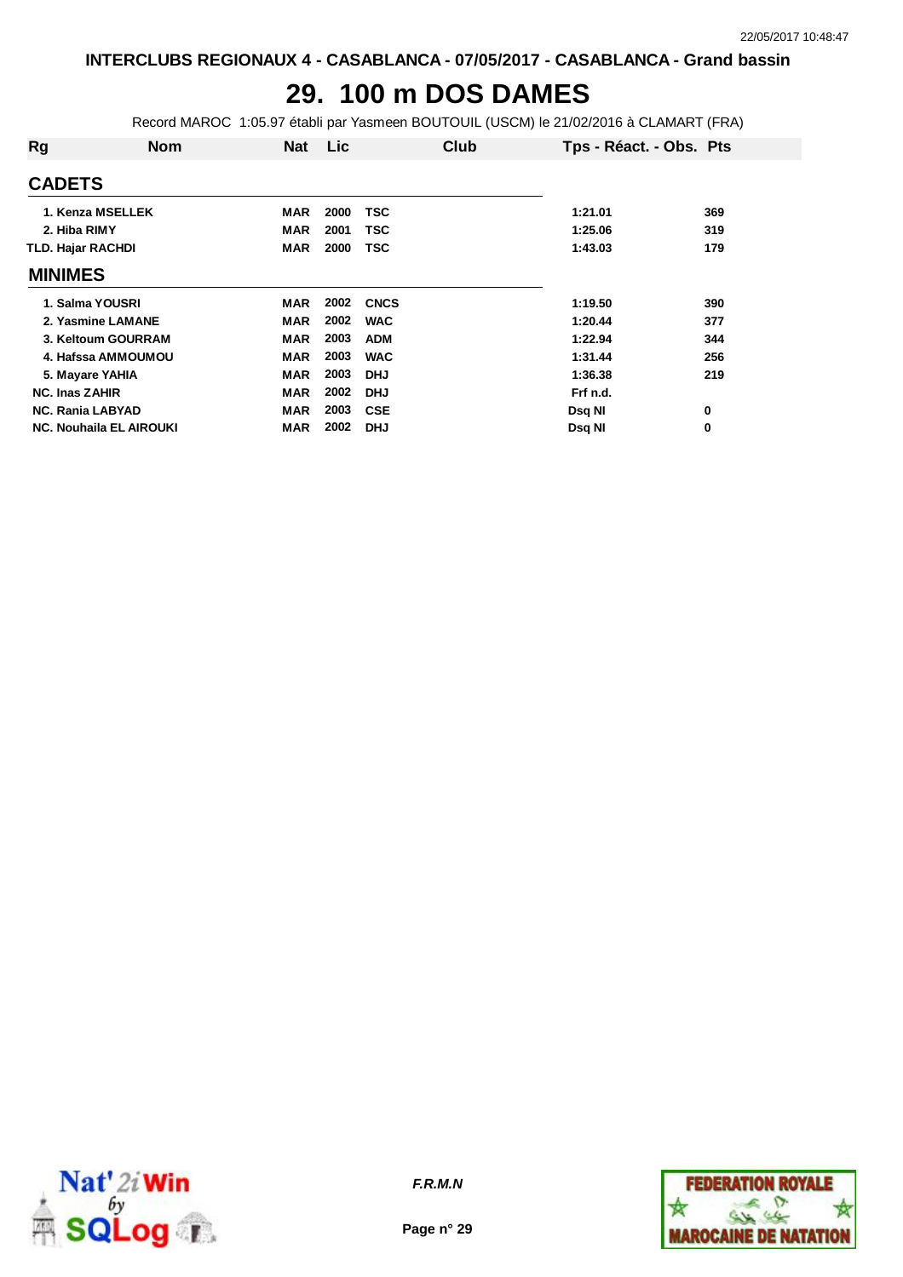## **29. 100 m DOS DAMES**

Record MAROC 1:05.97 établi par Yasmeen BOUTOUIL (USCM) le 21/02/2016 à CLAMART (FRA)

| Rg                             | <b>Nom</b> | <b>Nat</b> | Lic  | Club        | Tps - Réact. - Obs. Pts |     |
|--------------------------------|------------|------------|------|-------------|-------------------------|-----|
| <b>CADETS</b>                  |            |            |      |             |                         |     |
| 1. Kenza MSELLEK               |            | <b>MAR</b> | 2000 | <b>TSC</b>  | 1:21.01                 | 369 |
| 2. Hiba RIMY                   |            | <b>MAR</b> | 2001 | TSC         | 1:25.06                 | 319 |
| <b>TLD. Hajar RACHDI</b>       |            | <b>MAR</b> | 2000 | <b>TSC</b>  | 1:43.03                 | 179 |
| <b>MINIMES</b>                 |            |            |      |             |                         |     |
| 1. Salma YOUSRI                |            | MAR        | 2002 | <b>CNCS</b> | 1:19.50                 | 390 |
| 2. Yasmine LAMANE              |            | <b>MAR</b> | 2002 | <b>WAC</b>  | 1:20.44                 | 377 |
| 3. Keltoum GOURRAM             |            | <b>MAR</b> | 2003 | <b>ADM</b>  | 1:22.94                 | 344 |
| 4. Hafssa AMMOUMOU             |            | <b>MAR</b> | 2003 | <b>WAC</b>  | 1:31.44                 | 256 |
| 5. Mayare YAHIA                |            | <b>MAR</b> | 2003 | <b>DHJ</b>  | 1:36.38                 | 219 |
| <b>NC. Inas ZAHIR</b>          |            | <b>MAR</b> | 2002 | <b>DHJ</b>  | Frf n.d.                |     |
| <b>NC. Rania LABYAD</b>        |            | <b>MAR</b> | 2003 | <b>CSE</b>  | Dsq NI                  | 0   |
| <b>NC. Nouhaila EL AIROUKI</b> |            | <b>MAR</b> | 2002 | <b>DHJ</b>  | Dsq NI                  | 0   |



**Page n° 29**

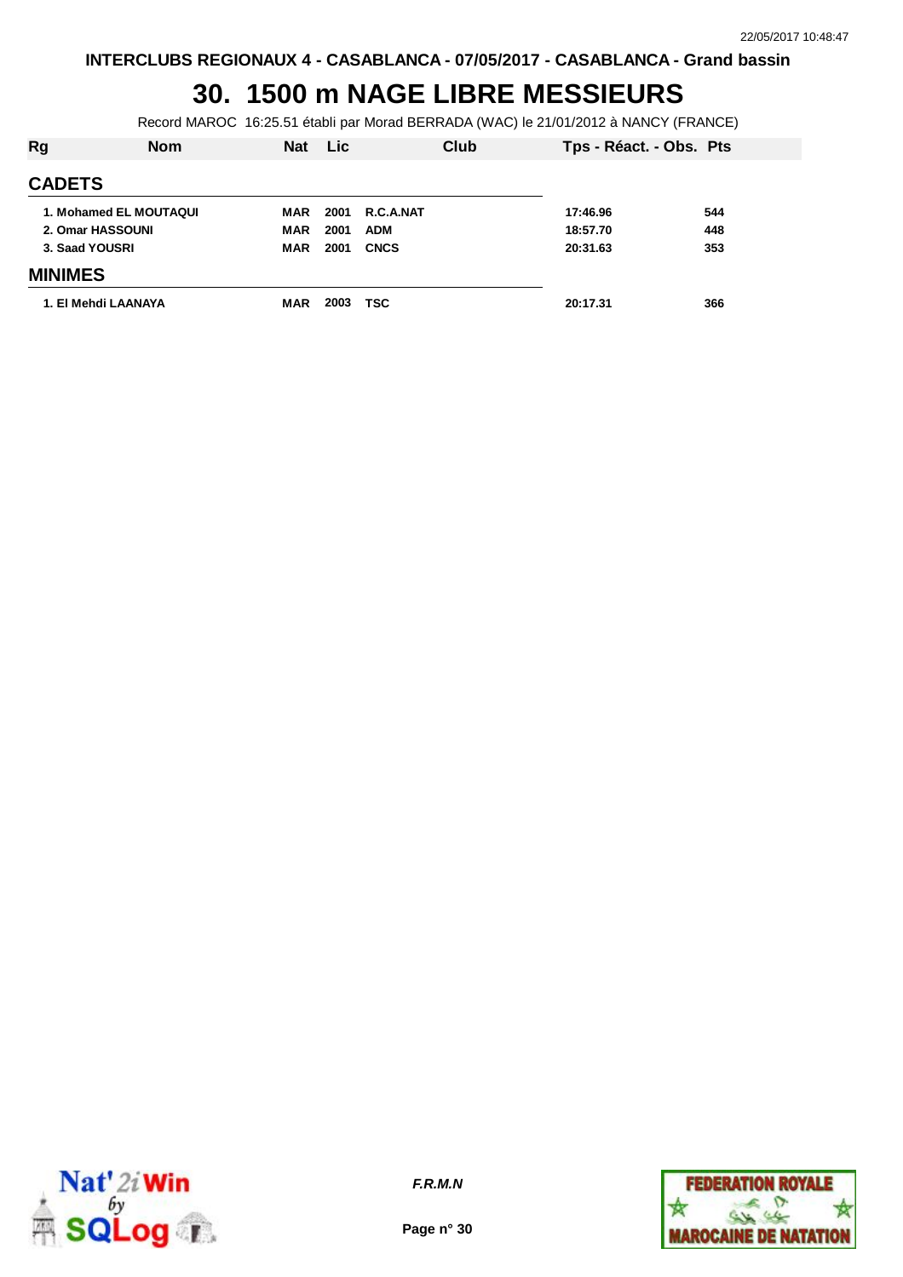#### **30. 1500 m NAGE LIBRE MESSIEURS**

Record MAROC 16:25.51 établi par Morad BERRADA (WAC) le 21/01/2012 à NANCY (FRANCE)

| Rg             | <b>Nom</b>             | <b>Nat</b> | <b>Lic</b> | Club        | Tps - Réact. - Obs. Pts |     |
|----------------|------------------------|------------|------------|-------------|-------------------------|-----|
| <b>CADETS</b>  |                        |            |            |             |                         |     |
|                | 1. Mohamed EL MOUTAQUI | MAR        | 2001       | R.C.A.NAT   | 17:46.96                | 544 |
|                | 2. Omar HASSOUNI       | <b>MAR</b> | 2001       | <b>ADM</b>  | 18:57.70                | 448 |
| 3. Saad YOUSRI |                        | <b>MAR</b> | 2001       | <b>CNCS</b> | 20:31.63                | 353 |
| <b>MINIMES</b> |                        |            |            |             |                         |     |
|                | 1. El Mehdi LAANAYA    | <b>MAR</b> | 2003       | TSC         | 20:17.31                | 366 |



**Page n° 30**

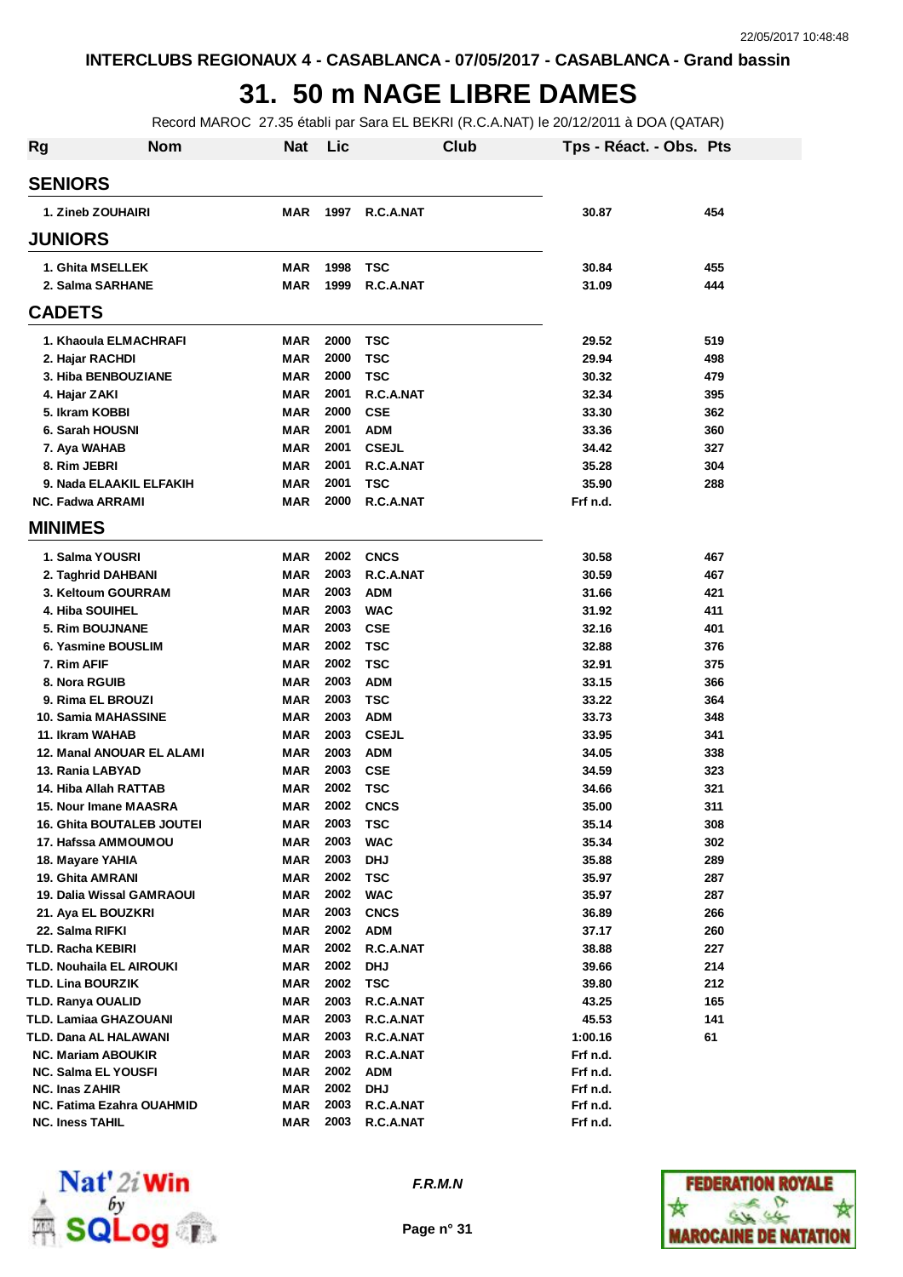## **31. 50 m NAGE LIBRE DAMES**

Record MAROC 27.35 établi par Sara EL BEKRI (R.C.A.NAT) le 20/12/2011 à DOA (QATAR)

| <b>Rg</b> | <b>Nom</b>                       | <b>Nat</b> | Lic  | Club         | Tps - Réact. - Obs. Pts |     |
|-----------|----------------------------------|------------|------|--------------|-------------------------|-----|
|           | <b>SENIORS</b>                   |            |      |              |                         |     |
|           | 1. Zineb ZOUHAIRI                | <b>MAR</b> | 1997 | R.C.A.NAT    | 30.87                   | 454 |
|           | <b>JUNIORS</b>                   |            |      |              |                         |     |
|           | 1. Ghita MSELLEK                 | <b>MAR</b> | 1998 | <b>TSC</b>   | 30.84                   | 455 |
|           | 2. Salma SARHANE                 | <b>MAR</b> | 1999 | R.C.A.NAT    | 31.09                   | 444 |
|           | <b>CADETS</b>                    |            |      |              |                         |     |
|           | 1. Khaoula ELMACHRAFI            | <b>MAR</b> | 2000 | <b>TSC</b>   | 29.52                   | 519 |
|           | 2. Hajar RACHDI                  | <b>MAR</b> | 2000 | <b>TSC</b>   | 29.94                   | 498 |
|           | 3. Hiba BENBOUZIANE              | <b>MAR</b> | 2000 | TSC          | 30.32                   | 479 |
|           | 4. Hajar ZAKI                    | <b>MAR</b> | 2001 | R.C.A.NAT    | 32.34                   | 395 |
|           | 5. Ikram KOBBI                   | <b>MAR</b> | 2000 | <b>CSE</b>   | 33.30                   | 362 |
|           | 6. Sarah HOUSNI                  | <b>MAR</b> | 2001 | <b>ADM</b>   | 33.36                   | 360 |
|           | 7. Aya WAHAB                     | <b>MAR</b> | 2001 | <b>CSEJL</b> | 34.42                   | 327 |
|           | 8. Rim JEBRI                     | <b>MAR</b> | 2001 | R.C.A.NAT    | 35.28                   | 304 |
|           | 9. Nada ELAAKIL ELFAKIH          | <b>MAR</b> | 2001 | TSC          | 35.90                   | 288 |
|           | <b>NC. Fadwa ARRAMI</b>          | <b>MAR</b> | 2000 | R.C.A.NAT    | Frf n.d.                |     |
|           | <b>MINIMES</b>                   |            |      |              |                         |     |
|           | 1. Salma YOUSRI                  | <b>MAR</b> | 2002 | <b>CNCS</b>  | 30.58                   | 467 |
|           | 2. Taghrid DAHBANI               | <b>MAR</b> | 2003 | R.C.A.NAT    | 30.59                   | 467 |
|           | 3. Keltoum GOURRAM               | <b>MAR</b> | 2003 | <b>ADM</b>   | 31.66                   | 421 |
|           | 4. Hiba SOUIHEL                  | <b>MAR</b> | 2003 | <b>WAC</b>   | 31.92                   | 411 |
|           | 5. Rim BOUJNANE                  | <b>MAR</b> | 2003 | <b>CSE</b>   | 32.16                   | 401 |
|           | 6. Yasmine BOUSLIM               | <b>MAR</b> | 2002 | <b>TSC</b>   | 32.88                   | 376 |
|           | 7. Rim AFIF                      | <b>MAR</b> | 2002 | <b>TSC</b>   | 32.91                   | 375 |
|           | 8. Nora RGUIB                    | <b>MAR</b> | 2003 | <b>ADM</b>   | 33.15                   | 366 |
|           | 9. Rima EL BROUZI                | <b>MAR</b> | 2003 | <b>TSC</b>   | 33.22                   | 364 |
|           | 10. Samia MAHASSINE              | <b>MAR</b> | 2003 | <b>ADM</b>   | 33.73                   | 348 |
|           | 11. Ikram WAHAB                  | <b>MAR</b> | 2003 | <b>CSEJL</b> | 33.95                   | 341 |
|           | 12. Manal ANOUAR EL ALAMI        | <b>MAR</b> | 2003 | ADM          | 34.05                   | 338 |
|           | 13. Rania LABYAD                 | <b>MAR</b> | 2003 | <b>CSE</b>   | 34.59                   | 323 |
|           | 14. Hiba Allah RATTAB            | <b>MAR</b> | 2002 | <b>TSC</b>   | 34.66                   | 321 |
|           | 15. Nour Imane MAASRA            | <b>MAR</b> | 2002 | <b>CNCS</b>  | 35.00                   | 311 |
|           | <b>16. Ghita BOUTALEB JOUTEI</b> | MAR        | 2003 | TSC          | 35.14                   | 308 |
|           | 17. Hafssa AMMOUMOU              | <b>MAR</b> | 2003 | WAC          | 35.34                   | 302 |
|           | 18. Mayare YAHIA                 | <b>MAR</b> | 2003 | <b>DHJ</b>   | 35.88                   | 289 |
|           | 19. Ghita AMRANI                 | <b>MAR</b> | 2002 | TSC          | 35.97                   | 287 |
|           | 19. Dalia Wissal GAMRAOUI        | <b>MAR</b> | 2002 | <b>WAC</b>   | 35.97                   | 287 |
|           | 21. Aya EL BOUZKRI               | <b>MAR</b> | 2003 | <b>CNCS</b>  | 36.89                   | 266 |
|           | 22. Salma RIFKI                  | <b>MAR</b> | 2002 | ADM          | 37.17                   | 260 |
|           | TLD. Racha KEBIRI                | <b>MAR</b> | 2002 | R.C.A.NAT    | 38.88                   | 227 |
|           | TLD. Nouhaila EL AIROUKI         | <b>MAR</b> | 2002 | <b>DHJ</b>   | 39.66                   | 214 |
|           | TLD. Lina BOURZIK                | <b>MAR</b> | 2002 | <b>TSC</b>   | 39.80                   | 212 |
|           | TLD. Ranya OUALID                | <b>MAR</b> | 2003 | R.C.A.NAT    | 43.25                   | 165 |
|           | TLD. Lamiaa GHAZOUANI            | <b>MAR</b> | 2003 | R.C.A.NAT    | 45.53                   | 141 |
|           | TLD. Dana AL HALAWANI            | <b>MAR</b> | 2003 | R.C.A.NAT    | 1:00.16                 | 61  |
|           | <b>NC. Mariam ABOUKIR</b>        | <b>MAR</b> | 2003 | R.C.A.NAT    | Frf n.d.                |     |
|           | <b>NC. Salma EL YOUSFI</b>       | MAR        | 2002 | ADM          | Frf n.d.                |     |
|           | NC. Inas ZAHIR                   | <b>MAR</b> | 2002 | <b>DHJ</b>   | Frf n.d.                |     |
|           | NC. Fatima Ezahra OUAHMID        | MAR        | 2003 | R.C.A.NAT    | Frf n.d.                |     |
|           | <b>NC. Iness TAHIL</b>           | <b>MAR</b> | 2003 | R.C.A.NAT    | Frf n.d.                |     |



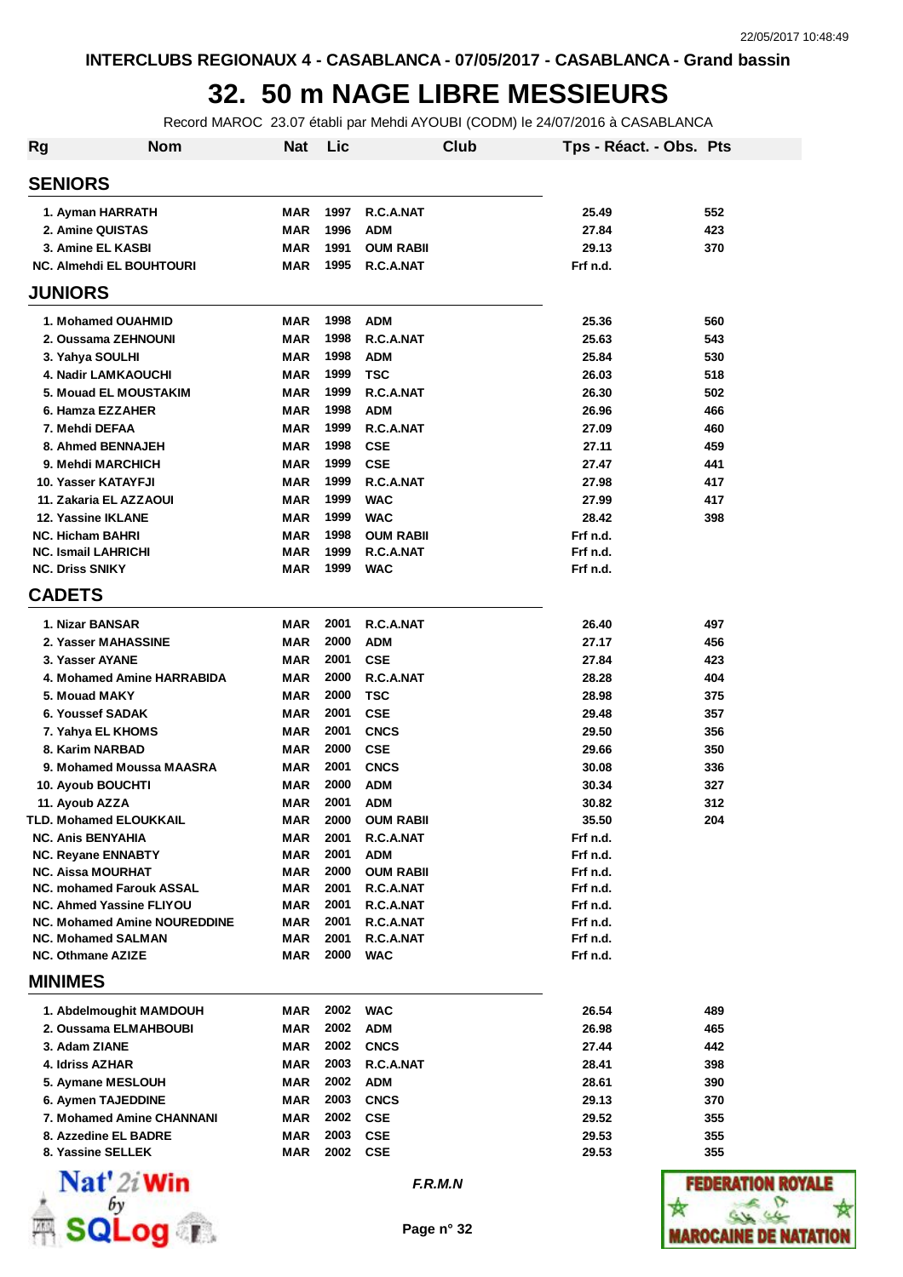### **32. 50 m NAGE LIBRE MESSIEURS**

Record MAROC 23.07 établi par Mehdi AYOUBI (CODM) le 24/07/2016 à CASABLANCA

| <b>Rg</b>                       | <b>Nom</b>                          | <b>Nat</b> | Lic  |                  | Club    | Tps - Réact. - Obs. Pts |                 |
|---------------------------------|-------------------------------------|------------|------|------------------|---------|-------------------------|-----------------|
| <b>SENIORS</b>                  |                                     |            |      |                  |         |                         |                 |
| 1. Ayman HARRATH                |                                     | <b>MAR</b> | 1997 | R.C.A.NAT        |         | 25.49                   | 552             |
| 2. Amine QUISTAS                |                                     | MAR        | 1996 | <b>ADM</b>       |         | 27.84                   | 423             |
| 3. Amine EL KASBI               |                                     | MAR        | 1991 | <b>OUM RABII</b> |         | 29.13                   | 370             |
| <b>NC. Almehdi EL BOUHTOURI</b> |                                     | <b>MAR</b> | 1995 | R.C.A.NAT        |         | Frf n.d.                |                 |
| <b>JUNIORS</b>                  |                                     |            |      |                  |         |                         |                 |
| 1. Mohamed OUAHMID              |                                     | MAR        | 1998 | <b>ADM</b>       |         | 25.36                   | 560             |
| 2. Oussama ZEHNOUNI             |                                     | <b>MAR</b> | 1998 | R.C.A.NAT        |         | 25.63                   | 543             |
| 3. Yahya SOULHI                 |                                     | <b>MAR</b> | 1998 | <b>ADM</b>       |         | 25.84                   | 530             |
| 4. Nadir LAMKAOUCHI             |                                     | MAR        | 1999 | <b>TSC</b>       |         | 26.03                   | 518             |
| 5. Mouad EL MOUSTAKIM           |                                     | MAR        | 1999 | R.C.A.NAT        |         | 26.30                   | 502             |
| 6. Hamza EZZAHER                |                                     | <b>MAR</b> | 1998 | <b>ADM</b>       |         | 26.96                   | 466             |
| 7. Mehdi DEFAA                  |                                     | <b>MAR</b> | 1999 | R.C.A.NAT        |         | 27.09                   | 460             |
| 8. Ahmed BENNAJEH               |                                     | <b>MAR</b> | 1998 | <b>CSE</b>       |         | 27.11                   | 459             |
| 9. Mehdi MARCHICH               |                                     | MAR        | 1999 | <b>CSE</b>       |         | 27.47                   | 441             |
| 10. Yasser KATAYFJI             |                                     | <b>MAR</b> | 1999 | R.C.A.NAT        |         | 27.98                   | 417             |
| 11. Zakaria EL AZZAOUI          |                                     | MAR        | 1999 | <b>WAC</b>       |         | 27.99                   | 417             |
| 12. Yassine IKLANE              |                                     | MAR        | 1999 | <b>WAC</b>       |         | 28.42                   | 398             |
| <b>NC. Hicham BAHRI</b>         |                                     | MAR        | 1998 | <b>OUM RABII</b> |         | Frf n.d.                |                 |
| <b>NC. Ismail LAHRICHI</b>      |                                     | MAR        | 1999 | R.C.A.NAT        |         | Frf n.d.                |                 |
| <b>NC. Driss SNIKY</b>          |                                     | <b>MAR</b> | 1999 | <b>WAC</b>       |         | Frf n.d.                |                 |
| <b>CADETS</b>                   |                                     |            |      |                  |         |                         |                 |
| 1. Nizar BANSAR                 |                                     | <b>MAR</b> | 2001 | R.C.A.NAT        |         | 26.40                   | 497             |
| 2. Yasser MAHASSINE             |                                     | <b>MAR</b> | 2000 | <b>ADM</b>       |         | 27.17                   | 456             |
| 3. Yasser AYANE                 |                                     | <b>MAR</b> | 2001 | <b>CSE</b>       |         | 27.84                   | 423             |
|                                 | 4. Mohamed Amine HARRABIDA          | <b>MAR</b> | 2000 | R.C.A.NAT        |         | 28.28                   | 404             |
| 5. Mouad MAKY                   |                                     | MAR        | 2000 | <b>TSC</b>       |         | 28.98                   | 375             |
| 6. Youssef SADAK                |                                     | MAR        | 2001 | <b>CSE</b>       |         | 29.48                   | 357             |
| 7. Yahya EL KHOMS               |                                     | MAR        | 2001 | <b>CNCS</b>      |         | 29.50                   | 356             |
| 8. Karim NARBAD                 |                                     | <b>MAR</b> | 2000 | <b>CSE</b>       |         | 29.66                   | 350             |
| 9. Mohamed Moussa MAASRA        |                                     | <b>MAR</b> | 2001 | <b>CNCS</b>      |         | 30.08                   | 336             |
| 10. Ayoub BOUCHTI               |                                     | MAR        | 2000 | <b>ADM</b>       |         | 30.34                   | 327             |
| 11. Ayoub AZZA                  |                                     | <b>MAR</b> | 2001 | <b>ADM</b>       |         | 30.82                   | 312             |
| TLD. Mohamed ELOUKKAIL          |                                     | MAR        | 2000 | <b>OUM RABII</b> |         | 35.50                   | 204             |
| <b>NC. Anis BENYAHIA</b>        |                                     | MAR        | 2001 | R.C.A.NAT        |         | Frf n.d.                |                 |
| <b>NC. Reyane ENNABTY</b>       |                                     | <b>MAR</b> | 2001 | <b>ADM</b>       |         | Frf n.d.                |                 |
| <b>NC. Aissa MOURHAT</b>        |                                     | MAR        | 2000 | <b>OUM RABII</b> |         | Frf n.d.                |                 |
| <b>NC. mohamed Farouk ASSAL</b> |                                     | MAR        | 2001 | R.C.A.NAT        |         | Frf n.d.                |                 |
| NC. Ahmed Yassine FLIYOU        |                                     | MAR        | 2001 | R.C.A.NAT        |         | Frf n.d.                |                 |
|                                 | <b>NC. Mohamed Amine NOUREDDINE</b> | MAR        | 2001 | R.C.A.NAT        |         | Frf n.d.                |                 |
| <b>NC. Mohamed SALMAN</b>       |                                     | MAR        | 2001 | R.C.A.NAT        |         | Frf n.d.                |                 |
| <b>NC. Othmane AZIZE</b>        |                                     | MAR        | 2000 | <b>WAC</b>       |         | Frf n.d.                |                 |
| <b>MINIMES</b>                  |                                     |            |      |                  |         |                         |                 |
| 1. Abdelmoughit MAMDOUH         |                                     | MAR        | 2002 | <b>WAC</b>       |         | 26.54                   | 489             |
| 2. Oussama ELMAHBOUBI           |                                     | MAR        | 2002 | <b>ADM</b>       |         | 26.98                   | 465             |
| 3. Adam ZIANE                   |                                     | MAR        | 2002 | <b>CNCS</b>      |         | 27.44                   | 442             |
| 4. Idriss AZHAR                 |                                     | MAR        | 2003 | R.C.A.NAT        |         | 28.41                   | 398             |
| 5. Aymane MESLOUH               |                                     | MAR        | 2002 | <b>ADM</b>       |         | 28.61                   | 390             |
| 6. Aymen TAJEDDINE              |                                     | MAR        | 2003 | <b>CNCS</b>      |         | 29.13                   | 370             |
| 7. Mohamed Amine CHANNANI       |                                     | MAR        | 2002 | <b>CSE</b>       |         | 29.52                   | 355             |
| 8. Azzedine EL BADRE            |                                     | MAR        | 2003 | <b>CSE</b>       |         | 29.53                   | 355             |
| 8. Yassine SELLEK               |                                     | MAR        | 2002 | <b>CSE</b>       |         | 29.53                   | 355             |
| $\mathbf{Nat}'$ 2i Win          |                                     |            |      |                  | F.R.M.N |                         | <b>FEDERATI</b> |



**SQLog**